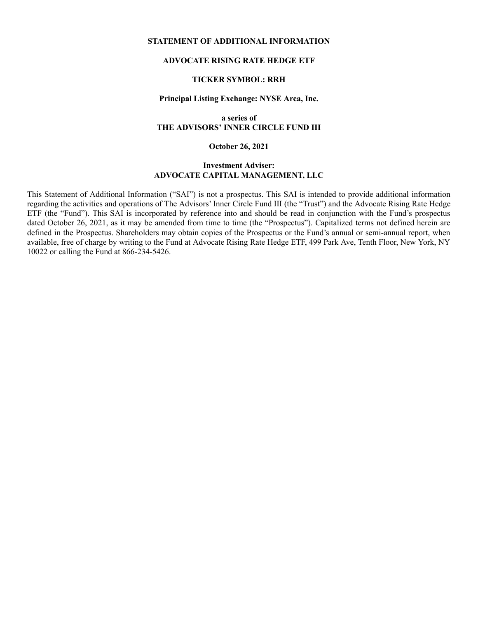#### **STATEMENT OF ADDITIONAL INFORMATION**

## **ADVOCATE RISING RATE HEDGE ETF**

## **TICKER SYMBOL: RRH**

#### **Principal Listing Exchange: NYSE Arca, Inc.**

#### **a series of THE ADVISORS' INNER CIRCLE FUND III**

**October 26, 2021**

## **Investment Adviser: ADVOCATE CAPITAL MANAGEMENT, LLC**

This Statement of Additional Information ("SAI") is not a prospectus. This SAI is intended to provide additional information regarding the activities and operations of The Advisors' Inner Circle Fund III (the "Trust") and the Advocate Rising Rate Hedge ETF (the "Fund"). This SAI is incorporated by reference into and should be read in conjunction with the Fund's prospectus dated October 26, 2021, as it may be amended from time to time (the "Prospectus"). Capitalized terms not defined herein are defined in the Prospectus. Shareholders may obtain copies of the Prospectus or the Fund's annual or semi-annual report, when available, free of charge by writing to the Fund at Advocate Rising Rate Hedge ETF, 499 Park Ave, Tenth Floor, New York, NY 10022 or calling the Fund at 866-234-5426.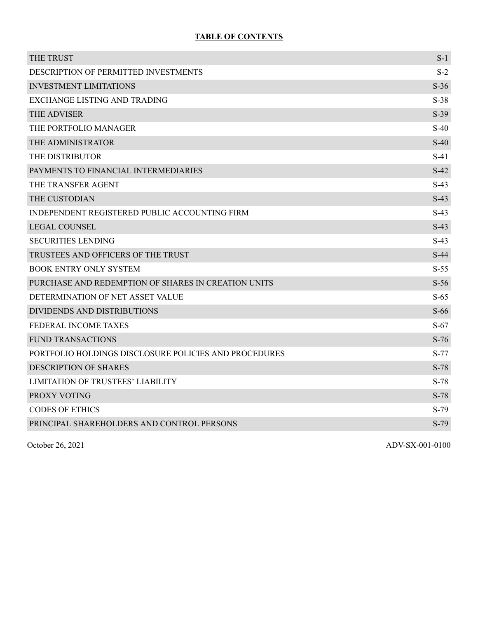# **TABLE OF CONTENTS**

| THE TRUST                                             | $S-1$  |
|-------------------------------------------------------|--------|
| DESCRIPTION OF PERMITTED INVESTMENTS                  | $S-2$  |
| <b>INVESTMENT LIMITATIONS</b>                         | $S-36$ |
| EXCHANGE LISTING AND TRADING                          | $S-38$ |
| THE ADVISER                                           | $S-39$ |
| THE PORTFOLIO MANAGER                                 | $S-40$ |
| THE ADMINISTRATOR                                     | $S-40$ |
| THE DISTRIBUTOR                                       | $S-41$ |
| PAYMENTS TO FINANCIAL INTERMEDIARIES                  | $S-42$ |
| THE TRANSFER AGENT                                    | $S-43$ |
| THE CUSTODIAN                                         | $S-43$ |
| INDEPENDENT REGISTERED PUBLIC ACCOUNTING FIRM         | $S-43$ |
| <b>LEGAL COUNSEL</b>                                  | $S-43$ |
| <b>SECURITIES LENDING</b>                             | $S-43$ |
| TRUSTEES AND OFFICERS OF THE TRUST                    | $S-44$ |
| <b>BOOK ENTRY ONLY SYSTEM</b>                         | $S-55$ |
| PURCHASE AND REDEMPTION OF SHARES IN CREATION UNITS   | $S-56$ |
| DETERMINATION OF NET ASSET VALUE                      | $S-65$ |
| DIVIDENDS AND DISTRIBUTIONS                           | $S-66$ |
| FEDERAL INCOME TAXES                                  | $S-67$ |
| <b>FUND TRANSACTIONS</b>                              | $S-76$ |
| PORTFOLIO HOLDINGS DISCLOSURE POLICIES AND PROCEDURES | $S-77$ |
| <b>DESCRIPTION OF SHARES</b>                          | $S-78$ |
| <b>LIMITATION OF TRUSTEES' LIABILITY</b>              | $S-78$ |
| PROXY VOTING                                          | $S-78$ |
| <b>CODES OF ETHICS</b>                                | $S-79$ |
| PRINCIPAL SHAREHOLDERS AND CONTROL PERSONS            | $S-79$ |
|                                                       |        |

October 26, 2021 ADV-SX-001-0100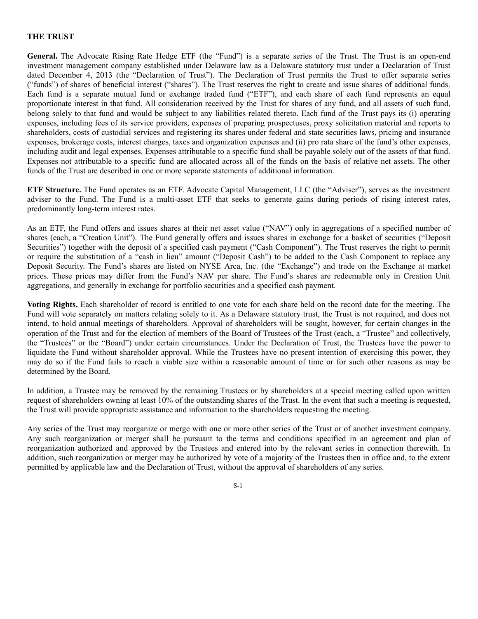#### **THE TRUST**

General. The Advocate Rising Rate Hedge ETF (the "Fund") is a separate series of the Trust. The Trust is an open-end investment management company established under Delaware law as a Delaware statutory trust under a Declaration of Trust dated December 4, 2013 (the "Declaration of Trust"). The Declaration of Trust permits the Trust to offer separate series ("funds") of shares of beneficial interest ("shares"). The Trust reserves the right to create and issue shares of additional funds. Each fund is a separate mutual fund or exchange traded fund ("ETF"), and each share of each fund represents an equal proportionate interest in that fund. All consideration received by the Trust for shares of any fund, and all assets of such fund, belong solely to that fund and would be subject to any liabilities related thereto. Each fund of the Trust pays its (i) operating expenses, including fees of its service providers, expenses of preparing prospectuses, proxy solicitation material and reports to shareholders, costs of custodial services and registering its shares under federal and state securities laws, pricing and insurance expenses, brokerage costs, interest charges, taxes and organization expenses and (ii) pro rata share of the fund's other expenses, including audit and legal expenses. Expenses attributable to a specific fund shall be payable solely out of the assets of that fund. Expenses not attributable to a specific fund are allocated across all of the funds on the basis of relative net assets. The other funds of the Trust are described in one or more separate statements of additional information.

**ETF Structure.** The Fund operates as an ETF. Advocate Capital Management, LLC (the "Adviser"), serves as the investment adviser to the Fund. The Fund is a multi-asset ETF that seeks to generate gains during periods of rising interest rates, predominantly long-term interest rates.

As an ETF, the Fund offers and issues shares at their net asset value ("NAV") only in aggregations of a specified number of shares (each, a "Creation Unit"). The Fund generally offers and issues shares in exchange for a basket of securities ("Deposit Securities") together with the deposit of a specified cash payment ("Cash Component"). The Trust reserves the right to permit or require the substitution of a "cash in lieu" amount ("Deposit Cash") to be added to the Cash Component to replace any Deposit Security. The Fund's shares are listed on NYSE Arca, Inc. (the "Exchange") and trade on the Exchange at market prices. These prices may differ from the Fund's NAV per share. The Fund's shares are redeemable only in Creation Unit aggregations, and generally in exchange for portfolio securities and a specified cash payment.

**Voting Rights.** Each shareholder of record is entitled to one vote for each share held on the record date for the meeting. The Fund will vote separately on matters relating solely to it. As a Delaware statutory trust, the Trust is not required, and does not intend, to hold annual meetings of shareholders. Approval of shareholders will be sought, however, for certain changes in the operation of the Trust and for the election of members of the Board of Trustees of the Trust (each, a "Trustee" and collectively, the "Trustees" or the "Board") under certain circumstances. Under the Declaration of Trust, the Trustees have the power to liquidate the Fund without shareholder approval. While the Trustees have no present intention of exercising this power, they may do so if the Fund fails to reach a viable size within a reasonable amount of time or for such other reasons as may be determined by the Board.

In addition, a Trustee may be removed by the remaining Trustees or by shareholders at a special meeting called upon written request of shareholders owning at least 10% of the outstanding shares of the Trust. In the event that such a meeting is requested, the Trust will provide appropriate assistance and information to the shareholders requesting the meeting.

Any series of the Trust may reorganize or merge with one or more other series of the Trust or of another investment company. Any such reorganization or merger shall be pursuant to the terms and conditions specified in an agreement and plan of reorganization authorized and approved by the Trustees and entered into by the relevant series in connection therewith. In addition, such reorganization or merger may be authorized by vote of a majority of the Trustees then in office and, to the extent permitted by applicable law and the Declaration of Trust, without the approval of shareholders of any series.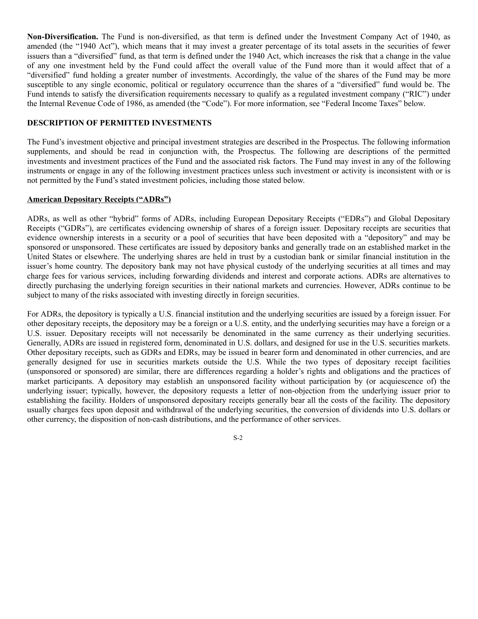**Non-Diversification.** The Fund is non-diversified, as that term is defined under the Investment Company Act of 1940, as amended (the "1940 Act"), which means that it may invest a greater percentage of its total assets in the securities of fewer issuers than a "diversified" fund, as that term is defined under the 1940 Act, which increases the risk that a change in the value of any one investment held by the Fund could affect the overall value of the Fund more than it would affect that of a "diversified" fund holding a greater number of investments. Accordingly, the value of the shares of the Fund may be more susceptible to any single economic, political or regulatory occurrence than the shares of a "diversified" fund would be. The Fund intends to satisfy the diversification requirements necessary to qualify as a regulated investment company ("RIC") under the Internal Revenue Code of 1986, as amended (the "Code"). For more information, see "Federal Income Taxes" below.

## **DESCRIPTION OF PERMITTED INVESTMENTS**

The Fund's investment objective and principal investment strategies are described in the Prospectus. The following information supplements, and should be read in conjunction with, the Prospectus. The following are descriptions of the permitted investments and investment practices of the Fund and the associated risk factors. The Fund may invest in any of the following instruments or engage in any of the following investment practices unless such investment or activity is inconsistent with or is not permitted by the Fund's stated investment policies, including those stated below.

#### **American Depositary Receipts ("ADRs")**

ADRs, as well as other "hybrid" forms of ADRs, including European Depositary Receipts ("EDRs") and Global Depositary Receipts ("GDRs"), are certificates evidencing ownership of shares of a foreign issuer. Depositary receipts are securities that evidence ownership interests in a security or a pool of securities that have been deposited with a "depository" and may be sponsored or unsponsored. These certificates are issued by depository banks and generally trade on an established market in the United States or elsewhere. The underlying shares are held in trust by a custodian bank or similar financial institution in the issuer's home country. The depository bank may not have physical custody of the underlying securities at all times and may charge fees for various services, including forwarding dividends and interest and corporate actions. ADRs are alternatives to directly purchasing the underlying foreign securities in their national markets and currencies. However, ADRs continue to be subject to many of the risks associated with investing directly in foreign securities.

For ADRs, the depository is typically a U.S. financial institution and the underlying securities are issued by a foreign issuer. For other depositary receipts, the depository may be a foreign or a U.S. entity, and the underlying securities may have a foreign or a U.S. issuer. Depositary receipts will not necessarily be denominated in the same currency as their underlying securities. Generally, ADRs are issued in registered form, denominated in U.S. dollars, and designed for use in the U.S. securities markets. Other depositary receipts, such as GDRs and EDRs, may be issued in bearer form and denominated in other currencies, and are generally designed for use in securities markets outside the U.S. While the two types of depositary receipt facilities (unsponsored or sponsored) are similar, there are differences regarding a holder's rights and obligations and the practices of market participants. A depository may establish an unsponsored facility without participation by (or acquiescence of) the underlying issuer; typically, however, the depository requests a letter of non-objection from the underlying issuer prior to establishing the facility. Holders of unsponsored depositary receipts generally bear all the costs of the facility. The depository usually charges fees upon deposit and withdrawal of the underlying securities, the conversion of dividends into U.S. dollars or other currency, the disposition of non-cash distributions, and the performance of other services.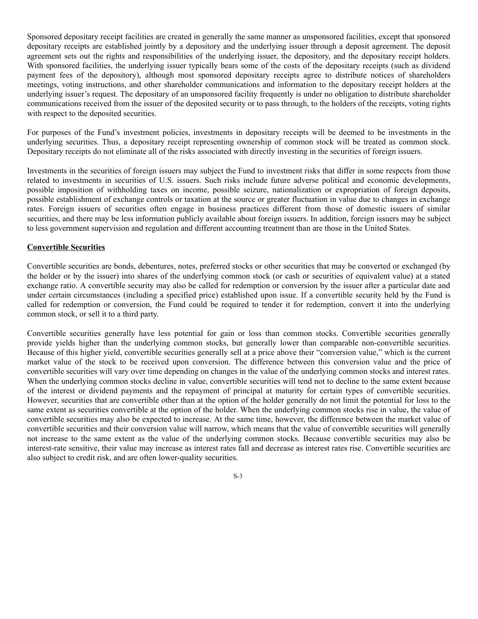Sponsored depositary receipt facilities are created in generally the same manner as unsponsored facilities, except that sponsored depositary receipts are established jointly by a depository and the underlying issuer through a deposit agreement. The deposit agreement sets out the rights and responsibilities of the underlying issuer, the depository, and the depositary receipt holders. With sponsored facilities, the underlying issuer typically bears some of the costs of the depositary receipts (such as dividend payment fees of the depository), although most sponsored depositary receipts agree to distribute notices of shareholders meetings, voting instructions, and other shareholder communications and information to the depositary receipt holders at the underlying issuer's request. The depositary of an unsponsored facility frequently is under no obligation to distribute shareholder communications received from the issuer of the deposited security or to pass through, to the holders of the receipts, voting rights with respect to the deposited securities.

For purposes of the Fund's investment policies, investments in depositary receipts will be deemed to be investments in the underlying securities. Thus, a depositary receipt representing ownership of common stock will be treated as common stock. Depositary receipts do not eliminate all of the risks associated with directly investing in the securities of foreign issuers.

Investments in the securities of foreign issuers may subject the Fund to investment risks that differ in some respects from those related to investments in securities of U.S. issuers. Such risks include future adverse political and economic developments, possible imposition of withholding taxes on income, possible seizure, nationalization or expropriation of foreign deposits, possible establishment of exchange controls or taxation at the source or greater fluctuation in value due to changes in exchange rates. Foreign issuers of securities often engage in business practices different from those of domestic issuers of similar securities, and there may be less information publicly available about foreign issuers. In addition, foreign issuers may be subject to less government supervision and regulation and different accounting treatment than are those in the United States.

# **Convertible Securities**

Convertible securities are bonds, debentures, notes, preferred stocks or other securities that may be converted or exchanged (by the holder or by the issuer) into shares of the underlying common stock (or cash or securities of equivalent value) at a stated exchange ratio. A convertible security may also be called for redemption or conversion by the issuer after a particular date and under certain circumstances (including a specified price) established upon issue. If a convertible security held by the Fund is called for redemption or conversion, the Fund could be required to tender it for redemption, convert it into the underlying common stock, or sell it to a third party.

Convertible securities generally have less potential for gain or loss than common stocks. Convertible securities generally provide yields higher than the underlying common stocks, but generally lower than comparable non-convertible securities. Because of this higher yield, convertible securities generally sell at a price above their "conversion value," which is the current market value of the stock to be received upon conversion. The difference between this conversion value and the price of convertible securities will vary over time depending on changes in the value of the underlying common stocks and interest rates. When the underlying common stocks decline in value, convertible securities will tend not to decline to the same extent because of the interest or dividend payments and the repayment of principal at maturity for certain types of convertible securities. However, securities that are convertible other than at the option of the holder generally do not limit the potential for loss to the same extent as securities convertible at the option of the holder. When the underlying common stocks rise in value, the value of convertible securities may also be expected to increase. At the same time, however, the difference between the market value of convertible securities and their conversion value will narrow, which means that the value of convertible securities will generally not increase to the same extent as the value of the underlying common stocks. Because convertible securities may also be interest-rate sensitive, their value may increase as interest rates fall and decrease as interest rates rise. Convertible securities are also subject to credit risk, and are often lower-quality securities.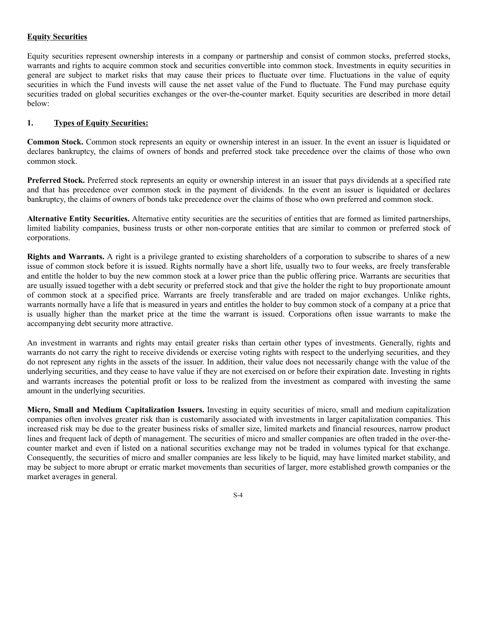# **Equity Securities**

Equity securities represent ownership interests in a company or partnership and consist of common stocks, preferred stocks, warrants and rights to acquire common stock and securities convertible into common stock. Investments in equity securities in general are subject to market risks that may cause their prices to fluctuate over time. Fluctuations in the value of equity securities in which the Fund invests will cause the net asset value of the Fund to fluctuate. The Fund may purchase equity securities traded on global securities exchanges or the over-the-counter market. Equity securities are described in more detail below:

## **1. Types of Equity Securities:**

**Common Stock.** Common stock represents an equity or ownership interest in an issuer. In the event an issuer is liquidated or declares bankruptcy, the claims of owners of bonds and preferred stock take precedence over the claims of those who own common stock.

**Preferred Stock.** Preferred stock represents an equity or ownership interest in an issuer that pays dividends at a specified rate and that has precedence over common stock in the payment of dividends. In the event an issuer is liquidated or declares bankruptcy, the claims of owners of bonds take precedence over the claims of those who own preferred and common stock.

**Alternative Entity Securities.** Alternative entity securities are the securities of entities that are formed as limited partnerships, limited liability companies, business trusts or other non-corporate entities that are similar to common or preferred stock of corporations.

**Rights and Warrants.** A right is a privilege granted to existing shareholders of a corporation to subscribe to shares of a new issue of common stock before it is issued. Rights normally have a short life, usually two to four weeks, are freely transferable and entitle the holder to buy the new common stock at a lower price than the public offering price. Warrants are securities that are usually issued together with a debt security or preferred stock and that give the holder the right to buy proportionate amount of common stock at a specified price. Warrants are freely transferable and are traded on major exchanges. Unlike rights, warrants normally have a life that is measured in years and entitles the holder to buy common stock of a company at a price that is usually higher than the market price at the time the warrant is issued. Corporations often issue warrants to make the accompanying debt security more attractive.

An investment in warrants and rights may entail greater risks than certain other types of investments. Generally, rights and warrants do not carry the right to receive dividends or exercise voting rights with respect to the underlying securities, and they do not represent any rights in the assets of the issuer. In addition, their value does not necessarily change with the value of the underlying securities, and they cease to have value if they are not exercised on or before their expiration date. Investing in rights and warrants increases the potential profit or loss to be realized from the investment as compared with investing the same amount in the underlying securities.

**Micro, Small and Medium Capitalization Issuers.** Investing in equity securities of micro, small and medium capitalization companies often involves greater risk than is customarily associated with investments in larger capitalization companies. This increased risk may be due to the greater business risks of smaller size, limited markets and financial resources, narrow product lines and frequent lack of depth of management. The securities of micro and smaller companies are often traded in the over-thecounter market and even if listed on a national securities exchange may not be traded in volumes typical for that exchange. Consequently, the securities of micro and smaller companies are less likely to be liquid, may have limited market stability, and may be subject to more abrupt or erratic market movements than securities of larger, more established growth companies or the market averages in general.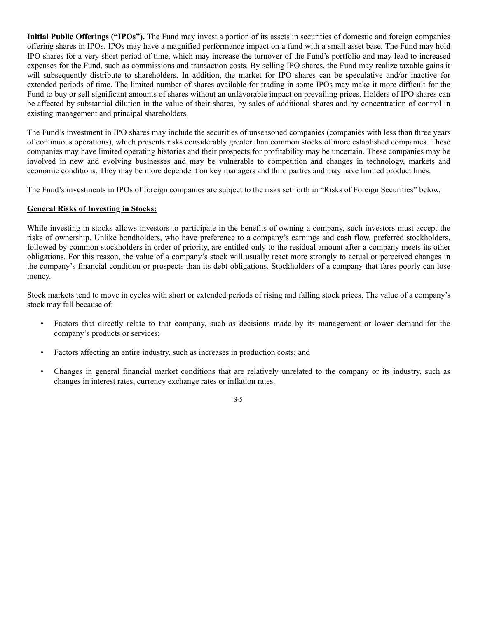**Initial Public Offerings ("IPOs").** The Fund may invest a portion of its assets in securities of domestic and foreign companies offering shares in IPOs. IPOs may have a magnified performance impact on a fund with a small asset base. The Fund may hold IPO shares for a very short period of time, which may increase the turnover of the Fund's portfolio and may lead to increased expenses for the Fund, such as commissions and transaction costs. By selling IPO shares, the Fund may realize taxable gains it will subsequently distribute to shareholders. In addition, the market for IPO shares can be speculative and/or inactive for extended periods of time. The limited number of shares available for trading in some IPOs may make it more difficult for the Fund to buy or sell significant amounts of shares without an unfavorable impact on prevailing prices. Holders of IPO shares can be affected by substantial dilution in the value of their shares, by sales of additional shares and by concentration of control in existing management and principal shareholders.

The Fund's investment in IPO shares may include the securities of unseasoned companies (companies with less than three years of continuous operations), which presents risks considerably greater than common stocks of more established companies. These companies may have limited operating histories and their prospects for profitability may be uncertain. These companies may be involved in new and evolving businesses and may be vulnerable to competition and changes in technology, markets and economic conditions. They may be more dependent on key managers and third parties and may have limited product lines.

The Fund's investments in IPOs of foreign companies are subject to the risks set forth in "Risks of Foreign Securities" below.

# **General Risks of Investing in Stocks:**

While investing in stocks allows investors to participate in the benefits of owning a company, such investors must accept the risks of ownership. Unlike bondholders, who have preference to a company's earnings and cash flow, preferred stockholders, followed by common stockholders in order of priority, are entitled only to the residual amount after a company meets its other obligations. For this reason, the value of a company's stock will usually react more strongly to actual or perceived changes in the company's financial condition or prospects than its debt obligations. Stockholders of a company that fares poorly can lose money.

Stock markets tend to move in cycles with short or extended periods of rising and falling stock prices. The value of a company's stock may fall because of:

- Factors that directly relate to that company, such as decisions made by its management or lower demand for the company's products or services;
- Factors affecting an entire industry, such as increases in production costs; and
- Changes in general financial market conditions that are relatively unrelated to the company or its industry, such as changes in interest rates, currency exchange rates or inflation rates.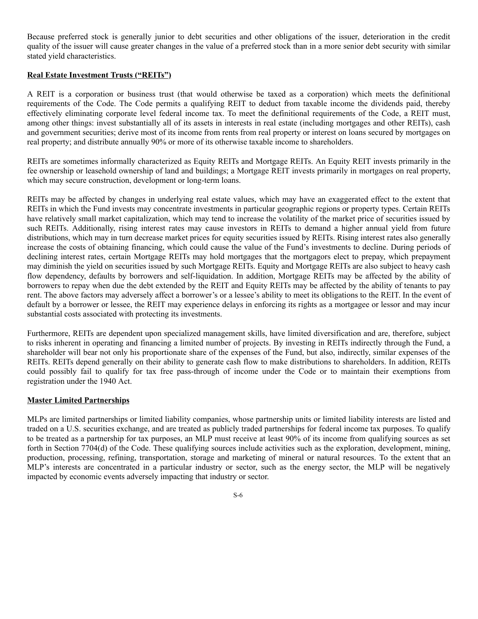Because preferred stock is generally junior to debt securities and other obligations of the issuer, deterioration in the credit quality of the issuer will cause greater changes in the value of a preferred stock than in a more senior debt security with similar stated yield characteristics.

## **Real Estate Investment Trusts ("REITs")**

A REIT is a corporation or business trust (that would otherwise be taxed as a corporation) which meets the definitional requirements of the Code. The Code permits a qualifying REIT to deduct from taxable income the dividends paid, thereby effectively eliminating corporate level federal income tax. To meet the definitional requirements of the Code, a REIT must, among other things: invest substantially all of its assets in interests in real estate (including mortgages and other REITs), cash and government securities; derive most of its income from rents from real property or interest on loans secured by mortgages on real property; and distribute annually 90% or more of its otherwise taxable income to shareholders.

REITs are sometimes informally characterized as Equity REITs and Mortgage REITs. An Equity REIT invests primarily in the fee ownership or leasehold ownership of land and buildings; a Mortgage REIT invests primarily in mortgages on real property, which may secure construction, development or long-term loans.

REITs may be affected by changes in underlying real estate values, which may have an exaggerated effect to the extent that REITs in which the Fund invests may concentrate investments in particular geographic regions or property types. Certain REITs have relatively small market capitalization, which may tend to increase the volatility of the market price of securities issued by such REITs. Additionally, rising interest rates may cause investors in REITs to demand a higher annual yield from future distributions, which may in turn decrease market prices for equity securities issued by REITs. Rising interest rates also generally increase the costs of obtaining financing, which could cause the value of the Fund's investments to decline. During periods of declining interest rates, certain Mortgage REITs may hold mortgages that the mortgagors elect to prepay, which prepayment may diminish the yield on securities issued by such Mortgage REITs. Equity and Mortgage REITs are also subject to heavy cash flow dependency, defaults by borrowers and self-liquidation. In addition, Mortgage REITs may be affected by the ability of borrowers to repay when due the debt extended by the REIT and Equity REITs may be affected by the ability of tenants to pay rent. The above factors may adversely affect a borrower's or a lessee's ability to meet its obligations to the REIT. In the event of default by a borrower or lessee, the REIT may experience delays in enforcing its rights as a mortgagee or lessor and may incur substantial costs associated with protecting its investments.

Furthermore, REITs are dependent upon specialized management skills, have limited diversification and are, therefore, subject to risks inherent in operating and financing a limited number of projects. By investing in REITs indirectly through the Fund, a shareholder will bear not only his proportionate share of the expenses of the Fund, but also, indirectly, similar expenses of the REITs. REITs depend generally on their ability to generate cash flow to make distributions to shareholders. In addition, REITs could possibly fail to qualify for tax free pass-through of income under the Code or to maintain their exemptions from registration under the 1940 Act.

#### **Master Limited Partnerships**

MLPs are limited partnerships or limited liability companies, whose partnership units or limited liability interests are listed and traded on a U.S. securities exchange, and are treated as publicly traded partnerships for federal income tax purposes. To qualify to be treated as a partnership for tax purposes, an MLP must receive at least 90% of its income from qualifying sources as set forth in Section 7704(d) of the Code. These qualifying sources include activities such as the exploration, development, mining, production, processing, refining, transportation, storage and marketing of mineral or natural resources. To the extent that an MLP's interests are concentrated in a particular industry or sector, such as the energy sector, the MLP will be negatively impacted by economic events adversely impacting that industry or sector.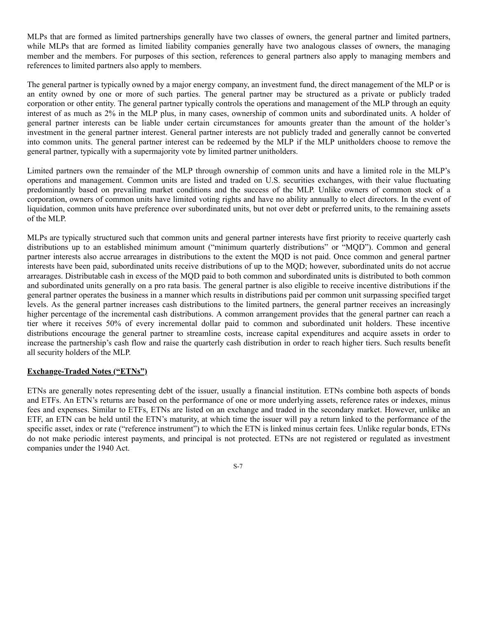MLPs that are formed as limited partnerships generally have two classes of owners, the general partner and limited partners, while MLPs that are formed as limited liability companies generally have two analogous classes of owners, the managing member and the members. For purposes of this section, references to general partners also apply to managing members and references to limited partners also apply to members.

The general partner is typically owned by a major energy company, an investment fund, the direct management of the MLP or is an entity owned by one or more of such parties. The general partner may be structured as a private or publicly traded corporation or other entity. The general partner typically controls the operations and management of the MLP through an equity interest of as much as 2% in the MLP plus, in many cases, ownership of common units and subordinated units. A holder of general partner interests can be liable under certain circumstances for amounts greater than the amount of the holder's investment in the general partner interest. General partner interests are not publicly traded and generally cannot be converted into common units. The general partner interest can be redeemed by the MLP if the MLP unitholders choose to remove the general partner, typically with a supermajority vote by limited partner unitholders.

Limited partners own the remainder of the MLP through ownership of common units and have a limited role in the MLP's operations and management. Common units are listed and traded on U.S. securities exchanges, with their value fluctuating predominantly based on prevailing market conditions and the success of the MLP. Unlike owners of common stock of a corporation, owners of common units have limited voting rights and have no ability annually to elect directors. In the event of liquidation, common units have preference over subordinated units, but not over debt or preferred units, to the remaining assets of the MLP.

MLPs are typically structured such that common units and general partner interests have first priority to receive quarterly cash distributions up to an established minimum amount ("minimum quarterly distributions" or "MOD"). Common and general partner interests also accrue arrearages in distributions to the extent the MQD is not paid. Once common and general partner interests have been paid, subordinated units receive distributions of up to the MQD; however, subordinated units do not accrue arrearages. Distributable cash in excess of the MQD paid to both common and subordinated units is distributed to both common and subordinated units generally on a pro rata basis. The general partner is also eligible to receive incentive distributions if the general partner operates the business in a manner which results in distributions paid per common unit surpassing specified target levels. As the general partner increases cash distributions to the limited partners, the general partner receives an increasingly higher percentage of the incremental cash distributions. A common arrangement provides that the general partner can reach a tier where it receives 50% of every incremental dollar paid to common and subordinated unit holders. These incentive distributions encourage the general partner to streamline costs, increase capital expenditures and acquire assets in order to increase the partnership's cash flow and raise the quarterly cash distribution in order to reach higher tiers. Such results benefit all security holders of the MLP.

#### **Exchange-Traded Notes ("ETNs")**

ETNs are generally notes representing debt of the issuer, usually a financial institution. ETNs combine both aspects of bonds and ETFs. An ETN's returns are based on the performance of one or more underlying assets, reference rates or indexes, minus fees and expenses. Similar to ETFs, ETNs are listed on an exchange and traded in the secondary market. However, unlike an ETF, an ETN can be held until the ETN's maturity, at which time the issuer will pay a return linked to the performance of the specific asset, index or rate ("reference instrument") to which the ETN is linked minus certain fees. Unlike regular bonds, ETNs do not make periodic interest payments, and principal is not protected. ETNs are not registered or regulated as investment companies under the 1940 Act.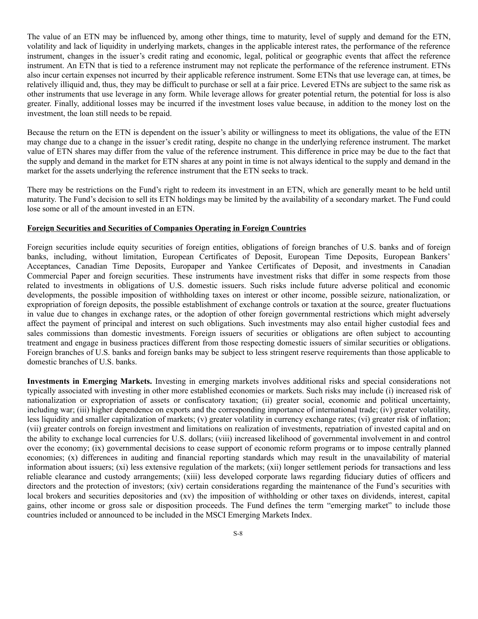The value of an ETN may be influenced by, among other things, time to maturity, level of supply and demand for the ETN, volatility and lack of liquidity in underlying markets, changes in the applicable interest rates, the performance of the reference instrument, changes in the issuer's credit rating and economic, legal, political or geographic events that affect the reference instrument. An ETN that is tied to a reference instrument may not replicate the performance of the reference instrument. ETNs also incur certain expenses not incurred by their applicable reference instrument. Some ETNs that use leverage can, at times, be relatively illiquid and, thus, they may be difficult to purchase or sell at a fair price. Levered ETNs are subject to the same risk as other instruments that use leverage in any form. While leverage allows for greater potential return, the potential for loss is also greater. Finally, additional losses may be incurred if the investment loses value because, in addition to the money lost on the investment, the loan still needs to be repaid.

Because the return on the ETN is dependent on the issuer's ability or willingness to meet its obligations, the value of the ETN may change due to a change in the issuer's credit rating, despite no change in the underlying reference instrument. The market value of ETN shares may differ from the value of the reference instrument. This difference in price may be due to the fact that the supply and demand in the market for ETN shares at any point in time is not always identical to the supply and demand in the market for the assets underlying the reference instrument that the ETN seeks to track.

There may be restrictions on the Fund's right to redeem its investment in an ETN, which are generally meant to be held until maturity. The Fund's decision to sell its ETN holdings may be limited by the availability of a secondary market. The Fund could lose some or all of the amount invested in an ETN.

#### **Foreign Securities and Securities of Companies Operating in Foreign Countries**

Foreign securities include equity securities of foreign entities, obligations of foreign branches of U.S. banks and of foreign banks, including, without limitation, European Certificates of Deposit, European Time Deposits, European Bankers' Acceptances, Canadian Time Deposits, Europaper and Yankee Certificates of Deposit, and investments in Canadian Commercial Paper and foreign securities. These instruments have investment risks that differ in some respects from those related to investments in obligations of U.S. domestic issuers. Such risks include future adverse political and economic developments, the possible imposition of withholding taxes on interest or other income, possible seizure, nationalization, or expropriation of foreign deposits, the possible establishment of exchange controls or taxation at the source, greater fluctuations in value due to changes in exchange rates, or the adoption of other foreign governmental restrictions which might adversely affect the payment of principal and interest on such obligations. Such investments may also entail higher custodial fees and sales commissions than domestic investments. Foreign issuers of securities or obligations are often subject to accounting treatment and engage in business practices different from those respecting domestic issuers of similar securities or obligations. Foreign branches of U.S. banks and foreign banks may be subject to less stringent reserve requirements than those applicable to domestic branches of U.S. banks.

**Investments in Emerging Markets.** Investing in emerging markets involves additional risks and special considerations not typically associated with investing in other more established economies or markets. Such risks may include (i) increased risk of nationalization or expropriation of assets or confiscatory taxation; (ii) greater social, economic and political uncertainty, including war; (iii) higher dependence on exports and the corresponding importance of international trade; (iv) greater volatility, less liquidity and smaller capitalization of markets; (v) greater volatility in currency exchange rates; (vi) greater risk of inflation; (vii) greater controls on foreign investment and limitations on realization of investments, repatriation of invested capital and on the ability to exchange local currencies for U.S. dollars; (viii) increased likelihood of governmental involvement in and control over the economy; (ix) governmental decisions to cease support of economic reform programs or to impose centrally planned economies; (x) differences in auditing and financial reporting standards which may result in the unavailability of material information about issuers; (xi) less extensive regulation of the markets; (xii) longer settlement periods for transactions and less reliable clearance and custody arrangements; (xiii) less developed corporate laws regarding fiduciary duties of officers and directors and the protection of investors; (xiv) certain considerations regarding the maintenance of the Fund's securities with local brokers and securities depositories and (xv) the imposition of withholding or other taxes on dividends, interest, capital gains, other income or gross sale or disposition proceeds. The Fund defines the term "emerging market" to include those countries included or announced to be included in the MSCI Emerging Markets Index.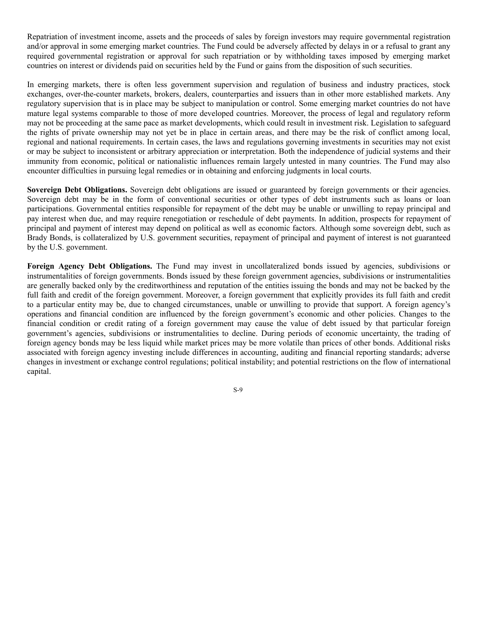Repatriation of investment income, assets and the proceeds of sales by foreign investors may require governmental registration and/or approval in some emerging market countries. The Fund could be adversely affected by delays in or a refusal to grant any required governmental registration or approval for such repatriation or by withholding taxes imposed by emerging market countries on interest or dividends paid on securities held by the Fund or gains from the disposition of such securities.

In emerging markets, there is often less government supervision and regulation of business and industry practices, stock exchanges, over-the-counter markets, brokers, dealers, counterparties and issuers than in other more established markets. Any regulatory supervision that is in place may be subject to manipulation or control. Some emerging market countries do not have mature legal systems comparable to those of more developed countries. Moreover, the process of legal and regulatory reform may not be proceeding at the same pace as market developments, which could result in investment risk. Legislation to safeguard the rights of private ownership may not yet be in place in certain areas, and there may be the risk of conflict among local, regional and national requirements. In certain cases, the laws and regulations governing investments in securities may not exist or may be subject to inconsistent or arbitrary appreciation or interpretation. Both the independence of judicial systems and their immunity from economic, political or nationalistic influences remain largely untested in many countries. The Fund may also encounter difficulties in pursuing legal remedies or in obtaining and enforcing judgments in local courts.

**Sovereign Debt Obligations.** Sovereign debt obligations are issued or guaranteed by foreign governments or their agencies. Sovereign debt may be in the form of conventional securities or other types of debt instruments such as loans or loan participations. Governmental entities responsible for repayment of the debt may be unable or unwilling to repay principal and pay interest when due, and may require renegotiation or reschedule of debt payments. In addition, prospects for repayment of principal and payment of interest may depend on political as well as economic factors. Although some sovereign debt, such as Brady Bonds, is collateralized by U.S. government securities, repayment of principal and payment of interest is not guaranteed by the U.S. government.

**Foreign Agency Debt Obligations.** The Fund may invest in uncollateralized bonds issued by agencies, subdivisions or instrumentalities of foreign governments. Bonds issued by these foreign government agencies, subdivisions or instrumentalities are generally backed only by the creditworthiness and reputation of the entities issuing the bonds and may not be backed by the full faith and credit of the foreign government. Moreover, a foreign government that explicitly provides its full faith and credit to a particular entity may be, due to changed circumstances, unable or unwilling to provide that support. A foreign agency's operations and financial condition are influenced by the foreign government's economic and other policies. Changes to the financial condition or credit rating of a foreign government may cause the value of debt issued by that particular foreign government's agencies, subdivisions or instrumentalities to decline. During periods of economic uncertainty, the trading of foreign agency bonds may be less liquid while market prices may be more volatile than prices of other bonds. Additional risks associated with foreign agency investing include differences in accounting, auditing and financial reporting standards; adverse changes in investment or exchange control regulations; political instability; and potential restrictions on the flow of international capital.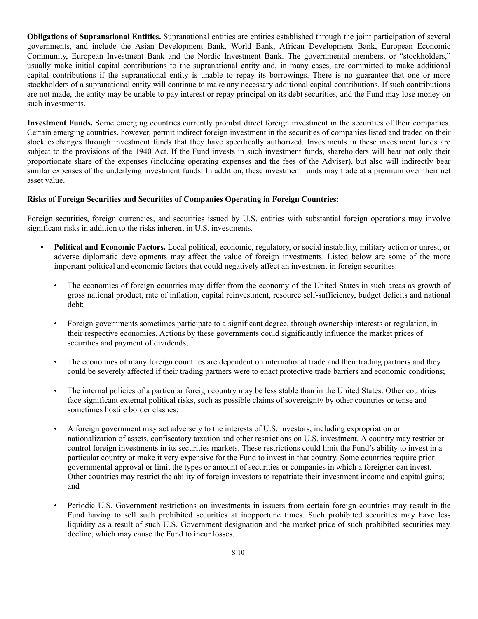**Obligations of Supranational Entities.** Supranational entities are entities established through the joint participation of several governments, and include the Asian Development Bank, World Bank, African Development Bank, European Economic Community, European Investment Bank and the Nordic Investment Bank. The governmental members, or "stockholders," usually make initial capital contributions to the supranational entity and, in many cases, are committed to make additional capital contributions if the supranational entity is unable to repay its borrowings. There is no guarantee that one or more stockholders of a supranational entity will continue to make any necessary additional capital contributions. If such contributions are not made, the entity may be unable to pay interest or repay principal on its debt securities, and the Fund may lose money on such investments.

**Investment Funds.** Some emerging countries currently prohibit direct foreign investment in the securities of their companies. Certain emerging countries, however, permit indirect foreign investment in the securities of companies listed and traded on their stock exchanges through investment funds that they have specifically authorized. Investments in these investment funds are subject to the provisions of the 1940 Act. If the Fund invests in such investment funds, shareholders will bear not only their proportionate share of the expenses (including operating expenses and the fees of the Adviser), but also will indirectly bear similar expenses of the underlying investment funds. In addition, these investment funds may trade at a premium over their net asset value.

## **Risks of Foreign Securities and Securities of Companies Operating in Foreign Countries:**

Foreign securities, foreign currencies, and securities issued by U.S. entities with substantial foreign operations may involve significant risks in addition to the risks inherent in U.S. investments.

- **Political and Economic Factors.** Local political, economic, regulatory, or social instability, military action or unrest, or adverse diplomatic developments may affect the value of foreign investments. Listed below are some of the more important political and economic factors that could negatively affect an investment in foreign securities:
	- The economies of foreign countries may differ from the economy of the United States in such areas as growth of gross national product, rate of inflation, capital reinvestment, resource self-sufficiency, budget deficits and national debt;
	- Foreign governments sometimes participate to a significant degree, through ownership interests or regulation, in their respective economies. Actions by these governments could significantly influence the market prices of securities and payment of dividends;
	- The economies of many foreign countries are dependent on international trade and their trading partners and they could be severely affected if their trading partners were to enact protective trade barriers and economic conditions;
	- The internal policies of a particular foreign country may be less stable than in the United States. Other countries face significant external political risks, such as possible claims of sovereignty by other countries or tense and sometimes hostile border clashes;
	- A foreign government may act adversely to the interests of U.S. investors, including expropriation or nationalization of assets, confiscatory taxation and other restrictions on U.S. investment. A country may restrict or control foreign investments in its securities markets. These restrictions could limit the Fund's ability to invest in a particular country or make it very expensive for the Fund to invest in that country. Some countries require prior governmental approval or limit the types or amount of securities or companies in which a foreigner can invest. Other countries may restrict the ability of foreign investors to repatriate their investment income and capital gains; and
	- Periodic U.S. Government restrictions on investments in issuers from certain foreign countries may result in the Fund having to sell such prohibited securities at inopportune times. Such prohibited securities may have less liquidity as a result of such U.S. Government designation and the market price of such prohibited securities may decline, which may cause the Fund to incur losses.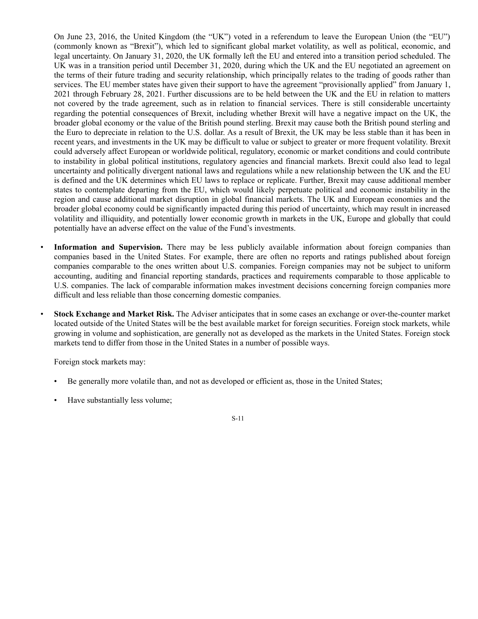On June 23, 2016, the United Kingdom (the "UK") voted in a referendum to leave the European Union (the "EU") (commonly known as "Brexit"), which led to significant global market volatility, as well as political, economic, and legal uncertainty. On January 31, 2020, the UK formally left the EU and entered into a transition period scheduled. The UK was in a transition period until December 31, 2020, during which the UK and the EU negotiated an agreement on the terms of their future trading and security relationship, which principally relates to the trading of goods rather than services. The EU member states have given their support to have the agreement "provisionally applied" from January 1, 2021 through February 28, 2021. Further discussions are to be held between the UK and the EU in relation to matters not covered by the trade agreement, such as in relation to financial services. There is still considerable uncertainty regarding the potential consequences of Brexit, including whether Brexit will have a negative impact on the UK, the broader global economy or the value of the British pound sterling. Brexit may cause both the British pound sterling and the Euro to depreciate in relation to the U.S. dollar. As a result of Brexit, the UK may be less stable than it has been in recent years, and investments in the UK may be difficult to value or subject to greater or more frequent volatility. Brexit could adversely affect European or worldwide political, regulatory, economic or market conditions and could contribute to instability in global political institutions, regulatory agencies and financial markets. Brexit could also lead to legal uncertainty and politically divergent national laws and regulations while a new relationship between the UK and the EU is defined and the UK determines which EU laws to replace or replicate. Further, Brexit may cause additional member states to contemplate departing from the EU, which would likely perpetuate political and economic instability in the region and cause additional market disruption in global financial markets. The UK and European economies and the broader global economy could be significantly impacted during this period of uncertainty, which may result in increased volatility and illiquidity, and potentially lower economic growth in markets in the UK, Europe and globally that could potentially have an adverse effect on the value of the Fund's investments.

- **Information and Supervision.** There may be less publicly available information about foreign companies than companies based in the United States. For example, there are often no reports and ratings published about foreign companies comparable to the ones written about U.S. companies. Foreign companies may not be subject to uniform accounting, auditing and financial reporting standards, practices and requirements comparable to those applicable to U.S. companies. The lack of comparable information makes investment decisions concerning foreign companies more difficult and less reliable than those concerning domestic companies.
- **Stock Exchange and Market Risk.** The Adviser anticipates that in some cases an exchange or over-the-counter market located outside of the United States will be the best available market for foreign securities. Foreign stock markets, while growing in volume and sophistication, are generally not as developed as the markets in the United States. Foreign stock markets tend to differ from those in the United States in a number of possible ways.

Foreign stock markets may:

- Be generally more volatile than, and not as developed or efficient as, those in the United States;
- Have substantially less volume;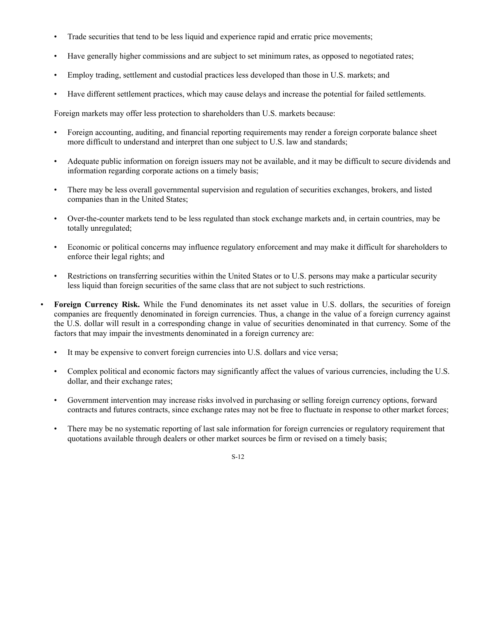- Trade securities that tend to be less liquid and experience rapid and erratic price movements;
- Have generally higher commissions and are subject to set minimum rates, as opposed to negotiated rates;
- Employ trading, settlement and custodial practices less developed than those in U.S. markets; and
- Have different settlement practices, which may cause delays and increase the potential for failed settlements.

Foreign markets may offer less protection to shareholders than U.S. markets because:

- Foreign accounting, auditing, and financial reporting requirements may render a foreign corporate balance sheet more difficult to understand and interpret than one subject to U.S. law and standards;
- Adequate public information on foreign issuers may not be available, and it may be difficult to secure dividends and information regarding corporate actions on a timely basis;
- There may be less overall governmental supervision and regulation of securities exchanges, brokers, and listed companies than in the United States;
- Over-the-counter markets tend to be less regulated than stock exchange markets and, in certain countries, may be totally unregulated;
- Economic or political concerns may influence regulatory enforcement and may make it difficult for shareholders to enforce their legal rights; and
- Restrictions on transferring securities within the United States or to U.S. persons may make a particular security less liquid than foreign securities of the same class that are not subject to such restrictions.
- **Foreign Currency Risk.** While the Fund denominates its net asset value in U.S. dollars, the securities of foreign companies are frequently denominated in foreign currencies. Thus, a change in the value of a foreign currency against the U.S. dollar will result in a corresponding change in value of securities denominated in that currency. Some of the factors that may impair the investments denominated in a foreign currency are:
	- It may be expensive to convert foreign currencies into U.S. dollars and vice versa;
	- Complex political and economic factors may significantly affect the values of various currencies, including the U.S. dollar, and their exchange rates;
	- Government intervention may increase risks involved in purchasing or selling foreign currency options, forward contracts and futures contracts, since exchange rates may not be free to fluctuate in response to other market forces;
	- There may be no systematic reporting of last sale information for foreign currencies or regulatory requirement that quotations available through dealers or other market sources be firm or revised on a timely basis;
		- S-12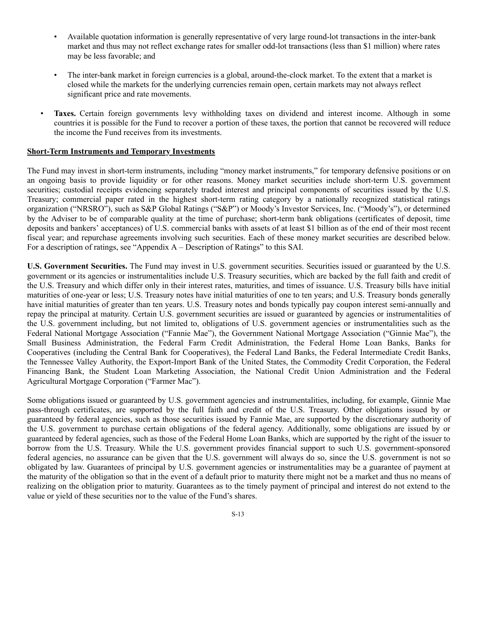- Available quotation information is generally representative of very large round-lot transactions in the inter-bank market and thus may not reflect exchange rates for smaller odd-lot transactions (less than \$1 million) where rates may be less favorable; and
- The inter-bank market in foreign currencies is a global, around-the-clock market. To the extent that a market is closed while the markets for the underlying currencies remain open, certain markets may not always reflect significant price and rate movements.
- **Taxes.** Certain foreign governments levy withholding taxes on dividend and interest income. Although in some countries it is possible for the Fund to recover a portion of these taxes, the portion that cannot be recovered will reduce the income the Fund receives from its investments.

#### **Short-Term Instruments and Temporary Investments**

The Fund may invest in short-term instruments, including "money market instruments," for temporary defensive positions or on an ongoing basis to provide liquidity or for other reasons. Money market securities include short-term U.S. government securities; custodial receipts evidencing separately traded interest and principal components of securities issued by the U.S. Treasury; commercial paper rated in the highest short-term rating category by a nationally recognized statistical ratings organization ("NRSRO"), such as S&P Global Ratings ("S&P") or Moody's Investor Services, Inc. ("Moody's"), or determined by the Adviser to be of comparable quality at the time of purchase; short-term bank obligations (certificates of deposit, time deposits and bankers' acceptances) of U.S. commercial banks with assets of at least \$1 billion as of the end of their most recent fiscal year; and repurchase agreements involving such securities. Each of these money market securities are described below. For a description of ratings, see "Appendix A – Description of Ratings" to this SAI.

**U.S. Government Securities.** The Fund may invest in U.S. government securities. Securities issued or guaranteed by the U.S. government or its agencies or instrumentalities include U.S. Treasury securities, which are backed by the full faith and credit of the U.S. Treasury and which differ only in their interest rates, maturities, and times of issuance. U.S. Treasury bills have initial maturities of one-year or less; U.S. Treasury notes have initial maturities of one to ten years; and U.S. Treasury bonds generally have initial maturities of greater than ten years. U.S. Treasury notes and bonds typically pay coupon interest semi-annually and repay the principal at maturity. Certain U.S. government securities are issued or guaranteed by agencies or instrumentalities of the U.S. government including, but not limited to, obligations of U.S. government agencies or instrumentalities such as the Federal National Mortgage Association ("Fannie Mae"), the Government National Mortgage Association ("Ginnie Mae"), the Small Business Administration, the Federal Farm Credit Administration, the Federal Home Loan Banks, Banks for Cooperatives (including the Central Bank for Cooperatives), the Federal Land Banks, the Federal Intermediate Credit Banks, the Tennessee Valley Authority, the Export-Import Bank of the United States, the Commodity Credit Corporation, the Federal Financing Bank, the Student Loan Marketing Association, the National Credit Union Administration and the Federal Agricultural Mortgage Corporation ("Farmer Mac").

Some obligations issued or guaranteed by U.S. government agencies and instrumentalities, including, for example, Ginnie Mae pass-through certificates, are supported by the full faith and credit of the U.S. Treasury. Other obligations issued by or guaranteed by federal agencies, such as those securities issued by Fannie Mae, are supported by the discretionary authority of the U.S. government to purchase certain obligations of the federal agency. Additionally, some obligations are issued by or guaranteed by federal agencies, such as those of the Federal Home Loan Banks, which are supported by the right of the issuer to borrow from the U.S. Treasury. While the U.S. government provides financial support to such U.S. government-sponsored federal agencies, no assurance can be given that the U.S. government will always do so, since the U.S. government is not so obligated by law. Guarantees of principal by U.S. government agencies or instrumentalities may be a guarantee of payment at the maturity of the obligation so that in the event of a default prior to maturity there might not be a market and thus no means of realizing on the obligation prior to maturity. Guarantees as to the timely payment of principal and interest do not extend to the value or yield of these securities nor to the value of the Fund's shares.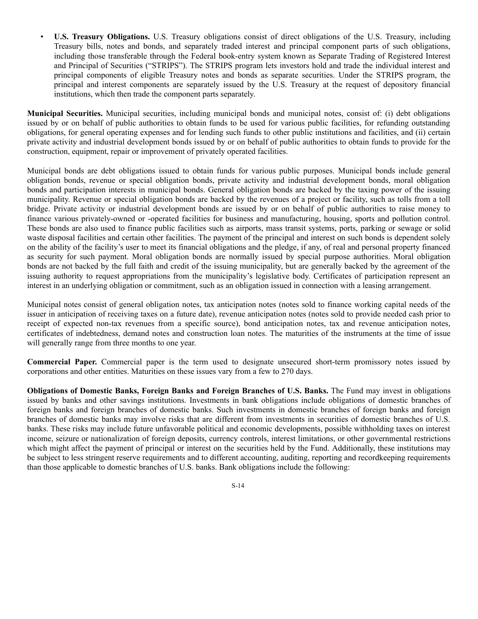• **U.S. Treasury Obligations.** U.S. Treasury obligations consist of direct obligations of the U.S. Treasury, including Treasury bills, notes and bonds, and separately traded interest and principal component parts of such obligations, including those transferable through the Federal book-entry system known as Separate Trading of Registered Interest and Principal of Securities ("STRIPS"). The STRIPS program lets investors hold and trade the individual interest and principal components of eligible Treasury notes and bonds as separate securities. Under the STRIPS program, the principal and interest components are separately issued by the U.S. Treasury at the request of depository financial institutions, which then trade the component parts separately.

**Municipal Securities.** Municipal securities, including municipal bonds and municipal notes, consist of: (i) debt obligations issued by or on behalf of public authorities to obtain funds to be used for various public facilities, for refunding outstanding obligations, for general operating expenses and for lending such funds to other public institutions and facilities, and (ii) certain private activity and industrial development bonds issued by or on behalf of public authorities to obtain funds to provide for the construction, equipment, repair or improvement of privately operated facilities.

Municipal bonds are debt obligations issued to obtain funds for various public purposes. Municipal bonds include general obligation bonds, revenue or special obligation bonds, private activity and industrial development bonds, moral obligation bonds and participation interests in municipal bonds. General obligation bonds are backed by the taxing power of the issuing municipality. Revenue or special obligation bonds are backed by the revenues of a project or facility, such as tolls from a toll bridge. Private activity or industrial development bonds are issued by or on behalf of public authorities to raise money to finance various privately-owned or -operated facilities for business and manufacturing, housing, sports and pollution control. These bonds are also used to finance public facilities such as airports, mass transit systems, ports, parking or sewage or solid waste disposal facilities and certain other facilities. The payment of the principal and interest on such bonds is dependent solely on the ability of the facility's user to meet its financial obligations and the pledge, if any, of real and personal property financed as security for such payment. Moral obligation bonds are normally issued by special purpose authorities. Moral obligation bonds are not backed by the full faith and credit of the issuing municipality, but are generally backed by the agreement of the issuing authority to request appropriations from the municipality's legislative body. Certificates of participation represent an interest in an underlying obligation or commitment, such as an obligation issued in connection with a leasing arrangement.

Municipal notes consist of general obligation notes, tax anticipation notes (notes sold to finance working capital needs of the issuer in anticipation of receiving taxes on a future date), revenue anticipation notes (notes sold to provide needed cash prior to receipt of expected non-tax revenues from a specific source), bond anticipation notes, tax and revenue anticipation notes, certificates of indebtedness, demand notes and construction loan notes. The maturities of the instruments at the time of issue will generally range from three months to one year.

**Commercial Paper.** Commercial paper is the term used to designate unsecured short-term promissory notes issued by corporations and other entities. Maturities on these issues vary from a few to 270 days.

**Obligations of Domestic Banks, Foreign Banks and Foreign Branches of U.S. Banks.** The Fund may invest in obligations issued by banks and other savings institutions. Investments in bank obligations include obligations of domestic branches of foreign banks and foreign branches of domestic banks. Such investments in domestic branches of foreign banks and foreign branches of domestic banks may involve risks that are different from investments in securities of domestic branches of U.S. banks. These risks may include future unfavorable political and economic developments, possible withholding taxes on interest income, seizure or nationalization of foreign deposits, currency controls, interest limitations, or other governmental restrictions which might affect the payment of principal or interest on the securities held by the Fund. Additionally, these institutions may be subject to less stringent reserve requirements and to different accounting, auditing, reporting and recordkeeping requirements than those applicable to domestic branches of U.S. banks. Bank obligations include the following: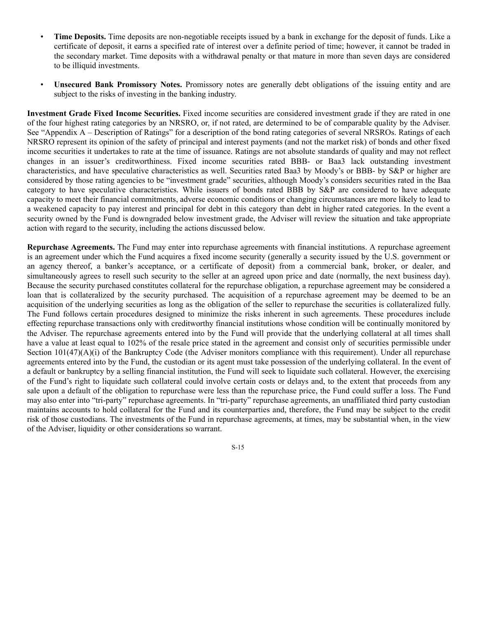- **Time Deposits.** Time deposits are non-negotiable receipts issued by a bank in exchange for the deposit of funds. Like a certificate of deposit, it earns a specified rate of interest over a definite period of time; however, it cannot be traded in the secondary market. Time deposits with a withdrawal penalty or that mature in more than seven days are considered to be illiquid investments.
- **Unsecured Bank Promissory Notes.** Promissory notes are generally debt obligations of the issuing entity and are subject to the risks of investing in the banking industry.

**Investment Grade Fixed Income Securities.** Fixed income securities are considered investment grade if they are rated in one of the four highest rating categories by an NRSRO, or, if not rated, are determined to be of comparable quality by the Adviser. See "Appendix A – Description of Ratings" for a description of the bond rating categories of several NRSROs. Ratings of each NRSRO represent its opinion of the safety of principal and interest payments (and not the market risk) of bonds and other fixed income securities it undertakes to rate at the time of issuance. Ratings are not absolute standards of quality and may not reflect changes in an issuer's creditworthiness. Fixed income securities rated BBB- or Baa3 lack outstanding investment characteristics, and have speculative characteristics as well. Securities rated Baa3 by Moody's or BBB- by S&P or higher are considered by those rating agencies to be "investment grade" securities, although Moody's considers securities rated in the Baa category to have speculative characteristics. While issuers of bonds rated BBB by S&P are considered to have adequate capacity to meet their financial commitments, adverse economic conditions or changing circumstances are more likely to lead to a weakened capacity to pay interest and principal for debt in this category than debt in higher rated categories. In the event a security owned by the Fund is downgraded below investment grade, the Adviser will review the situation and take appropriate action with regard to the security, including the actions discussed below.

**Repurchase Agreements.** The Fund may enter into repurchase agreements with financial institutions. A repurchase agreement is an agreement under which the Fund acquires a fixed income security (generally a security issued by the U.S. government or an agency thereof, a banker's acceptance, or a certificate of deposit) from a commercial bank, broker, or dealer, and simultaneously agrees to resell such security to the seller at an agreed upon price and date (normally, the next business day). Because the security purchased constitutes collateral for the repurchase obligation, a repurchase agreement may be considered a loan that is collateralized by the security purchased. The acquisition of a repurchase agreement may be deemed to be an acquisition of the underlying securities as long as the obligation of the seller to repurchase the securities is collateralized fully. The Fund follows certain procedures designed to minimize the risks inherent in such agreements. These procedures include effecting repurchase transactions only with creditworthy financial institutions whose condition will be continually monitored by the Adviser. The repurchase agreements entered into by the Fund will provide that the underlying collateral at all times shall have a value at least equal to 102% of the resale price stated in the agreement and consist only of securities permissible under Section  $101(47)(A)(i)$  of the Bankruptcy Code (the Adviser monitors compliance with this requirement). Under all repurchase agreements entered into by the Fund, the custodian or its agent must take possession of the underlying collateral. In the event of a default or bankruptcy by a selling financial institution, the Fund will seek to liquidate such collateral. However, the exercising of the Fund's right to liquidate such collateral could involve certain costs or delays and, to the extent that proceeds from any sale upon a default of the obligation to repurchase were less than the repurchase price, the Fund could suffer a loss. The Fund may also enter into "tri-party" repurchase agreements. In "tri-party" repurchase agreements, an unaffiliated third party custodian maintains accounts to hold collateral for the Fund and its counterparties and, therefore, the Fund may be subject to the credit risk of those custodians. The investments of the Fund in repurchase agreements, at times, may be substantial when, in the view of the Adviser, liquidity or other considerations so warrant.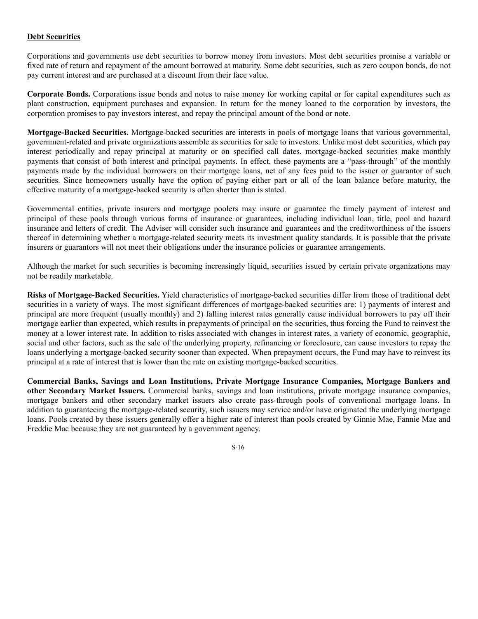## **Debt Securities**

Corporations and governments use debt securities to borrow money from investors. Most debt securities promise a variable or fixed rate of return and repayment of the amount borrowed at maturity. Some debt securities, such as zero coupon bonds, do not pay current interest and are purchased at a discount from their face value.

**Corporate Bonds.** Corporations issue bonds and notes to raise money for working capital or for capital expenditures such as plant construction, equipment purchases and expansion. In return for the money loaned to the corporation by investors, the corporation promises to pay investors interest, and repay the principal amount of the bond or note.

**Mortgage-Backed Securities.** Mortgage-backed securities are interests in pools of mortgage loans that various governmental, government-related and private organizations assemble as securities for sale to investors. Unlike most debt securities, which pay interest periodically and repay principal at maturity or on specified call dates, mortgage-backed securities make monthly payments that consist of both interest and principal payments. In effect, these payments are a "pass-through" of the monthly payments made by the individual borrowers on their mortgage loans, net of any fees paid to the issuer or guarantor of such securities. Since homeowners usually have the option of paying either part or all of the loan balance before maturity, the effective maturity of a mortgage-backed security is often shorter than is stated.

Governmental entities, private insurers and mortgage poolers may insure or guarantee the timely payment of interest and principal of these pools through various forms of insurance or guarantees, including individual loan, title, pool and hazard insurance and letters of credit. The Adviser will consider such insurance and guarantees and the creditworthiness of the issuers thereof in determining whether a mortgage-related security meets its investment quality standards. It is possible that the private insurers or guarantors will not meet their obligations under the insurance policies or guarantee arrangements.

Although the market for such securities is becoming increasingly liquid, securities issued by certain private organizations may not be readily marketable.

**Risks of Mortgage-Backed Securities.** Yield characteristics of mortgage-backed securities differ from those of traditional debt securities in a variety of ways. The most significant differences of mortgage-backed securities are: 1) payments of interest and principal are more frequent (usually monthly) and 2) falling interest rates generally cause individual borrowers to pay off their mortgage earlier than expected, which results in prepayments of principal on the securities, thus forcing the Fund to reinvest the money at a lower interest rate. In addition to risks associated with changes in interest rates, a variety of economic, geographic, social and other factors, such as the sale of the underlying property, refinancing or foreclosure, can cause investors to repay the loans underlying a mortgage-backed security sooner than expected. When prepayment occurs, the Fund may have to reinvest its principal at a rate of interest that is lower than the rate on existing mortgage-backed securities.

**Commercial Banks, Savings and Loan Institutions, Private Mortgage Insurance Companies, Mortgage Bankers and other Secondary Market Issuers.** Commercial banks, savings and loan institutions, private mortgage insurance companies, mortgage bankers and other secondary market issuers also create pass-through pools of conventional mortgage loans. In addition to guaranteeing the mortgage-related security, such issuers may service and/or have originated the underlying mortgage loans. Pools created by these issuers generally offer a higher rate of interest than pools created by Ginnie Mae, Fannie Mae and Freddie Mac because they are not guaranteed by a government agency.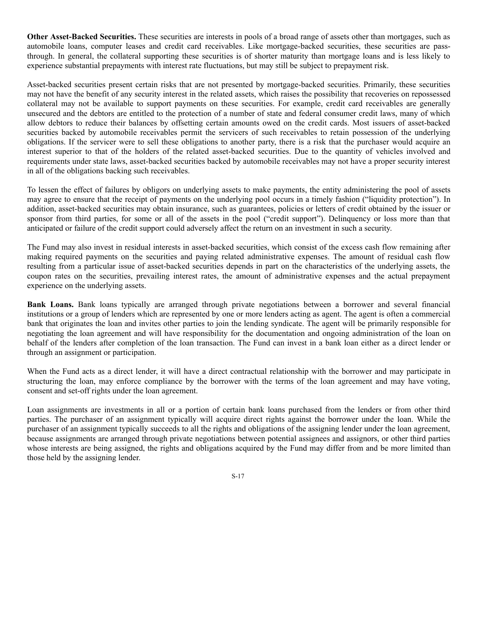**Other Asset-Backed Securities.** These securities are interests in pools of a broad range of assets other than mortgages, such as automobile loans, computer leases and credit card receivables. Like mortgage-backed securities, these securities are passthrough. In general, the collateral supporting these securities is of shorter maturity than mortgage loans and is less likely to experience substantial prepayments with interest rate fluctuations, but may still be subject to prepayment risk.

Asset-backed securities present certain risks that are not presented by mortgage-backed securities. Primarily, these securities may not have the benefit of any security interest in the related assets, which raises the possibility that recoveries on repossessed collateral may not be available to support payments on these securities. For example, credit card receivables are generally unsecured and the debtors are entitled to the protection of a number of state and federal consumer credit laws, many of which allow debtors to reduce their balances by offsetting certain amounts owed on the credit cards. Most issuers of asset-backed securities backed by automobile receivables permit the servicers of such receivables to retain possession of the underlying obligations. If the servicer were to sell these obligations to another party, there is a risk that the purchaser would acquire an interest superior to that of the holders of the related asset-backed securities. Due to the quantity of vehicles involved and requirements under state laws, asset-backed securities backed by automobile receivables may not have a proper security interest in all of the obligations backing such receivables.

To lessen the effect of failures by obligors on underlying assets to make payments, the entity administering the pool of assets may agree to ensure that the receipt of payments on the underlying pool occurs in a timely fashion ("liquidity protection"). In addition, asset-backed securities may obtain insurance, such as guarantees, policies or letters of credit obtained by the issuer or sponsor from third parties, for some or all of the assets in the pool ("credit support"). Delinquency or loss more than that anticipated or failure of the credit support could adversely affect the return on an investment in such a security.

The Fund may also invest in residual interests in asset-backed securities, which consist of the excess cash flow remaining after making required payments on the securities and paying related administrative expenses. The amount of residual cash flow resulting from a particular issue of asset-backed securities depends in part on the characteristics of the underlying assets, the coupon rates on the securities, prevailing interest rates, the amount of administrative expenses and the actual prepayment experience on the underlying assets.

**Bank Loans.** Bank loans typically are arranged through private negotiations between a borrower and several financial institutions or a group of lenders which are represented by one or more lenders acting as agent. The agent is often a commercial bank that originates the loan and invites other parties to join the lending syndicate. The agent will be primarily responsible for negotiating the loan agreement and will have responsibility for the documentation and ongoing administration of the loan on behalf of the lenders after completion of the loan transaction. The Fund can invest in a bank loan either as a direct lender or through an assignment or participation.

When the Fund acts as a direct lender, it will have a direct contractual relationship with the borrower and may participate in structuring the loan, may enforce compliance by the borrower with the terms of the loan agreement and may have voting, consent and set-off rights under the loan agreement.

Loan assignments are investments in all or a portion of certain bank loans purchased from the lenders or from other third parties. The purchaser of an assignment typically will acquire direct rights against the borrower under the loan. While the purchaser of an assignment typically succeeds to all the rights and obligations of the assigning lender under the loan agreement, because assignments are arranged through private negotiations between potential assignees and assignors, or other third parties whose interests are being assigned, the rights and obligations acquired by the Fund may differ from and be more limited than those held by the assigning lender.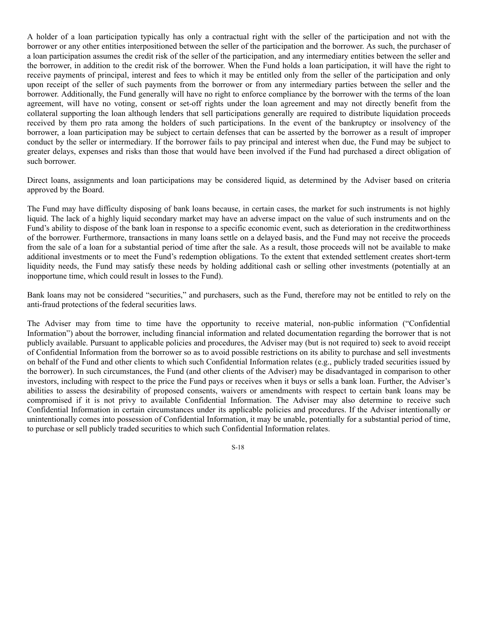A holder of a loan participation typically has only a contractual right with the seller of the participation and not with the borrower or any other entities interpositioned between the seller of the participation and the borrower. As such, the purchaser of a loan participation assumes the credit risk of the seller of the participation, and any intermediary entities between the seller and the borrower, in addition to the credit risk of the borrower. When the Fund holds a loan participation, it will have the right to receive payments of principal, interest and fees to which it may be entitled only from the seller of the participation and only upon receipt of the seller of such payments from the borrower or from any intermediary parties between the seller and the borrower. Additionally, the Fund generally will have no right to enforce compliance by the borrower with the terms of the loan agreement, will have no voting, consent or set-off rights under the loan agreement and may not directly benefit from the collateral supporting the loan although lenders that sell participations generally are required to distribute liquidation proceeds received by them pro rata among the holders of such participations. In the event of the bankruptcy or insolvency of the borrower, a loan participation may be subject to certain defenses that can be asserted by the borrower as a result of improper conduct by the seller or intermediary. If the borrower fails to pay principal and interest when due, the Fund may be subject to greater delays, expenses and risks than those that would have been involved if the Fund had purchased a direct obligation of such borrower.

Direct loans, assignments and loan participations may be considered liquid, as determined by the Adviser based on criteria approved by the Board.

The Fund may have difficulty disposing of bank loans because, in certain cases, the market for such instruments is not highly liquid. The lack of a highly liquid secondary market may have an adverse impact on the value of such instruments and on the Fund's ability to dispose of the bank loan in response to a specific economic event, such as deterioration in the creditworthiness of the borrower. Furthermore, transactions in many loans settle on a delayed basis, and the Fund may not receive the proceeds from the sale of a loan for a substantial period of time after the sale. As a result, those proceeds will not be available to make additional investments or to meet the Fund's redemption obligations. To the extent that extended settlement creates short-term liquidity needs, the Fund may satisfy these needs by holding additional cash or selling other investments (potentially at an inopportune time, which could result in losses to the Fund).

Bank loans may not be considered "securities," and purchasers, such as the Fund, therefore may not be entitled to rely on the anti-fraud protections of the federal securities laws.

The Adviser may from time to time have the opportunity to receive material, non-public information ("Confidential Information") about the borrower, including financial information and related documentation regarding the borrower that is not publicly available. Pursuant to applicable policies and procedures, the Adviser may (but is not required to) seek to avoid receipt of Confidential Information from the borrower so as to avoid possible restrictions on its ability to purchase and sell investments on behalf of the Fund and other clients to which such Confidential Information relates (e.g., publicly traded securities issued by the borrower). In such circumstances, the Fund (and other clients of the Adviser) may be disadvantaged in comparison to other investors, including with respect to the price the Fund pays or receives when it buys or sells a bank loan. Further, the Adviser's abilities to assess the desirability of proposed consents, waivers or amendments with respect to certain bank loans may be compromised if it is not privy to available Confidential Information. The Adviser may also determine to receive such Confidential Information in certain circumstances under its applicable policies and procedures. If the Adviser intentionally or unintentionally comes into possession of Confidential Information, it may be unable, potentially for a substantial period of time, to purchase or sell publicly traded securities to which such Confidential Information relates.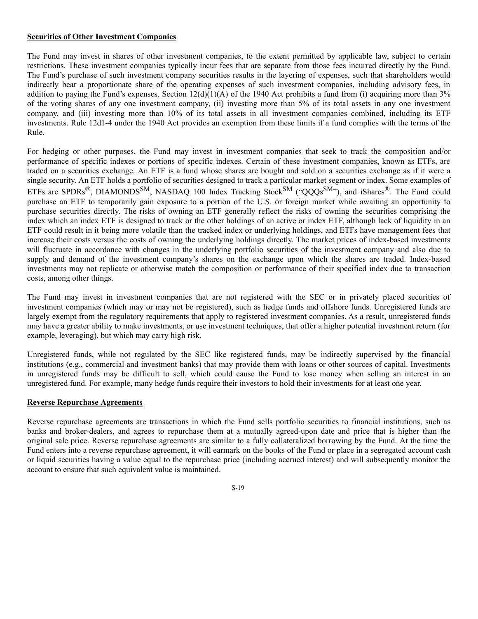#### **Securities of Other Investment Companies**

The Fund may invest in shares of other investment companies, to the extent permitted by applicable law, subject to certain restrictions. These investment companies typically incur fees that are separate from those fees incurred directly by the Fund. The Fund's purchase of such investment company securities results in the layering of expenses, such that shareholders would indirectly bear a proportionate share of the operating expenses of such investment companies, including advisory fees, in addition to paying the Fund's expenses. Section  $12(d)(1)(A)$  of the 1940 Act prohibits a fund from (i) acquiring more than 3% of the voting shares of any one investment company, (ii) investing more than 5% of its total assets in any one investment company, and (iii) investing more than 10% of its total assets in all investment companies combined, including its ETF investments. Rule 12d1-4 under the 1940 Act provides an exemption from these limits if a fund complies with the terms of the Rule.

For hedging or other purposes, the Fund may invest in investment companies that seek to track the composition and/or performance of specific indexes or portions of specific indexes. Certain of these investment companies, known as ETFs, are traded on a securities exchange. An ETF is a fund whose shares are bought and sold on a securities exchange as if it were a single security. An ETF holds a portfolio of securities designed to track a particular market segment or index. Some examples of ETFs are SPDRs<sup>®</sup>, DIAMONDS<sup>SM</sup>, NASDAQ 100 Index Tracking Stock<sup>SM</sup> ("QQQs<sup>SM</sup>"), and iShares®. The Fund could purchase an ETF to temporarily gain exposure to a portion of the U.S. or foreign market while awaiting an opportunity to purchase securities directly. The risks of owning an ETF generally reflect the risks of owning the securities comprising the index which an index ETF is designed to track or the other holdings of an active or index ETF, although lack of liquidity in an ETF could result in it being more volatile than the tracked index or underlying holdings, and ETFs have management fees that increase their costs versus the costs of owning the underlying holdings directly. The market prices of index-based investments will fluctuate in accordance with changes in the underlying portfolio securities of the investment company and also due to supply and demand of the investment company's shares on the exchange upon which the shares are traded. Index-based investments may not replicate or otherwise match the composition or performance of their specified index due to transaction costs, among other things.

The Fund may invest in investment companies that are not registered with the SEC or in privately placed securities of investment companies (which may or may not be registered), such as hedge funds and offshore funds. Unregistered funds are largely exempt from the regulatory requirements that apply to registered investment companies. As a result, unregistered funds may have a greater ability to make investments, or use investment techniques, that offer a higher potential investment return (for example, leveraging), but which may carry high risk.

Unregistered funds, while not regulated by the SEC like registered funds, may be indirectly supervised by the financial institutions (e.g., commercial and investment banks) that may provide them with loans or other sources of capital. Investments in unregistered funds may be difficult to sell, which could cause the Fund to lose money when selling an interest in an unregistered fund. For example, many hedge funds require their investors to hold their investments for at least one year.

#### **Reverse Repurchase Agreements**

Reverse repurchase agreements are transactions in which the Fund sells portfolio securities to financial institutions, such as banks and broker-dealers, and agrees to repurchase them at a mutually agreed-upon date and price that is higher than the original sale price. Reverse repurchase agreements are similar to a fully collateralized borrowing by the Fund. At the time the Fund enters into a reverse repurchase agreement, it will earmark on the books of the Fund or place in a segregated account cash or liquid securities having a value equal to the repurchase price (including accrued interest) and will subsequently monitor the account to ensure that such equivalent value is maintained.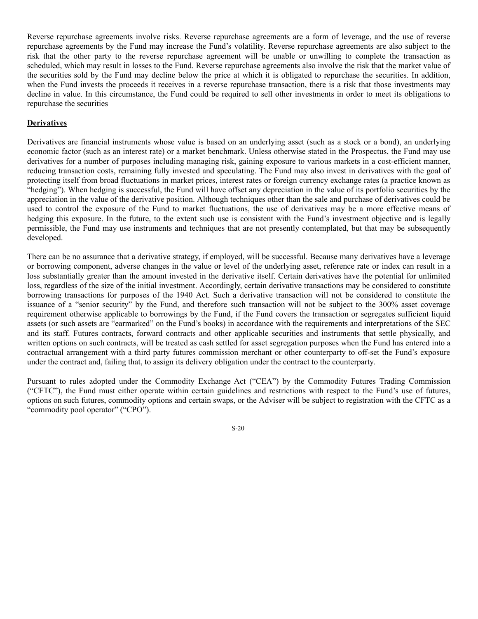Reverse repurchase agreements involve risks. Reverse repurchase agreements are a form of leverage, and the use of reverse repurchase agreements by the Fund may increase the Fund's volatility. Reverse repurchase agreements are also subject to the risk that the other party to the reverse repurchase agreement will be unable or unwilling to complete the transaction as scheduled, which may result in losses to the Fund. Reverse repurchase agreements also involve the risk that the market value of the securities sold by the Fund may decline below the price at which it is obligated to repurchase the securities. In addition, when the Fund invests the proceeds it receives in a reverse repurchase transaction, there is a risk that those investments may decline in value. In this circumstance, the Fund could be required to sell other investments in order to meet its obligations to repurchase the securities

#### **Derivatives**

Derivatives are financial instruments whose value is based on an underlying asset (such as a stock or a bond), an underlying economic factor (such as an interest rate) or a market benchmark. Unless otherwise stated in the Prospectus, the Fund may use derivatives for a number of purposes including managing risk, gaining exposure to various markets in a cost-efficient manner, reducing transaction costs, remaining fully invested and speculating. The Fund may also invest in derivatives with the goal of protecting itself from broad fluctuations in market prices, interest rates or foreign currency exchange rates (a practice known as "hedging"). When hedging is successful, the Fund will have offset any depreciation in the value of its portfolio securities by the appreciation in the value of the derivative position. Although techniques other than the sale and purchase of derivatives could be used to control the exposure of the Fund to market fluctuations, the use of derivatives may be a more effective means of hedging this exposure. In the future, to the extent such use is consistent with the Fund's investment objective and is legally permissible, the Fund may use instruments and techniques that are not presently contemplated, but that may be subsequently developed.

There can be no assurance that a derivative strategy, if employed, will be successful. Because many derivatives have a leverage or borrowing component, adverse changes in the value or level of the underlying asset, reference rate or index can result in a loss substantially greater than the amount invested in the derivative itself. Certain derivatives have the potential for unlimited loss, regardless of the size of the initial investment. Accordingly, certain derivative transactions may be considered to constitute borrowing transactions for purposes of the 1940 Act. Such a derivative transaction will not be considered to constitute the issuance of a "senior security" by the Fund, and therefore such transaction will not be subject to the 300% asset coverage requirement otherwise applicable to borrowings by the Fund, if the Fund covers the transaction or segregates sufficient liquid assets (or such assets are "earmarked" on the Fund's books) in accordance with the requirements and interpretations of the SEC and its staff. Futures contracts, forward contracts and other applicable securities and instruments that settle physically, and written options on such contracts, will be treated as cash settled for asset segregation purposes when the Fund has entered into a contractual arrangement with a third party futures commission merchant or other counterparty to off-set the Fund's exposure under the contract and, failing that, to assign its delivery obligation under the contract to the counterparty.

Pursuant to rules adopted under the Commodity Exchange Act ("CEA") by the Commodity Futures Trading Commission ("CFTC"), the Fund must either operate within certain guidelines and restrictions with respect to the Fund's use of futures, options on such futures, commodity options and certain swaps, or the Adviser will be subject to registration with the CFTC as a "commodity pool operator" ("CPO").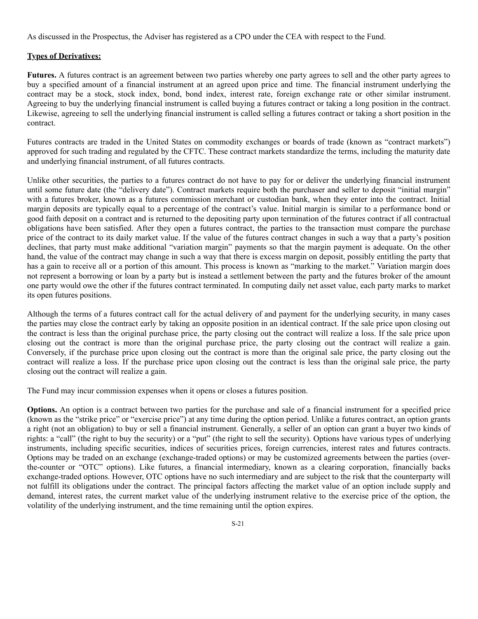As discussed in the Prospectus, the Adviser has registered as a CPO under the CEA with respect to the Fund.

# **Types of Derivatives:**

Futures. A futures contract is an agreement between two parties whereby one party agrees to sell and the other party agrees to buy a specified amount of a financial instrument at an agreed upon price and time. The financial instrument underlying the contract may be a stock, stock index, bond, bond index, interest rate, foreign exchange rate or other similar instrument. Agreeing to buy the underlying financial instrument is called buying a futures contract or taking a long position in the contract. Likewise, agreeing to sell the underlying financial instrument is called selling a futures contract or taking a short position in the contract.

Futures contracts are traded in the United States on commodity exchanges or boards of trade (known as "contract markets") approved for such trading and regulated by the CFTC. These contract markets standardize the terms, including the maturity date and underlying financial instrument, of all futures contracts.

Unlike other securities, the parties to a futures contract do not have to pay for or deliver the underlying financial instrument until some future date (the "delivery date"). Contract markets require both the purchaser and seller to deposit "initial margin" with a futures broker, known as a futures commission merchant or custodian bank, when they enter into the contract. Initial margin deposits are typically equal to a percentage of the contract's value. Initial margin is similar to a performance bond or good faith deposit on a contract and is returned to the depositing party upon termination of the futures contract if all contractual obligations have been satisfied. After they open a futures contract, the parties to the transaction must compare the purchase price of the contract to its daily market value. If the value of the futures contract changes in such a way that a party's position declines, that party must make additional "variation margin" payments so that the margin payment is adequate. On the other hand, the value of the contract may change in such a way that there is excess margin on deposit, possibly entitling the party that has a gain to receive all or a portion of this amount. This process is known as "marking to the market." Variation margin does not represent a borrowing or loan by a party but is instead a settlement between the party and the futures broker of the amount one party would owe the other if the futures contract terminated. In computing daily net asset value, each party marks to market its open futures positions.

Although the terms of a futures contract call for the actual delivery of and payment for the underlying security, in many cases the parties may close the contract early by taking an opposite position in an identical contract. If the sale price upon closing out the contract is less than the original purchase price, the party closing out the contract will realize a loss. If the sale price upon closing out the contract is more than the original purchase price, the party closing out the contract will realize a gain. Conversely, if the purchase price upon closing out the contract is more than the original sale price, the party closing out the contract will realize a loss. If the purchase price upon closing out the contract is less than the original sale price, the party closing out the contract will realize a gain.

The Fund may incur commission expenses when it opens or closes a futures position.

**Options.** An option is a contract between two parties for the purchase and sale of a financial instrument for a specified price (known as the "strike price" or "exercise price") at any time during the option period. Unlike a futures contract, an option grants a right (not an obligation) to buy or sell a financial instrument. Generally, a seller of an option can grant a buyer two kinds of rights: a "call" (the right to buy the security) or a "put" (the right to sell the security). Options have various types of underlying instruments, including specific securities, indices of securities prices, foreign currencies, interest rates and futures contracts. Options may be traded on an exchange (exchange-traded options) or may be customized agreements between the parties (overthe-counter or "OTC" options). Like futures, a financial intermediary, known as a clearing corporation, financially backs exchange-traded options. However, OTC options have no such intermediary and are subject to the risk that the counterparty will not fulfill its obligations under the contract. The principal factors affecting the market value of an option include supply and demand, interest rates, the current market value of the underlying instrument relative to the exercise price of the option, the volatility of the underlying instrument, and the time remaining until the option expires.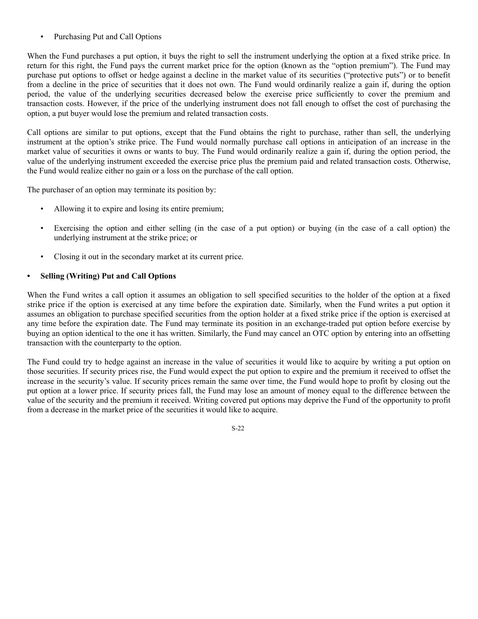• Purchasing Put and Call Options

When the Fund purchases a put option, it buys the right to sell the instrument underlying the option at a fixed strike price. In return for this right, the Fund pays the current market price for the option (known as the "option premium"). The Fund may purchase put options to offset or hedge against a decline in the market value of its securities ("protective puts") or to benefit from a decline in the price of securities that it does not own. The Fund would ordinarily realize a gain if, during the option period, the value of the underlying securities decreased below the exercise price sufficiently to cover the premium and transaction costs. However, if the price of the underlying instrument does not fall enough to offset the cost of purchasing the option, a put buyer would lose the premium and related transaction costs.

Call options are similar to put options, except that the Fund obtains the right to purchase, rather than sell, the underlying instrument at the option's strike price. The Fund would normally purchase call options in anticipation of an increase in the market value of securities it owns or wants to buy. The Fund would ordinarily realize a gain if, during the option period, the value of the underlying instrument exceeded the exercise price plus the premium paid and related transaction costs. Otherwise, the Fund would realize either no gain or a loss on the purchase of the call option.

The purchaser of an option may terminate its position by:

- Allowing it to expire and losing its entire premium;
- Exercising the option and either selling (in the case of a put option) or buying (in the case of a call option) the underlying instrument at the strike price; or
- Closing it out in the secondary market at its current price.

## **• Selling (Writing) Put and Call Options**

When the Fund writes a call option it assumes an obligation to sell specified securities to the holder of the option at a fixed strike price if the option is exercised at any time before the expiration date. Similarly, when the Fund writes a put option it assumes an obligation to purchase specified securities from the option holder at a fixed strike price if the option is exercised at any time before the expiration date. The Fund may terminate its position in an exchange-traded put option before exercise by buying an option identical to the one it has written. Similarly, the Fund may cancel an OTC option by entering into an offsetting transaction with the counterparty to the option.

The Fund could try to hedge against an increase in the value of securities it would like to acquire by writing a put option on those securities. If security prices rise, the Fund would expect the put option to expire and the premium it received to offset the increase in the security's value. If security prices remain the same over time, the Fund would hope to profit by closing out the put option at a lower price. If security prices fall, the Fund may lose an amount of money equal to the difference between the value of the security and the premium it received. Writing covered put options may deprive the Fund of the opportunity to profit from a decrease in the market price of the securities it would like to acquire.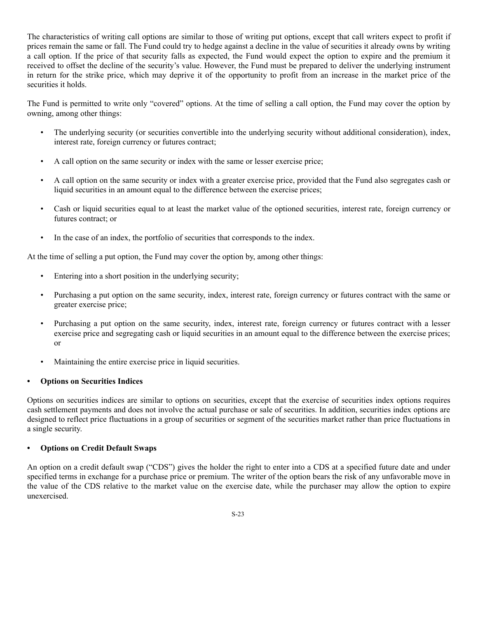The characteristics of writing call options are similar to those of writing put options, except that call writers expect to profit if prices remain the same or fall. The Fund could try to hedge against a decline in the value of securities it already owns by writing a call option. If the price of that security falls as expected, the Fund would expect the option to expire and the premium it received to offset the decline of the security's value. However, the Fund must be prepared to deliver the underlying instrument in return for the strike price, which may deprive it of the opportunity to profit from an increase in the market price of the securities it holds.

The Fund is permitted to write only "covered" options. At the time of selling a call option, the Fund may cover the option by owning, among other things:

- The underlying security (or securities convertible into the underlying security without additional consideration), index, interest rate, foreign currency or futures contract;
- A call option on the same security or index with the same or lesser exercise price;
- A call option on the same security or index with a greater exercise price, provided that the Fund also segregates cash or liquid securities in an amount equal to the difference between the exercise prices;
- Cash or liquid securities equal to at least the market value of the optioned securities, interest rate, foreign currency or futures contract; or
- In the case of an index, the portfolio of securities that corresponds to the index.

At the time of selling a put option, the Fund may cover the option by, among other things:

- Entering into a short position in the underlying security;
- Purchasing a put option on the same security, index, interest rate, foreign currency or futures contract with the same or greater exercise price;
- Purchasing a put option on the same security, index, interest rate, foreign currency or futures contract with a lesser exercise price and segregating cash or liquid securities in an amount equal to the difference between the exercise prices; or
- Maintaining the entire exercise price in liquid securities.

# **• Options on Securities Indices**

Options on securities indices are similar to options on securities, except that the exercise of securities index options requires cash settlement payments and does not involve the actual purchase or sale of securities. In addition, securities index options are designed to reflect price fluctuations in a group of securities or segment of the securities market rather than price fluctuations in a single security.

# **• Options on Credit Default Swaps**

An option on a credit default swap ("CDS") gives the holder the right to enter into a CDS at a specified future date and under specified terms in exchange for a purchase price or premium. The writer of the option bears the risk of any unfavorable move in the value of the CDS relative to the market value on the exercise date, while the purchaser may allow the option to expire unexercised.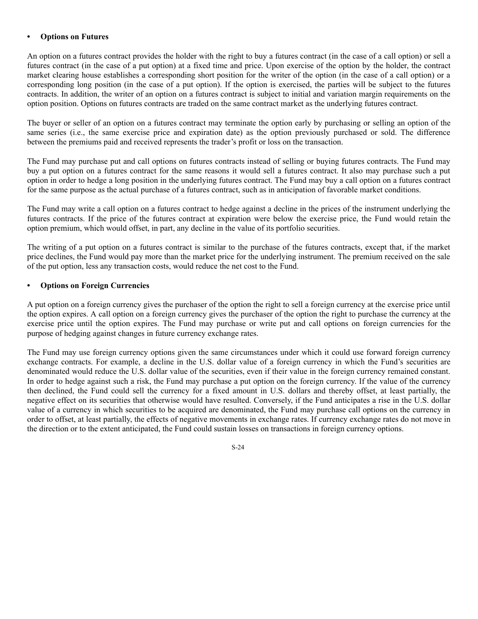#### **• Options on Futures**

An option on a futures contract provides the holder with the right to buy a futures contract (in the case of a call option) or sell a futures contract (in the case of a put option) at a fixed time and price. Upon exercise of the option by the holder, the contract market clearing house establishes a corresponding short position for the writer of the option (in the case of a call option) or a corresponding long position (in the case of a put option). If the option is exercised, the parties will be subject to the futures contracts. In addition, the writer of an option on a futures contract is subject to initial and variation margin requirements on the option position. Options on futures contracts are traded on the same contract market as the underlying futures contract.

The buyer or seller of an option on a futures contract may terminate the option early by purchasing or selling an option of the same series (i.e., the same exercise price and expiration date) as the option previously purchased or sold. The difference between the premiums paid and received represents the trader's profit or loss on the transaction.

The Fund may purchase put and call options on futures contracts instead of selling or buying futures contracts. The Fund may buy a put option on a futures contract for the same reasons it would sell a futures contract. It also may purchase such a put option in order to hedge a long position in the underlying futures contract. The Fund may buy a call option on a futures contract for the same purpose as the actual purchase of a futures contract, such as in anticipation of favorable market conditions.

The Fund may write a call option on a futures contract to hedge against a decline in the prices of the instrument underlying the futures contracts. If the price of the futures contract at expiration were below the exercise price, the Fund would retain the option premium, which would offset, in part, any decline in the value of its portfolio securities.

The writing of a put option on a futures contract is similar to the purchase of the futures contracts, except that, if the market price declines, the Fund would pay more than the market price for the underlying instrument. The premium received on the sale of the put option, less any transaction costs, would reduce the net cost to the Fund.

## **• Options on Foreign Currencies**

A put option on a foreign currency gives the purchaser of the option the right to sell a foreign currency at the exercise price until the option expires. A call option on a foreign currency gives the purchaser of the option the right to purchase the currency at the exercise price until the option expires. The Fund may purchase or write put and call options on foreign currencies for the purpose of hedging against changes in future currency exchange rates.

The Fund may use foreign currency options given the same circumstances under which it could use forward foreign currency exchange contracts. For example, a decline in the U.S. dollar value of a foreign currency in which the Fund's securities are denominated would reduce the U.S. dollar value of the securities, even if their value in the foreign currency remained constant. In order to hedge against such a risk, the Fund may purchase a put option on the foreign currency. If the value of the currency then declined, the Fund could sell the currency for a fixed amount in U.S. dollars and thereby offset, at least partially, the negative effect on its securities that otherwise would have resulted. Conversely, if the Fund anticipates a rise in the U.S. dollar value of a currency in which securities to be acquired are denominated, the Fund may purchase call options on the currency in order to offset, at least partially, the effects of negative movements in exchange rates. If currency exchange rates do not move in the direction or to the extent anticipated, the Fund could sustain losses on transactions in foreign currency options.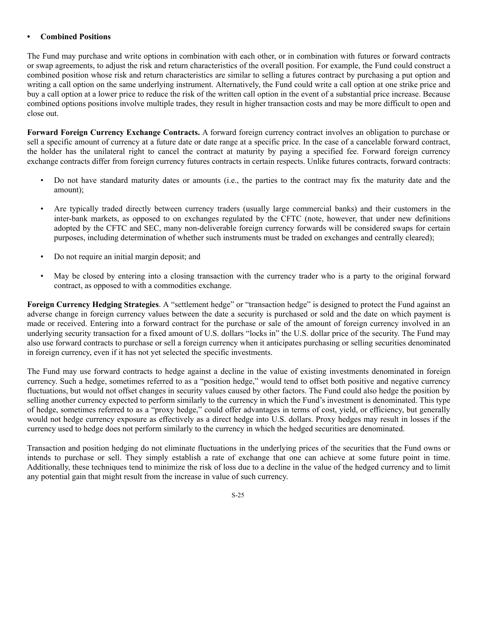## **• Combined Positions**

The Fund may purchase and write options in combination with each other, or in combination with futures or forward contracts or swap agreements, to adjust the risk and return characteristics of the overall position. For example, the Fund could construct a combined position whose risk and return characteristics are similar to selling a futures contract by purchasing a put option and writing a call option on the same underlying instrument. Alternatively, the Fund could write a call option at one strike price and buy a call option at a lower price to reduce the risk of the written call option in the event of a substantial price increase. Because combined options positions involve multiple trades, they result in higher transaction costs and may be more difficult to open and close out.

**Forward Foreign Currency Exchange Contracts.** A forward foreign currency contract involves an obligation to purchase or sell a specific amount of currency at a future date or date range at a specific price. In the case of a cancelable forward contract, the holder has the unilateral right to cancel the contract at maturity by paying a specified fee. Forward foreign currency exchange contracts differ from foreign currency futures contracts in certain respects. Unlike futures contracts, forward contracts:

- Do not have standard maturity dates or amounts (i.e., the parties to the contract may fix the maturity date and the amount);
- Are typically traded directly between currency traders (usually large commercial banks) and their customers in the inter-bank markets, as opposed to on exchanges regulated by the CFTC (note, however, that under new definitions adopted by the CFTC and SEC, many non-deliverable foreign currency forwards will be considered swaps for certain purposes, including determination of whether such instruments must be traded on exchanges and centrally cleared);
- Do not require an initial margin deposit; and
- May be closed by entering into a closing transaction with the currency trader who is a party to the original forward contract, as opposed to with a commodities exchange.

**Foreign Currency Hedging Strategies**. A "settlement hedge" or "transaction hedge" is designed to protect the Fund against an adverse change in foreign currency values between the date a security is purchased or sold and the date on which payment is made or received. Entering into a forward contract for the purchase or sale of the amount of foreign currency involved in an underlying security transaction for a fixed amount of U.S. dollars "locks in" the U.S. dollar price of the security. The Fund may also use forward contracts to purchase or sell a foreign currency when it anticipates purchasing or selling securities denominated in foreign currency, even if it has not yet selected the specific investments.

The Fund may use forward contracts to hedge against a decline in the value of existing investments denominated in foreign currency. Such a hedge, sometimes referred to as a "position hedge," would tend to offset both positive and negative currency fluctuations, but would not offset changes in security values caused by other factors. The Fund could also hedge the position by selling another currency expected to perform similarly to the currency in which the Fund's investment is denominated. This type of hedge, sometimes referred to as a "proxy hedge," could offer advantages in terms of cost, yield, or efficiency, but generally would not hedge currency exposure as effectively as a direct hedge into U.S. dollars. Proxy hedges may result in losses if the currency used to hedge does not perform similarly to the currency in which the hedged securities are denominated.

Transaction and position hedging do not eliminate fluctuations in the underlying prices of the securities that the Fund owns or intends to purchase or sell. They simply establish a rate of exchange that one can achieve at some future point in time. Additionally, these techniques tend to minimize the risk of loss due to a decline in the value of the hedged currency and to limit any potential gain that might result from the increase in value of such currency.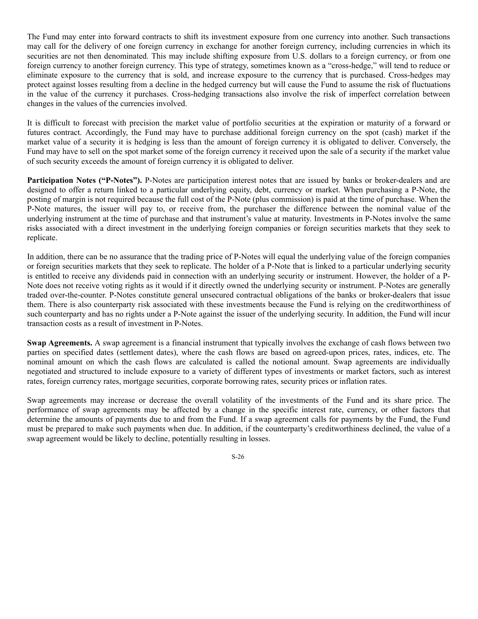The Fund may enter into forward contracts to shift its investment exposure from one currency into another. Such transactions may call for the delivery of one foreign currency in exchange for another foreign currency, including currencies in which its securities are not then denominated. This may include shifting exposure from U.S. dollars to a foreign currency, or from one foreign currency to another foreign currency. This type of strategy, sometimes known as a "cross-hedge," will tend to reduce or eliminate exposure to the currency that is sold, and increase exposure to the currency that is purchased. Cross-hedges may protect against losses resulting from a decline in the hedged currency but will cause the Fund to assume the risk of fluctuations in the value of the currency it purchases. Cross-hedging transactions also involve the risk of imperfect correlation between changes in the values of the currencies involved.

It is difficult to forecast with precision the market value of portfolio securities at the expiration or maturity of a forward or futures contract. Accordingly, the Fund may have to purchase additional foreign currency on the spot (cash) market if the market value of a security it is hedging is less than the amount of foreign currency it is obligated to deliver. Conversely, the Fund may have to sell on the spot market some of the foreign currency it received upon the sale of a security if the market value of such security exceeds the amount of foreign currency it is obligated to deliver.

**Participation Notes ("P-Notes").** P-Notes are participation interest notes that are issued by banks or broker-dealers and are designed to offer a return linked to a particular underlying equity, debt, currency or market. When purchasing a P-Note, the posting of margin is not required because the full cost of the P-Note (plus commission) is paid at the time of purchase. When the P-Note matures, the issuer will pay to, or receive from, the purchaser the difference between the nominal value of the underlying instrument at the time of purchase and that instrument's value at maturity. Investments in P-Notes involve the same risks associated with a direct investment in the underlying foreign companies or foreign securities markets that they seek to replicate.

In addition, there can be no assurance that the trading price of P-Notes will equal the underlying value of the foreign companies or foreign securities markets that they seek to replicate. The holder of a P-Note that is linked to a particular underlying security is entitled to receive any dividends paid in connection with an underlying security or instrument. However, the holder of a P-Note does not receive voting rights as it would if it directly owned the underlying security or instrument. P-Notes are generally traded over-the-counter. P-Notes constitute general unsecured contractual obligations of the banks or broker-dealers that issue them. There is also counterparty risk associated with these investments because the Fund is relying on the creditworthiness of such counterparty and has no rights under a P-Note against the issuer of the underlying security. In addition, the Fund will incur transaction costs as a result of investment in P-Notes.

**Swap Agreements.** A swap agreement is a financial instrument that typically involves the exchange of cash flows between two parties on specified dates (settlement dates), where the cash flows are based on agreed-upon prices, rates, indices, etc. The nominal amount on which the cash flows are calculated is called the notional amount. Swap agreements are individually negotiated and structured to include exposure to a variety of different types of investments or market factors, such as interest rates, foreign currency rates, mortgage securities, corporate borrowing rates, security prices or inflation rates.

Swap agreements may increase or decrease the overall volatility of the investments of the Fund and its share price. The performance of swap agreements may be affected by a change in the specific interest rate, currency, or other factors that determine the amounts of payments due to and from the Fund. If a swap agreement calls for payments by the Fund, the Fund must be prepared to make such payments when due. In addition, if the counterparty's creditworthiness declined, the value of a swap agreement would be likely to decline, potentially resulting in losses.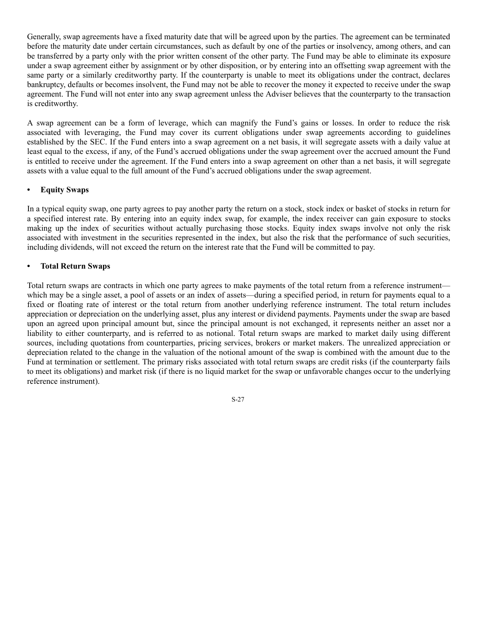Generally, swap agreements have a fixed maturity date that will be agreed upon by the parties. The agreement can be terminated before the maturity date under certain circumstances, such as default by one of the parties or insolvency, among others, and can be transferred by a party only with the prior written consent of the other party. The Fund may be able to eliminate its exposure under a swap agreement either by assignment or by other disposition, or by entering into an offsetting swap agreement with the same party or a similarly creditworthy party. If the counterparty is unable to meet its obligations under the contract, declares bankruptcy, defaults or becomes insolvent, the Fund may not be able to recover the money it expected to receive under the swap agreement. The Fund will not enter into any swap agreement unless the Adviser believes that the counterparty to the transaction is creditworthy.

A swap agreement can be a form of leverage, which can magnify the Fund's gains or losses. In order to reduce the risk associated with leveraging, the Fund may cover its current obligations under swap agreements according to guidelines established by the SEC. If the Fund enters into a swap agreement on a net basis, it will segregate assets with a daily value at least equal to the excess, if any, of the Fund's accrued obligations under the swap agreement over the accrued amount the Fund is entitled to receive under the agreement. If the Fund enters into a swap agreement on other than a net basis, it will segregate assets with a value equal to the full amount of the Fund's accrued obligations under the swap agreement.

## **• Equity Swaps**

In a typical equity swap, one party agrees to pay another party the return on a stock, stock index or basket of stocks in return for a specified interest rate. By entering into an equity index swap, for example, the index receiver can gain exposure to stocks making up the index of securities without actually purchasing those stocks. Equity index swaps involve not only the risk associated with investment in the securities represented in the index, but also the risk that the performance of such securities, including dividends, will not exceed the return on the interest rate that the Fund will be committed to pay.

## **• Total Return Swaps**

Total return swaps are contracts in which one party agrees to make payments of the total return from a reference instrument which may be a single asset, a pool of assets or an index of assets—during a specified period, in return for payments equal to a fixed or floating rate of interest or the total return from another underlying reference instrument. The total return includes appreciation or depreciation on the underlying asset, plus any interest or dividend payments. Payments under the swap are based upon an agreed upon principal amount but, since the principal amount is not exchanged, it represents neither an asset nor a liability to either counterparty, and is referred to as notional. Total return swaps are marked to market daily using different sources, including quotations from counterparties, pricing services, brokers or market makers. The unrealized appreciation or depreciation related to the change in the valuation of the notional amount of the swap is combined with the amount due to the Fund at termination or settlement. The primary risks associated with total return swaps are credit risks (if the counterparty fails to meet its obligations) and market risk (if there is no liquid market for the swap or unfavorable changes occur to the underlying reference instrument).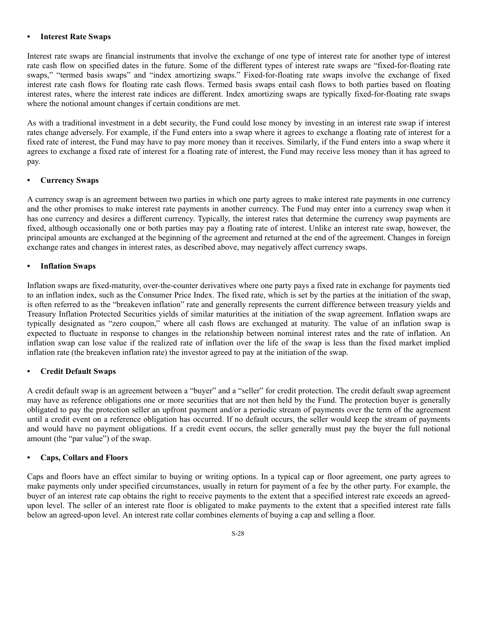#### **• Interest Rate Swaps**

Interest rate swaps are financial instruments that involve the exchange of one type of interest rate for another type of interest rate cash flow on specified dates in the future. Some of the different types of interest rate swaps are "fixed-for-floating rate swaps," "termed basis swaps" and "index amortizing swaps." Fixed-for-floating rate swaps involve the exchange of fixed interest rate cash flows for floating rate cash flows. Termed basis swaps entail cash flows to both parties based on floating interest rates, where the interest rate indices are different. Index amortizing swaps are typically fixed-for-floating rate swaps where the notional amount changes if certain conditions are met.

As with a traditional investment in a debt security, the Fund could lose money by investing in an interest rate swap if interest rates change adversely. For example, if the Fund enters into a swap where it agrees to exchange a floating rate of interest for a fixed rate of interest, the Fund may have to pay more money than it receives. Similarly, if the Fund enters into a swap where it agrees to exchange a fixed rate of interest for a floating rate of interest, the Fund may receive less money than it has agreed to pay.

#### **• Currency Swaps**

A currency swap is an agreement between two parties in which one party agrees to make interest rate payments in one currency and the other promises to make interest rate payments in another currency. The Fund may enter into a currency swap when it has one currency and desires a different currency. Typically, the interest rates that determine the currency swap payments are fixed, although occasionally one or both parties may pay a floating rate of interest. Unlike an interest rate swap, however, the principal amounts are exchanged at the beginning of the agreement and returned at the end of the agreement. Changes in foreign exchange rates and changes in interest rates, as described above, may negatively affect currency swaps.

#### **• Inflation Swaps**

Inflation swaps are fixed-maturity, over-the-counter derivatives where one party pays a fixed rate in exchange for payments tied to an inflation index, such as the Consumer Price Index. The fixed rate, which is set by the parties at the initiation of the swap, is often referred to as the "breakeven inflation" rate and generally represents the current difference between treasury yields and Treasury Inflation Protected Securities yields of similar maturities at the initiation of the swap agreement. Inflation swaps are typically designated as "zero coupon," where all cash flows are exchanged at maturity. The value of an inflation swap is expected to fluctuate in response to changes in the relationship between nominal interest rates and the rate of inflation. An inflation swap can lose value if the realized rate of inflation over the life of the swap is less than the fixed market implied inflation rate (the breakeven inflation rate) the investor agreed to pay at the initiation of the swap.

#### **• Credit Default Swaps**

A credit default swap is an agreement between a "buyer" and a "seller" for credit protection. The credit default swap agreement may have as reference obligations one or more securities that are not then held by the Fund. The protection buyer is generally obligated to pay the protection seller an upfront payment and/or a periodic stream of payments over the term of the agreement until a credit event on a reference obligation has occurred. If no default occurs, the seller would keep the stream of payments and would have no payment obligations. If a credit event occurs, the seller generally must pay the buyer the full notional amount (the "par value") of the swap.

#### **• Caps, Collars and Floors**

Caps and floors have an effect similar to buying or writing options. In a typical cap or floor agreement, one party agrees to make payments only under specified circumstances, usually in return for payment of a fee by the other party. For example, the buyer of an interest rate cap obtains the right to receive payments to the extent that a specified interest rate exceeds an agreedupon level. The seller of an interest rate floor is obligated to make payments to the extent that a specified interest rate falls below an agreed-upon level. An interest rate collar combines elements of buying a cap and selling a floor.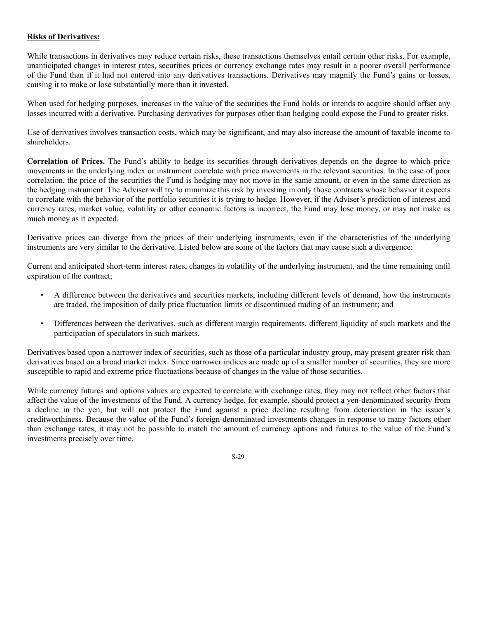## **Risks of Derivatives:**

While transactions in derivatives may reduce certain risks, these transactions themselves entail certain other risks. For example, unanticipated changes in interest rates, securities prices or currency exchange rates may result in a poorer overall performance of the Fund than if it had not entered into any derivatives transactions. Derivatives may magnify the Fund's gains or losses, causing it to make or lose substantially more than it invested.

When used for hedging purposes, increases in the value of the securities the Fund holds or intends to acquire should offset any losses incurred with a derivative. Purchasing derivatives for purposes other than hedging could expose the Fund to greater risks.

Use of derivatives involves transaction costs, which may be significant, and may also increase the amount of taxable income to shareholders.

**Correlation of Prices.** The Fund's ability to hedge its securities through derivatives depends on the degree to which price movements in the underlying index or instrument correlate with price movements in the relevant securities. In the case of poor correlation, the price of the securities the Fund is hedging may not move in the same amount, or even in the same direction as the hedging instrument. The Adviser will try to minimize this risk by investing in only those contracts whose behavior it expects to correlate with the behavior of the portfolio securities it is trying to hedge. However, if the Adviser's prediction of interest and currency rates, market value, volatility or other economic factors is incorrect, the Fund may lose money, or may not make as much money as it expected.

Derivative prices can diverge from the prices of their underlying instruments, even if the characteristics of the underlying instruments are very similar to the derivative. Listed below are some of the factors that may cause such a divergence:

Current and anticipated short-term interest rates, changes in volatility of the underlying instrument, and the time remaining until expiration of the contract;

- A difference between the derivatives and securities markets, including different levels of demand, how the instruments are traded, the imposition of daily price fluctuation limits or discontinued trading of an instrument; and
- Differences between the derivatives, such as different margin requirements, different liquidity of such markets and the participation of speculators in such markets.

Derivatives based upon a narrower index of securities, such as those of a particular industry group, may present greater risk than derivatives based on a broad market index. Since narrower indices are made up of a smaller number of securities, they are more susceptible to rapid and extreme price fluctuations because of changes in the value of those securities.

While currency futures and options values are expected to correlate with exchange rates, they may not reflect other factors that affect the value of the investments of the Fund. A currency hedge, for example, should protect a yen-denominated security from a decline in the yen, but will not protect the Fund against a price decline resulting from deterioration in the issuer's creditworthiness. Because the value of the Fund's foreign-denominated investments changes in response to many factors other than exchange rates, it may not be possible to match the amount of currency options and futures to the value of the Fund's investments precisely over time.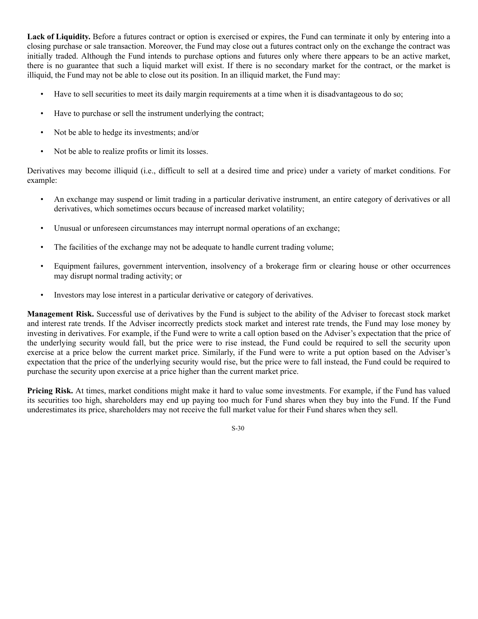**Lack of Liquidity.** Before a futures contract or option is exercised or expires, the Fund can terminate it only by entering into a closing purchase or sale transaction. Moreover, the Fund may close out a futures contract only on the exchange the contract was initially traded. Although the Fund intends to purchase options and futures only where there appears to be an active market, there is no guarantee that such a liquid market will exist. If there is no secondary market for the contract, or the market is illiquid, the Fund may not be able to close out its position. In an illiquid market, the Fund may:

- Have to sell securities to meet its daily margin requirements at a time when it is disadvantageous to do so;
- Have to purchase or sell the instrument underlying the contract;
- Not be able to hedge its investments; and/or
- Not be able to realize profits or limit its losses.

Derivatives may become illiquid (i.e., difficult to sell at a desired time and price) under a variety of market conditions. For example:

- An exchange may suspend or limit trading in a particular derivative instrument, an entire category of derivatives or all derivatives, which sometimes occurs because of increased market volatility;
- Unusual or unforeseen circumstances may interrupt normal operations of an exchange;
- The facilities of the exchange may not be adequate to handle current trading volume;
- Equipment failures, government intervention, insolvency of a brokerage firm or clearing house or other occurrences may disrupt normal trading activity; or
- Investors may lose interest in a particular derivative or category of derivatives.

**Management Risk.** Successful use of derivatives by the Fund is subject to the ability of the Adviser to forecast stock market and interest rate trends. If the Adviser incorrectly predicts stock market and interest rate trends, the Fund may lose money by investing in derivatives. For example, if the Fund were to write a call option based on the Adviser's expectation that the price of the underlying security would fall, but the price were to rise instead, the Fund could be required to sell the security upon exercise at a price below the current market price. Similarly, if the Fund were to write a put option based on the Adviser's expectation that the price of the underlying security would rise, but the price were to fall instead, the Fund could be required to purchase the security upon exercise at a price higher than the current market price.

**Pricing Risk.** At times, market conditions might make it hard to value some investments. For example, if the Fund has valued its securities too high, shareholders may end up paying too much for Fund shares when they buy into the Fund. If the Fund underestimates its price, shareholders may not receive the full market value for their Fund shares when they sell.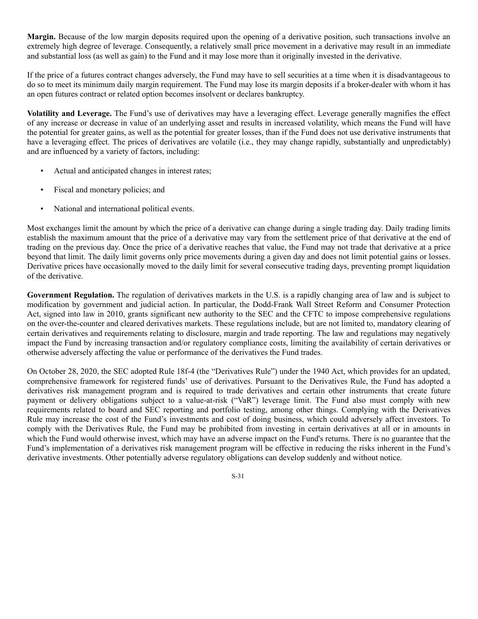**Margin.** Because of the low margin deposits required upon the opening of a derivative position, such transactions involve an extremely high degree of leverage. Consequently, a relatively small price movement in a derivative may result in an immediate and substantial loss (as well as gain) to the Fund and it may lose more than it originally invested in the derivative.

If the price of a futures contract changes adversely, the Fund may have to sell securities at a time when it is disadvantageous to do so to meet its minimum daily margin requirement. The Fund may lose its margin deposits if a broker-dealer with whom it has an open futures contract or related option becomes insolvent or declares bankruptcy.

**Volatility and Leverage.** The Fund's use of derivatives may have a leveraging effect. Leverage generally magnifies the effect of any increase or decrease in value of an underlying asset and results in increased volatility, which means the Fund will have the potential for greater gains, as well as the potential for greater losses, than if the Fund does not use derivative instruments that have a leveraging effect. The prices of derivatives are volatile (i.e., they may change rapidly, substantially and unpredictably) and are influenced by a variety of factors, including:

- Actual and anticipated changes in interest rates;
- Fiscal and monetary policies; and
- National and international political events.

Most exchanges limit the amount by which the price of a derivative can change during a single trading day. Daily trading limits establish the maximum amount that the price of a derivative may vary from the settlement price of that derivative at the end of trading on the previous day. Once the price of a derivative reaches that value, the Fund may not trade that derivative at a price beyond that limit. The daily limit governs only price movements during a given day and does not limit potential gains or losses. Derivative prices have occasionally moved to the daily limit for several consecutive trading days, preventing prompt liquidation of the derivative.

**Government Regulation.** The regulation of derivatives markets in the U.S. is a rapidly changing area of law and is subject to modification by government and judicial action. In particular, the Dodd-Frank Wall Street Reform and Consumer Protection Act, signed into law in 2010, grants significant new authority to the SEC and the CFTC to impose comprehensive regulations on the over-the-counter and cleared derivatives markets. These regulations include, but are not limited to, mandatory clearing of certain derivatives and requirements relating to disclosure, margin and trade reporting. The law and regulations may negatively impact the Fund by increasing transaction and/or regulatory compliance costs, limiting the availability of certain derivatives or otherwise adversely affecting the value or performance of the derivatives the Fund trades.

On October 28, 2020, the SEC adopted Rule 18f-4 (the "Derivatives Rule") under the 1940 Act, which provides for an updated, comprehensive framework for registered funds' use of derivatives. Pursuant to the Derivatives Rule, the Fund has adopted a derivatives risk management program and is required to trade derivatives and certain other instruments that create future payment or delivery obligations subject to a value-at-risk ("VaR") leverage limit. The Fund also must comply with new requirements related to board and SEC reporting and portfolio testing, among other things. Complying with the Derivatives Rule may increase the cost of the Fund's investments and cost of doing business, which could adversely affect investors. To comply with the Derivatives Rule, the Fund may be prohibited from investing in certain derivatives at all or in amounts in which the Fund would otherwise invest, which may have an adverse impact on the Fund's returns. There is no guarantee that the Fund's implementation of a derivatives risk management program will be effective in reducing the risks inherent in the Fund's derivative investments. Other potentially adverse regulatory obligations can develop suddenly and without notice.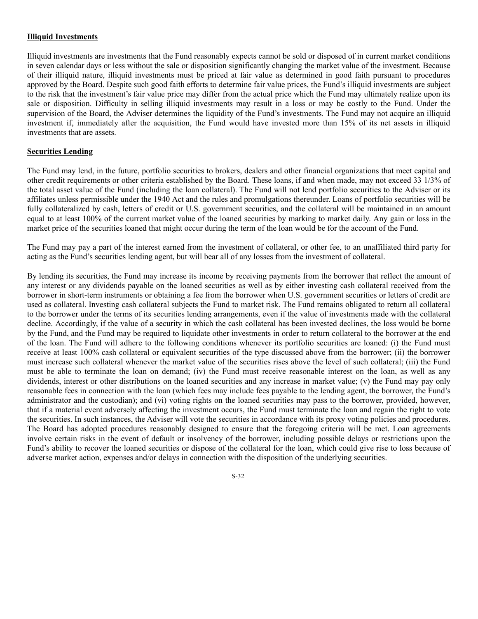## **Illiquid Investments**

Illiquid investments are investments that the Fund reasonably expects cannot be sold or disposed of in current market conditions in seven calendar days or less without the sale or disposition significantly changing the market value of the investment. Because of their illiquid nature, illiquid investments must be priced at fair value as determined in good faith pursuant to procedures approved by the Board. Despite such good faith efforts to determine fair value prices, the Fund's illiquid investments are subject to the risk that the investment's fair value price may differ from the actual price which the Fund may ultimately realize upon its sale or disposition. Difficulty in selling illiquid investments may result in a loss or may be costly to the Fund. Under the supervision of the Board, the Adviser determines the liquidity of the Fund's investments. The Fund may not acquire an illiquid investment if, immediately after the acquisition, the Fund would have invested more than 15% of its net assets in illiquid investments that are assets.

## **Securities Lending**

The Fund may lend, in the future, portfolio securities to brokers, dealers and other financial organizations that meet capital and other credit requirements or other criteria established by the Board. These loans, if and when made, may not exceed 33 1/3% of the total asset value of the Fund (including the loan collateral). The Fund will not lend portfolio securities to the Adviser or its affiliates unless permissible under the 1940 Act and the rules and promulgations thereunder. Loans of portfolio securities will be fully collateralized by cash, letters of credit or U.S. government securities, and the collateral will be maintained in an amount equal to at least 100% of the current market value of the loaned securities by marking to market daily. Any gain or loss in the market price of the securities loaned that might occur during the term of the loan would be for the account of the Fund.

The Fund may pay a part of the interest earned from the investment of collateral, or other fee, to an unaffiliated third party for acting as the Fund's securities lending agent, but will bear all of any losses from the investment of collateral.

By lending its securities, the Fund may increase its income by receiving payments from the borrower that reflect the amount of any interest or any dividends payable on the loaned securities as well as by either investing cash collateral received from the borrower in short-term instruments or obtaining a fee from the borrower when U.S. government securities or letters of credit are used as collateral. Investing cash collateral subjects the Fund to market risk. The Fund remains obligated to return all collateral to the borrower under the terms of its securities lending arrangements, even if the value of investments made with the collateral decline. Accordingly, if the value of a security in which the cash collateral has been invested declines, the loss would be borne by the Fund, and the Fund may be required to liquidate other investments in order to return collateral to the borrower at the end of the loan. The Fund will adhere to the following conditions whenever its portfolio securities are loaned: (i) the Fund must receive at least 100% cash collateral or equivalent securities of the type discussed above from the borrower; (ii) the borrower must increase such collateral whenever the market value of the securities rises above the level of such collateral; (iii) the Fund must be able to terminate the loan on demand; (iv) the Fund must receive reasonable interest on the loan, as well as any dividends, interest or other distributions on the loaned securities and any increase in market value; (v) the Fund may pay only reasonable fees in connection with the loan (which fees may include fees payable to the lending agent, the borrower, the Fund's administrator and the custodian); and (vi) voting rights on the loaned securities may pass to the borrower, provided, however, that if a material event adversely affecting the investment occurs, the Fund must terminate the loan and regain the right to vote the securities. In such instances, the Adviser will vote the securities in accordance with its proxy voting policies and procedures. The Board has adopted procedures reasonably designed to ensure that the foregoing criteria will be met. Loan agreements involve certain risks in the event of default or insolvency of the borrower, including possible delays or restrictions upon the Fund's ability to recover the loaned securities or dispose of the collateral for the loan, which could give rise to loss because of adverse market action, expenses and/or delays in connection with the disposition of the underlying securities.

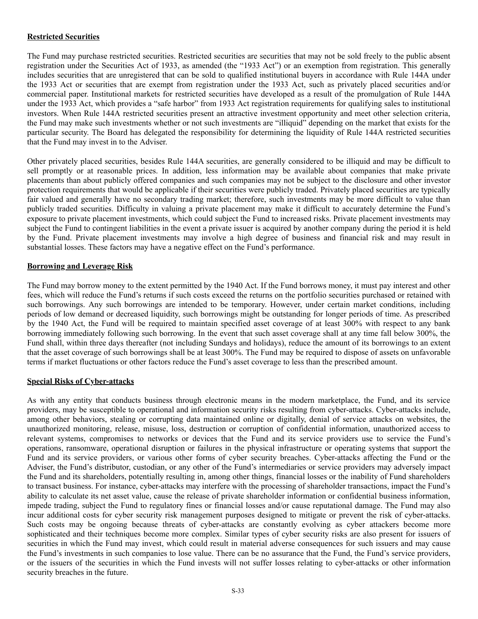## **Restricted Securities**

The Fund may purchase restricted securities. Restricted securities are securities that may not be sold freely to the public absent registration under the Securities Act of 1933, as amended (the "1933 Act") or an exemption from registration. This generally includes securities that are unregistered that can be sold to qualified institutional buyers in accordance with Rule 144A under the 1933 Act or securities that are exempt from registration under the 1933 Act, such as privately placed securities and/or commercial paper. Institutional markets for restricted securities have developed as a result of the promulgation of Rule 144A under the 1933 Act, which provides a "safe harbor" from 1933 Act registration requirements for qualifying sales to institutional investors. When Rule 144A restricted securities present an attractive investment opportunity and meet other selection criteria, the Fund may make such investments whether or not such investments are "illiquid" depending on the market that exists for the particular security. The Board has delegated the responsibility for determining the liquidity of Rule 144A restricted securities that the Fund may invest in to the Adviser.

Other privately placed securities, besides Rule 144A securities, are generally considered to be illiquid and may be difficult to sell promptly or at reasonable prices. In addition, less information may be available about companies that make private placements than about publicly offered companies and such companies may not be subject to the disclosure and other investor protection requirements that would be applicable if their securities were publicly traded. Privately placed securities are typically fair valued and generally have no secondary trading market; therefore, such investments may be more difficult to value than publicly traded securities. Difficulty in valuing a private placement may make it difficult to accurately determine the Fund's exposure to private placement investments, which could subject the Fund to increased risks. Private placement investments may subject the Fund to contingent liabilities in the event a private issuer is acquired by another company during the period it is held by the Fund. Private placement investments may involve a high degree of business and financial risk and may result in substantial losses. These factors may have a negative effect on the Fund's performance.

## **Borrowing and Leverage Risk**

The Fund may borrow money to the extent permitted by the 1940 Act. If the Fund borrows money, it must pay interest and other fees, which will reduce the Fund's returns if such costs exceed the returns on the portfolio securities purchased or retained with such borrowings. Any such borrowings are intended to be temporary. However, under certain market conditions, including periods of low demand or decreased liquidity, such borrowings might be outstanding for longer periods of time. As prescribed by the 1940 Act, the Fund will be required to maintain specified asset coverage of at least 300% with respect to any bank borrowing immediately following such borrowing. In the event that such asset coverage shall at any time fall below 300%, the Fund shall, within three days thereafter (not including Sundays and holidays), reduce the amount of its borrowings to an extent that the asset coverage of such borrowings shall be at least 300%. The Fund may be required to dispose of assets on unfavorable terms if market fluctuations or other factors reduce the Fund's asset coverage to less than the prescribed amount.

#### **Special Risks of Cyber-attacks**

As with any entity that conducts business through electronic means in the modern marketplace, the Fund, and its service providers, may be susceptible to operational and information security risks resulting from cyber-attacks. Cyber-attacks include, among other behaviors, stealing or corrupting data maintained online or digitally, denial of service attacks on websites, the unauthorized monitoring, release, misuse, loss, destruction or corruption of confidential information, unauthorized access to relevant systems, compromises to networks or devices that the Fund and its service providers use to service the Fund's operations, ransomware, operational disruption or failures in the physical infrastructure or operating systems that support the Fund and its service providers, or various other forms of cyber security breaches. Cyber-attacks affecting the Fund or the Adviser, the Fund's distributor, custodian, or any other of the Fund's intermediaries or service providers may adversely impact the Fund and its shareholders, potentially resulting in, among other things, financial losses or the inability of Fund shareholders to transact business. For instance, cyber-attacks may interfere with the processing of shareholder transactions, impact the Fund's ability to calculate its net asset value, cause the release of private shareholder information or confidential business information, impede trading, subject the Fund to regulatory fines or financial losses and/or cause reputational damage. The Fund may also incur additional costs for cyber security risk management purposes designed to mitigate or prevent the risk of cyber-attacks. Such costs may be ongoing because threats of cyber-attacks are constantly evolving as cyber attackers become more sophisticated and their techniques become more complex. Similar types of cyber security risks are also present for issuers of securities in which the Fund may invest, which could result in material adverse consequences for such issuers and may cause the Fund's investments in such companies to lose value. There can be no assurance that the Fund, the Fund's service providers, or the issuers of the securities in which the Fund invests will not suffer losses relating to cyber-attacks or other information security breaches in the future.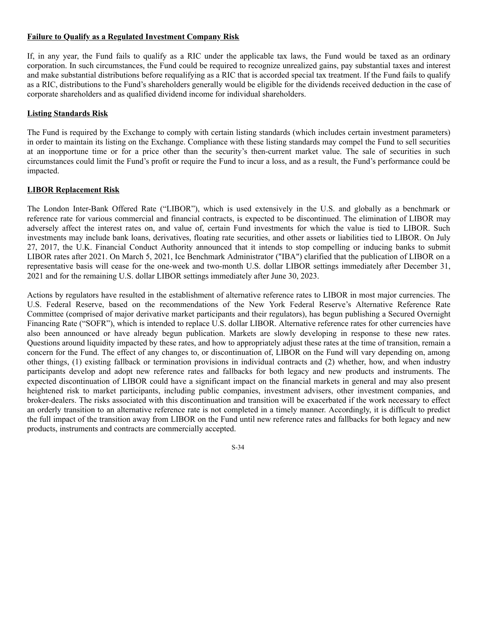## **Failure to Qualify as a Regulated Investment Company Risk**

If, in any year, the Fund fails to qualify as a RIC under the applicable tax laws, the Fund would be taxed as an ordinary corporation. In such circumstances, the Fund could be required to recognize unrealized gains, pay substantial taxes and interest and make substantial distributions before requalifying as a RIC that is accorded special tax treatment. If the Fund fails to qualify as a RIC, distributions to the Fund's shareholders generally would be eligible for the dividends received deduction in the case of corporate shareholders and as qualified dividend income for individual shareholders.

## **Listing Standards Risk**

The Fund is required by the Exchange to comply with certain listing standards (which includes certain investment parameters) in order to maintain its listing on the Exchange. Compliance with these listing standards may compel the Fund to sell securities at an inopportune time or for a price other than the security's then-current market value. The sale of securities in such circumstances could limit the Fund's profit or require the Fund to incur a loss, and as a result, the Fund's performance could be impacted.

# **LIBOR Replacement Risk**

The London Inter-Bank Offered Rate ("LIBOR"), which is used extensively in the U.S. and globally as a benchmark or reference rate for various commercial and financial contracts, is expected to be discontinued. The elimination of LIBOR may adversely affect the interest rates on, and value of, certain Fund investments for which the value is tied to LIBOR. Such investments may include bank loans, derivatives, floating rate securities, and other assets or liabilities tied to LIBOR. On July 27, 2017, the U.K. Financial Conduct Authority announced that it intends to stop compelling or inducing banks to submit LIBOR rates after 2021. On March 5, 2021, Ice Benchmark Administrator ("IBA") clarified that the publication of LIBOR on a representative basis will cease for the one-week and two-month U.S. dollar LIBOR settings immediately after December 31, 2021 and for the remaining U.S. dollar LIBOR settings immediately after June 30, 2023.

Actions by regulators have resulted in the establishment of alternative reference rates to LIBOR in most major currencies. The U.S. Federal Reserve, based on the recommendations of the New York Federal Reserve's Alternative Reference Rate Committee (comprised of major derivative market participants and their regulators), has begun publishing a Secured Overnight Financing Rate ("SOFR"), which is intended to replace U.S. dollar LIBOR. Alternative reference rates for other currencies have also been announced or have already begun publication. Markets are slowly developing in response to these new rates. Questions around liquidity impacted by these rates, and how to appropriately adjust these rates at the time of transition, remain a concern for the Fund. The effect of any changes to, or discontinuation of, LIBOR on the Fund will vary depending on, among other things, (1) existing fallback or termination provisions in individual contracts and (2) whether, how, and when industry participants develop and adopt new reference rates and fallbacks for both legacy and new products and instruments. The expected discontinuation of LIBOR could have a significant impact on the financial markets in general and may also present heightened risk to market participants, including public companies, investment advisers, other investment companies, and broker-dealers. The risks associated with this discontinuation and transition will be exacerbated if the work necessary to effect an orderly transition to an alternative reference rate is not completed in a timely manner. Accordingly, it is difficult to predict the full impact of the transition away from LIBOR on the Fund until new reference rates and fallbacks for both legacy and new products, instruments and contracts are commercially accepted.

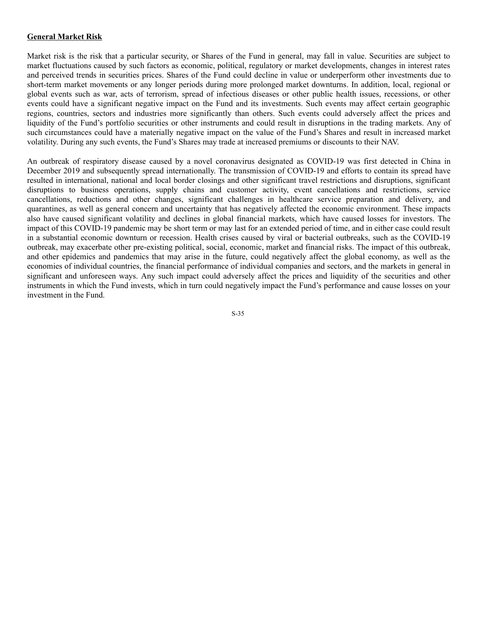### **General Market Risk**

Market risk is the risk that a particular security, or Shares of the Fund in general, may fall in value. Securities are subject to market fluctuations caused by such factors as economic, political, regulatory or market developments, changes in interest rates and perceived trends in securities prices. Shares of the Fund could decline in value or underperform other investments due to short-term market movements or any longer periods during more prolonged market downturns. In addition, local, regional or global events such as war, acts of terrorism, spread of infectious diseases or other public health issues, recessions, or other events could have a significant negative impact on the Fund and its investments. Such events may affect certain geographic regions, countries, sectors and industries more significantly than others. Such events could adversely affect the prices and liquidity of the Fund's portfolio securities or other instruments and could result in disruptions in the trading markets. Any of such circumstances could have a materially negative impact on the value of the Fund's Shares and result in increased market volatility. During any such events, the Fund's Shares may trade at increased premiums or discounts to their NAV.

An outbreak of respiratory disease caused by a novel coronavirus designated as COVID-19 was first detected in China in December 2019 and subsequently spread internationally. The transmission of COVID-19 and efforts to contain its spread have resulted in international, national and local border closings and other significant travel restrictions and disruptions, significant disruptions to business operations, supply chains and customer activity, event cancellations and restrictions, service cancellations, reductions and other changes, significant challenges in healthcare service preparation and delivery, and quarantines, as well as general concern and uncertainty that has negatively affected the economic environment. These impacts also have caused significant volatility and declines in global financial markets, which have caused losses for investors. The impact of this COVID-19 pandemic may be short term or may last for an extended period of time, and in either case could result in a substantial economic downturn or recession. Health crises caused by viral or bacterial outbreaks, such as the COVID-19 outbreak, may exacerbate other pre-existing political, social, economic, market and financial risks. The impact of this outbreak, and other epidemics and pandemics that may arise in the future, could negatively affect the global economy, as well as the economies of individual countries, the financial performance of individual companies and sectors, and the markets in general in significant and unforeseen ways. Any such impact could adversely affect the prices and liquidity of the securities and other instruments in which the Fund invests, which in turn could negatively impact the Fund's performance and cause losses on your investment in the Fund.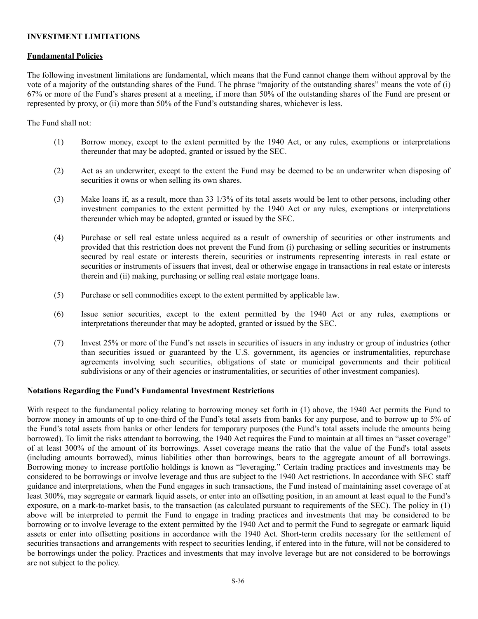## **INVESTMENT LIMITATIONS**

#### **Fundamental Policies**

The following investment limitations are fundamental, which means that the Fund cannot change them without approval by the vote of a majority of the outstanding shares of the Fund. The phrase "majority of the outstanding shares" means the vote of (i) 67% or more of the Fund's shares present at a meeting, if more than 50% of the outstanding shares of the Fund are present or represented by proxy, or (ii) more than 50% of the Fund's outstanding shares, whichever is less.

### The Fund shall not:

- (1) Borrow money, except to the extent permitted by the 1940 Act, or any rules, exemptions or interpretations thereunder that may be adopted, granted or issued by the SEC.
- (2) Act as an underwriter, except to the extent the Fund may be deemed to be an underwriter when disposing of securities it owns or when selling its own shares.
- (3) Make loans if, as a result, more than 33 1/3% of its total assets would be lent to other persons, including other investment companies to the extent permitted by the 1940 Act or any rules, exemptions or interpretations thereunder which may be adopted, granted or issued by the SEC.
- (4) Purchase or sell real estate unless acquired as a result of ownership of securities or other instruments and provided that this restriction does not prevent the Fund from (i) purchasing or selling securities or instruments secured by real estate or interests therein, securities or instruments representing interests in real estate or securities or instruments of issuers that invest, deal or otherwise engage in transactions in real estate or interests therein and (ii) making, purchasing or selling real estate mortgage loans.
- (5) Purchase or sell commodities except to the extent permitted by applicable law.
- (6) Issue senior securities, except to the extent permitted by the 1940 Act or any rules, exemptions or interpretations thereunder that may be adopted, granted or issued by the SEC.
- (7) Invest 25% or more of the Fund's net assets in securities of issuers in any industry or group of industries (other than securities issued or guaranteed by the U.S. government, its agencies or instrumentalities, repurchase agreements involving such securities, obligations of state or municipal governments and their political subdivisions or any of their agencies or instrumentalities, or securities of other investment companies).

#### **Notations Regarding the Fund's Fundamental Investment Restrictions**

With respect to the fundamental policy relating to borrowing money set forth in (1) above, the 1940 Act permits the Fund to borrow money in amounts of up to one-third of the Fund's total assets from banks for any purpose, and to borrow up to 5% of the Fund's total assets from banks or other lenders for temporary purposes (the Fund's total assets include the amounts being borrowed). To limit the risks attendant to borrowing, the 1940 Act requires the Fund to maintain at all times an "asset coverage" of at least 300% of the amount of its borrowings. Asset coverage means the ratio that the value of the Fund's total assets (including amounts borrowed), minus liabilities other than borrowings, bears to the aggregate amount of all borrowings. Borrowing money to increase portfolio holdings is known as "leveraging." Certain trading practices and investments may be considered to be borrowings or involve leverage and thus are subject to the 1940 Act restrictions. In accordance with SEC staff guidance and interpretations, when the Fund engages in such transactions, the Fund instead of maintaining asset coverage of at least 300%, may segregate or earmark liquid assets, or enter into an offsetting position, in an amount at least equal to the Fund's exposure, on a mark-to-market basis, to the transaction (as calculated pursuant to requirements of the SEC). The policy in (1) above will be interpreted to permit the Fund to engage in trading practices and investments that may be considered to be borrowing or to involve leverage to the extent permitted by the 1940 Act and to permit the Fund to segregate or earmark liquid assets or enter into offsetting positions in accordance with the 1940 Act. Short-term credits necessary for the settlement of securities transactions and arrangements with respect to securities lending, if entered into in the future, will not be considered to be borrowings under the policy. Practices and investments that may involve leverage but are not considered to be borrowings are not subject to the policy.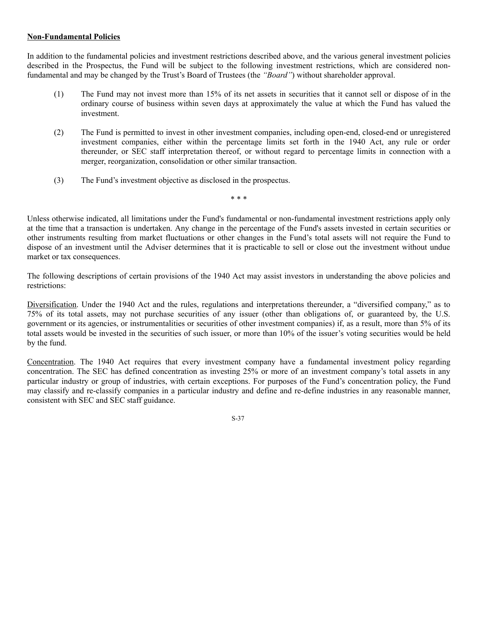### **Non-Fundamental Policies**

In addition to the fundamental policies and investment restrictions described above, and the various general investment policies described in the Prospectus, the Fund will be subject to the following investment restrictions, which are considered nonfundamental and may be changed by the Trust's Board of Trustees (the *"Board"*) without shareholder approval.

- (1) The Fund may not invest more than 15% of its net assets in securities that it cannot sell or dispose of in the ordinary course of business within seven days at approximately the value at which the Fund has valued the investment.
- (2) The Fund is permitted to invest in other investment companies, including open-end, closed-end or unregistered investment companies, either within the percentage limits set forth in the 1940 Act, any rule or order thereunder, or SEC staff interpretation thereof, or without regard to percentage limits in connection with a merger, reorganization, consolidation or other similar transaction.
- (3) The Fund's investment objective as disclosed in the prospectus.

Unless otherwise indicated, all limitations under the Fund's fundamental or non-fundamental investment restrictions apply only

at the time that a transaction is undertaken. Any change in the percentage of the Fund's assets invested in certain securities or other instruments resulting from market fluctuations or other changes in the Fund's total assets will not require the Fund to dispose of an investment until the Adviser determines that it is practicable to sell or close out the investment without undue market or tax consequences.

\* \* \*

The following descriptions of certain provisions of the 1940 Act may assist investors in understanding the above policies and restrictions:

Diversification. Under the 1940 Act and the rules, regulations and interpretations thereunder, a "diversified company," as to 75% of its total assets, may not purchase securities of any issuer (other than obligations of, or guaranteed by, the U.S. government or its agencies, or instrumentalities or securities of other investment companies) if, as a result, more than 5% of its total assets would be invested in the securities of such issuer, or more than 10% of the issuer's voting securities would be held by the fund.

Concentration. The 1940 Act requires that every investment company have a fundamental investment policy regarding concentration. The SEC has defined concentration as investing 25% or more of an investment company's total assets in any particular industry or group of industries, with certain exceptions. For purposes of the Fund's concentration policy, the Fund may classify and re-classify companies in a particular industry and define and re-define industries in any reasonable manner, consistent with SEC and SEC staff guidance.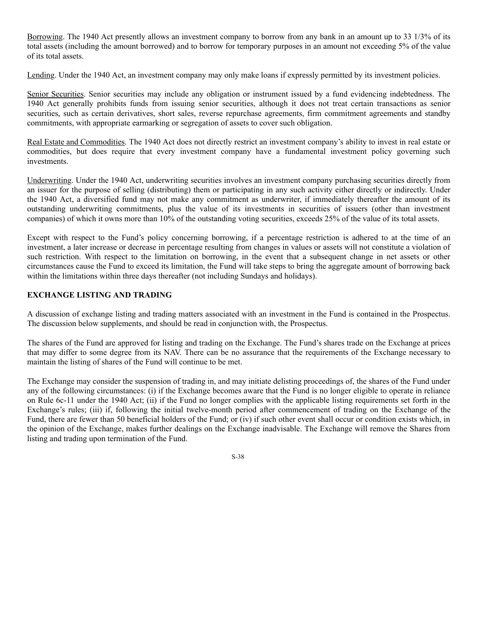Borrowing. The 1940 Act presently allows an investment company to borrow from any bank in an amount up to 33 1/3% of its total assets (including the amount borrowed) and to borrow for temporary purposes in an amount not exceeding 5% of the value of its total assets.

Lending. Under the 1940 Act, an investment company may only make loans if expressly permitted by its investment policies.

Senior Securities. Senior securities may include any obligation or instrument issued by a fund evidencing indebtedness. The 1940 Act generally prohibits funds from issuing senior securities, although it does not treat certain transactions as senior securities, such as certain derivatives, short sales, reverse repurchase agreements, firm commitment agreements and standby commitments, with appropriate earmarking or segregation of assets to cover such obligation.

Real Estate and Commodities. The 1940 Act does not directly restrict an investment company's ability to invest in real estate or commodities, but does require that every investment company have a fundamental investment policy governing such investments.

Underwriting. Under the 1940 Act, underwriting securities involves an investment company purchasing securities directly from an issuer for the purpose of selling (distributing) them or participating in any such activity either directly or indirectly. Under the 1940 Act, a diversified fund may not make any commitment as underwriter, if immediately thereafter the amount of its outstanding underwriting commitments, plus the value of its investments in securities of issuers (other than investment companies) of which it owns more than 10% of the outstanding voting securities, exceeds 25% of the value of its total assets.

Except with respect to the Fund's policy concerning borrowing, if a percentage restriction is adhered to at the time of an investment, a later increase or decrease in percentage resulting from changes in values or assets will not constitute a violation of such restriction. With respect to the limitation on borrowing, in the event that a subsequent change in net assets or other circumstances cause the Fund to exceed its limitation, the Fund will take steps to bring the aggregate amount of borrowing back within the limitations within three days thereafter (not including Sundays and holidays).

# **EXCHANGE LISTING AND TRADING**

A discussion of exchange listing and trading matters associated with an investment in the Fund is contained in the Prospectus. The discussion below supplements, and should be read in conjunction with, the Prospectus.

The shares of the Fund are approved for listing and trading on the Exchange. The Fund's shares trade on the Exchange at prices that may differ to some degree from its NAV. There can be no assurance that the requirements of the Exchange necessary to maintain the listing of shares of the Fund will continue to be met.

The Exchange may consider the suspension of trading in, and may initiate delisting proceedings of, the shares of the Fund under any of the following circumstances: (i) if the Exchange becomes aware that the Fund is no longer eligible to operate in reliance on Rule 6c-11 under the 1940 Act; (ii) if the Fund no longer complies with the applicable listing requirements set forth in the Exchange's rules; (iii) if, following the initial twelve-month period after commencement of trading on the Exchange of the Fund, there are fewer than 50 beneficial holders of the Fund; or (iv) if such other event shall occur or condition exists which, in the opinion of the Exchange, makes further dealings on the Exchange inadvisable. The Exchange will remove the Shares from listing and trading upon termination of the Fund.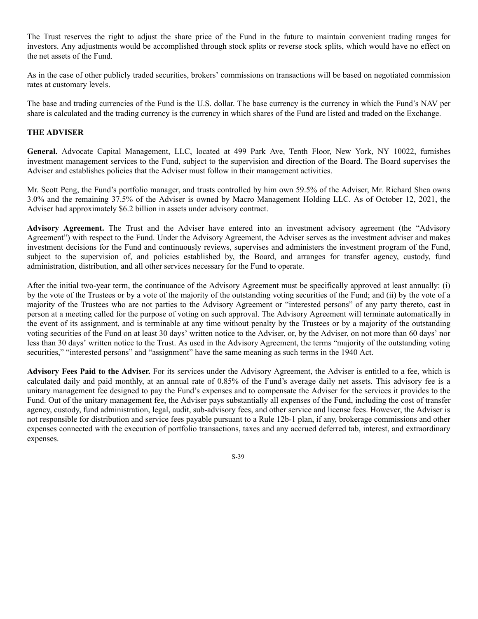The Trust reserves the right to adjust the share price of the Fund in the future to maintain convenient trading ranges for investors. Any adjustments would be accomplished through stock splits or reverse stock splits, which would have no effect on the net assets of the Fund.

As in the case of other publicly traded securities, brokers' commissions on transactions will be based on negotiated commission rates at customary levels.

The base and trading currencies of the Fund is the U.S. dollar. The base currency is the currency in which the Fund's NAV per share is calculated and the trading currency is the currency in which shares of the Fund are listed and traded on the Exchange.

# **THE ADVISER**

**General.** Advocate Capital Management, LLC, located at 499 Park Ave, Tenth Floor, New York, NY 10022, furnishes investment management services to the Fund, subject to the supervision and direction of the Board. The Board supervises the Adviser and establishes policies that the Adviser must follow in their management activities.

Mr. Scott Peng, the Fund's portfolio manager, and trusts controlled by him own 59.5% of the Adviser, Mr. Richard Shea owns 3.0% and the remaining 37.5% of the Adviser is owned by Macro Management Holding LLC. As of October 12, 2021, the Adviser had approximately \$6.2 billion in assets under advisory contract.

**Advisory Agreement.** The Trust and the Adviser have entered into an investment advisory agreement (the "Advisory Agreement") with respect to the Fund. Under the Advisory Agreement, the Adviser serves as the investment adviser and makes investment decisions for the Fund and continuously reviews, supervises and administers the investment program of the Fund, subject to the supervision of, and policies established by, the Board, and arranges for transfer agency, custody, fund administration, distribution, and all other services necessary for the Fund to operate.

After the initial two-year term, the continuance of the Advisory Agreement must be specifically approved at least annually: (i) by the vote of the Trustees or by a vote of the majority of the outstanding voting securities of the Fund; and (ii) by the vote of a majority of the Trustees who are not parties to the Advisory Agreement or "interested persons" of any party thereto, cast in person at a meeting called for the purpose of voting on such approval. The Advisory Agreement will terminate automatically in the event of its assignment, and is terminable at any time without penalty by the Trustees or by a majority of the outstanding voting securities of the Fund on at least 30 days' written notice to the Adviser, or, by the Adviser, on not more than 60 days' nor less than 30 days' written notice to the Trust. As used in the Advisory Agreement, the terms "majority of the outstanding voting securities," "interested persons" and "assignment" have the same meaning as such terms in the 1940 Act.

**Advisory Fees Paid to the Adviser.** For its services under the Advisory Agreement, the Adviser is entitled to a fee, which is calculated daily and paid monthly, at an annual rate of 0.85% of the Fund's average daily net assets. This advisory fee is a unitary management fee designed to pay the Fund's expenses and to compensate the Adviser for the services it provides to the Fund. Out of the unitary management fee, the Adviser pays substantially all expenses of the Fund, including the cost of transfer agency, custody, fund administration, legal, audit, sub-advisory fees, and other service and license fees. However, the Adviser is not responsible for distribution and service fees payable pursuant to a Rule 12b-1 plan, if any, brokerage commissions and other expenses connected with the execution of portfolio transactions, taxes and any accrued deferred tab, interest, and extraordinary expenses.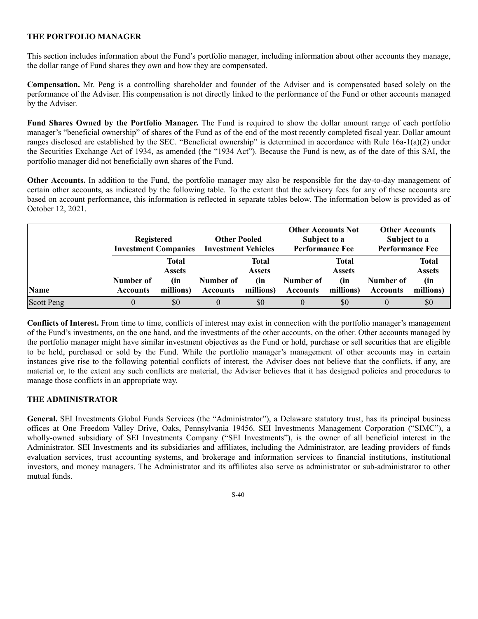## **THE PORTFOLIO MANAGER**

This section includes information about the Fund's portfolio manager, including information about other accounts they manage, the dollar range of Fund shares they own and how they are compensated.

**Compensation.** Mr. Peng is a controlling shareholder and founder of the Adviser and is compensated based solely on the performance of the Adviser. His compensation is not directly linked to the performance of the Fund or other accounts managed by the Adviser.

**Fund Shares Owned by the Portfolio Manager.** The Fund is required to show the dollar amount range of each portfolio manager's "beneficial ownership" of shares of the Fund as of the end of the most recently completed fiscal year. Dollar amount ranges disclosed are established by the SEC. "Beneficial ownership" is determined in accordance with Rule 16a-1(a)(2) under the Securities Exchange Act of 1934, as amended (the "1934 Act"). Because the Fund is new, as of the date of this SAI, the portfolio manager did not beneficially own shares of the Fund.

**Other Accounts.** In addition to the Fund, the portfolio manager may also be responsible for the day-to-day management of certain other accounts, as indicated by the following table. To the extent that the advisory fees for any of these accounts are based on account performance, this information is reflected in separate tables below. The information below is provided as of October 12, 2021.

|                   | <b>Registered</b><br><b>Investment Companies</b> |                               | <b>Other Pooled</b><br><b>Investment Vehicles</b> |                               | <b>Other Accounts Not</b><br>Subject to a<br><b>Performance Fee</b> |                        | <b>Other Accounts</b><br>Subject to a<br><b>Performance Fee</b> |                               |
|-------------------|--------------------------------------------------|-------------------------------|---------------------------------------------------|-------------------------------|---------------------------------------------------------------------|------------------------|-----------------------------------------------------------------|-------------------------------|
|                   |                                                  | <b>Total</b><br><b>Assets</b> |                                                   | <b>Total</b><br><b>Assets</b> |                                                                     | Total<br><b>Assets</b> |                                                                 | <b>Total</b><br><b>Assets</b> |
| <b>Name</b>       | Number of<br><b>Accounts</b>                     | (in<br>millions)              | Number of<br><b>Accounts</b>                      | (in<br>millions)              | Number of<br><b>Accounts</b>                                        | (in<br>millions)       | Number of<br><b>Accounts</b>                                    | (in<br>millions)              |
| <b>Scott Peng</b> | 0                                                | \$0                           | $\theta$                                          | \$0                           | $\theta$                                                            | \$0                    |                                                                 | \$0                           |

**Conflicts of Interest.** From time to time, conflicts of interest may exist in connection with the portfolio manager's management of the Fund's investments, on the one hand, and the investments of the other accounts, on the other. Other accounts managed by the portfolio manager might have similar investment objectives as the Fund or hold, purchase or sell securities that are eligible to be held, purchased or sold by the Fund. While the portfolio manager's management of other accounts may in certain instances give rise to the following potential conflicts of interest, the Adviser does not believe that the conflicts, if any, are material or, to the extent any such conflicts are material, the Adviser believes that it has designed policies and procedures to manage those conflicts in an appropriate way.

# **THE ADMINISTRATOR**

**General.** SEI Investments Global Funds Services (the "Administrator"), a Delaware statutory trust, has its principal business offices at One Freedom Valley Drive, Oaks, Pennsylvania 19456. SEI Investments Management Corporation ("SIMC"), a wholly-owned subsidiary of SEI Investments Company ("SEI Investments"), is the owner of all beneficial interest in the Administrator. SEI Investments and its subsidiaries and affiliates, including the Administrator, are leading providers of funds evaluation services, trust accounting systems, and brokerage and information services to financial institutions, institutional investors, and money managers. The Administrator and its affiliates also serve as administrator or sub-administrator to other mutual funds.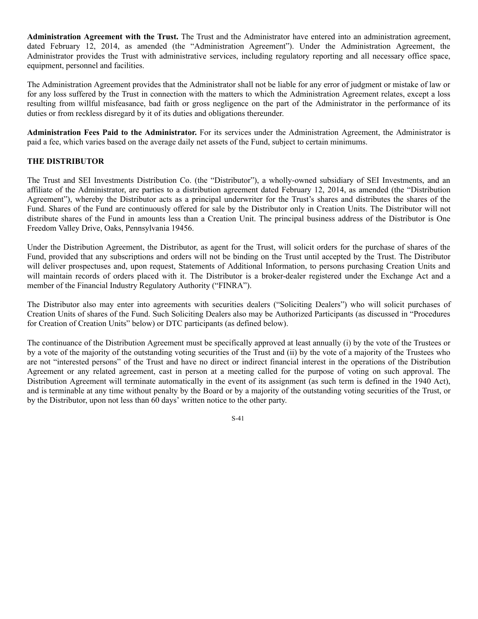**Administration Agreement with the Trust.** The Trust and the Administrator have entered into an administration agreement, dated February 12, 2014, as amended (the "Administration Agreement"). Under the Administration Agreement, the Administrator provides the Trust with administrative services, including regulatory reporting and all necessary office space, equipment, personnel and facilities.

The Administration Agreement provides that the Administrator shall not be liable for any error of judgment or mistake of law or for any loss suffered by the Trust in connection with the matters to which the Administration Agreement relates, except a loss resulting from willful misfeasance, bad faith or gross negligence on the part of the Administrator in the performance of its duties or from reckless disregard by it of its duties and obligations thereunder.

**Administration Fees Paid to the Administrator.** For its services under the Administration Agreement, the Administrator is paid a fee, which varies based on the average daily net assets of the Fund, subject to certain minimums.

# **THE DISTRIBUTOR**

The Trust and SEI Investments Distribution Co. (the "Distributor"), a wholly-owned subsidiary of SEI Investments, and an affiliate of the Administrator, are parties to a distribution agreement dated February 12, 2014, as amended (the "Distribution Agreement"), whereby the Distributor acts as a principal underwriter for the Trust's shares and distributes the shares of the Fund. Shares of the Fund are continuously offered for sale by the Distributor only in Creation Units. The Distributor will not distribute shares of the Fund in amounts less than a Creation Unit. The principal business address of the Distributor is One Freedom Valley Drive, Oaks, Pennsylvania 19456.

Under the Distribution Agreement, the Distributor, as agent for the Trust, will solicit orders for the purchase of shares of the Fund, provided that any subscriptions and orders will not be binding on the Trust until accepted by the Trust. The Distributor will deliver prospectuses and, upon request, Statements of Additional Information, to persons purchasing Creation Units and will maintain records of orders placed with it. The Distributor is a broker-dealer registered under the Exchange Act and a member of the Financial Industry Regulatory Authority ("FINRA").

The Distributor also may enter into agreements with securities dealers ("Soliciting Dealers") who will solicit purchases of Creation Units of shares of the Fund. Such Soliciting Dealers also may be Authorized Participants (as discussed in "Procedures for Creation of Creation Units" below) or DTC participants (as defined below).

The continuance of the Distribution Agreement must be specifically approved at least annually (i) by the vote of the Trustees or by a vote of the majority of the outstanding voting securities of the Trust and (ii) by the vote of a majority of the Trustees who are not "interested persons" of the Trust and have no direct or indirect financial interest in the operations of the Distribution Agreement or any related agreement, cast in person at a meeting called for the purpose of voting on such approval. The Distribution Agreement will terminate automatically in the event of its assignment (as such term is defined in the 1940 Act), and is terminable at any time without penalty by the Board or by a majority of the outstanding voting securities of the Trust, or by the Distributor, upon not less than 60 days' written notice to the other party.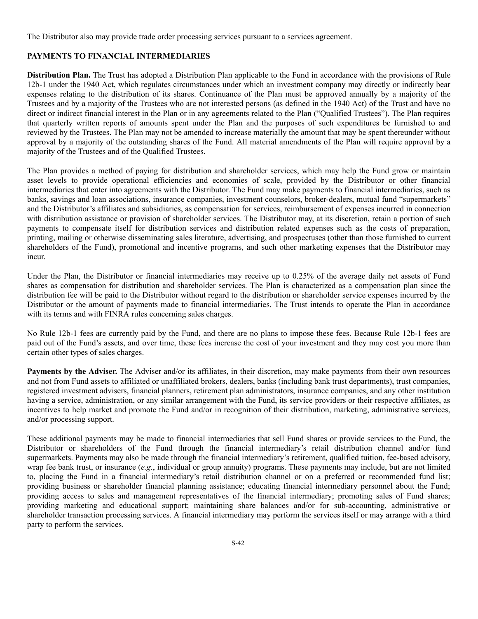The Distributor also may provide trade order processing services pursuant to a services agreement.

# **PAYMENTS TO FINANCIAL INTERMEDIARIES**

**Distribution Plan.** The Trust has adopted a Distribution Plan applicable to the Fund in accordance with the provisions of Rule 12b-1 under the 1940 Act, which regulates circumstances under which an investment company may directly or indirectly bear expenses relating to the distribution of its shares. Continuance of the Plan must be approved annually by a majority of the Trustees and by a majority of the Trustees who are not interested persons (as defined in the 1940 Act) of the Trust and have no direct or indirect financial interest in the Plan or in any agreements related to the Plan ("Qualified Trustees"). The Plan requires that quarterly written reports of amounts spent under the Plan and the purposes of such expenditures be furnished to and reviewed by the Trustees. The Plan may not be amended to increase materially the amount that may be spent thereunder without approval by a majority of the outstanding shares of the Fund. All material amendments of the Plan will require approval by a majority of the Trustees and of the Qualified Trustees.

The Plan provides a method of paying for distribution and shareholder services, which may help the Fund grow or maintain asset levels to provide operational efficiencies and economies of scale, provided by the Distributor or other financial intermediaries that enter into agreements with the Distributor. The Fund may make payments to financial intermediaries, such as banks, savings and loan associations, insurance companies, investment counselors, broker-dealers, mutual fund "supermarkets" and the Distributor's affiliates and subsidiaries, as compensation for services, reimbursement of expenses incurred in connection with distribution assistance or provision of shareholder services. The Distributor may, at its discretion, retain a portion of such payments to compensate itself for distribution services and distribution related expenses such as the costs of preparation, printing, mailing or otherwise disseminating sales literature, advertising, and prospectuses (other than those furnished to current shareholders of the Fund), promotional and incentive programs, and such other marketing expenses that the Distributor may incur.

Under the Plan, the Distributor or financial intermediaries may receive up to 0.25% of the average daily net assets of Fund shares as compensation for distribution and shareholder services. The Plan is characterized as a compensation plan since the distribution fee will be paid to the Distributor without regard to the distribution or shareholder service expenses incurred by the Distributor or the amount of payments made to financial intermediaries. The Trust intends to operate the Plan in accordance with its terms and with FINRA rules concerning sales charges.

No Rule 12b-1 fees are currently paid by the Fund, and there are no plans to impose these fees. Because Rule 12b-1 fees are paid out of the Fund's assets, and over time, these fees increase the cost of your investment and they may cost you more than certain other types of sales charges.

**Payments by the Adviser.** The Adviser and/or its affiliates, in their discretion, may make payments from their own resources and not from Fund assets to affiliated or unaffiliated brokers, dealers, banks (including bank trust departments), trust companies, registered investment advisers, financial planners, retirement plan administrators, insurance companies, and any other institution having a service, administration, or any similar arrangement with the Fund, its service providers or their respective affiliates, as incentives to help market and promote the Fund and/or in recognition of their distribution, marketing, administrative services, and/or processing support.

These additional payments may be made to financial intermediaries that sell Fund shares or provide services to the Fund, the Distributor or shareholders of the Fund through the financial intermediary's retail distribution channel and/or fund supermarkets. Payments may also be made through the financial intermediary's retirement, qualified tuition, fee-based advisory, wrap fee bank trust, or insurance (*e.g.*, individual or group annuity) programs. These payments may include, but are not limited to, placing the Fund in a financial intermediary's retail distribution channel or on a preferred or recommended fund list; providing business or shareholder financial planning assistance; educating financial intermediary personnel about the Fund; providing access to sales and management representatives of the financial intermediary; promoting sales of Fund shares; providing marketing and educational support; maintaining share balances and/or for sub-accounting, administrative or shareholder transaction processing services. A financial intermediary may perform the services itself or may arrange with a third party to perform the services.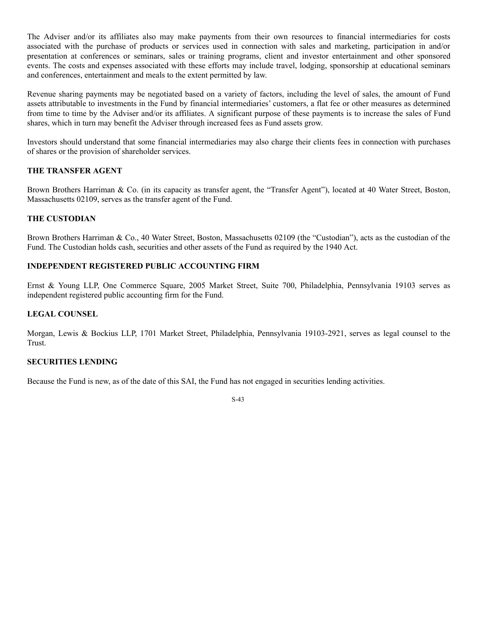The Adviser and/or its affiliates also may make payments from their own resources to financial intermediaries for costs associated with the purchase of products or services used in connection with sales and marketing, participation in and/or presentation at conferences or seminars, sales or training programs, client and investor entertainment and other sponsored events. The costs and expenses associated with these efforts may include travel, lodging, sponsorship at educational seminars and conferences, entertainment and meals to the extent permitted by law.

Revenue sharing payments may be negotiated based on a variety of factors, including the level of sales, the amount of Fund assets attributable to investments in the Fund by financial intermediaries' customers, a flat fee or other measures as determined from time to time by the Adviser and/or its affiliates. A significant purpose of these payments is to increase the sales of Fund shares, which in turn may benefit the Adviser through increased fees as Fund assets grow.

Investors should understand that some financial intermediaries may also charge their clients fees in connection with purchases of shares or the provision of shareholder services.

# **THE TRANSFER AGENT**

Brown Brothers Harriman & Co. (in its capacity as transfer agent, the "Transfer Agent"), located at 40 Water Street, Boston, Massachusetts 02109, serves as the transfer agent of the Fund.

## **THE CUSTODIAN**

Brown Brothers Harriman & Co., 40 Water Street, Boston, Massachusetts 02109 (the "Custodian"), acts as the custodian of the Fund. The Custodian holds cash, securities and other assets of the Fund as required by the 1940 Act.

# **INDEPENDENT REGISTERED PUBLIC ACCOUNTING FIRM**

Ernst & Young LLP, One Commerce Square, 2005 Market Street, Suite 700, Philadelphia, Pennsylvania 19103 serves as independent registered public accounting firm for the Fund.

## **LEGAL COUNSEL**

Morgan, Lewis & Bockius LLP, 1701 Market Street, Philadelphia, Pennsylvania 19103-2921, serves as legal counsel to the Trust.

### **SECURITIES LENDING**

Because the Fund is new, as of the date of this SAI, the Fund has not engaged in securities lending activities.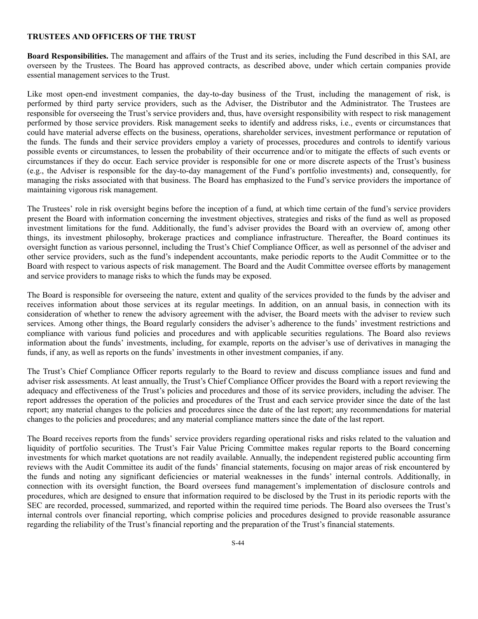#### **TRUSTEES AND OFFICERS OF THE TRUST**

**Board Responsibilities.** The management and affairs of the Trust and its series, including the Fund described in this SAI, are overseen by the Trustees. The Board has approved contracts, as described above, under which certain companies provide essential management services to the Trust.

Like most open-end investment companies, the day-to-day business of the Trust, including the management of risk, is performed by third party service providers, such as the Adviser, the Distributor and the Administrator. The Trustees are responsible for overseeing the Trust's service providers and, thus, have oversight responsibility with respect to risk management performed by those service providers. Risk management seeks to identify and address risks, i.e., events or circumstances that could have material adverse effects on the business, operations, shareholder services, investment performance or reputation of the funds. The funds and their service providers employ a variety of processes, procedures and controls to identify various possible events or circumstances, to lessen the probability of their occurrence and/or to mitigate the effects of such events or circumstances if they do occur. Each service provider is responsible for one or more discrete aspects of the Trust's business (e.g., the Adviser is responsible for the day-to-day management of the Fund's portfolio investments) and, consequently, for managing the risks associated with that business. The Board has emphasized to the Fund's service providers the importance of maintaining vigorous risk management.

The Trustees' role in risk oversight begins before the inception of a fund, at which time certain of the fund's service providers present the Board with information concerning the investment objectives, strategies and risks of the fund as well as proposed investment limitations for the fund. Additionally, the fund's adviser provides the Board with an overview of, among other things, its investment philosophy, brokerage practices and compliance infrastructure. Thereafter, the Board continues its oversight function as various personnel, including the Trust's Chief Compliance Officer, as well as personnel of the adviser and other service providers, such as the fund's independent accountants, make periodic reports to the Audit Committee or to the Board with respect to various aspects of risk management. The Board and the Audit Committee oversee efforts by management and service providers to manage risks to which the funds may be exposed.

The Board is responsible for overseeing the nature, extent and quality of the services provided to the funds by the adviser and receives information about those services at its regular meetings. In addition, on an annual basis, in connection with its consideration of whether to renew the advisory agreement with the adviser, the Board meets with the adviser to review such services. Among other things, the Board regularly considers the adviser's adherence to the funds' investment restrictions and compliance with various fund policies and procedures and with applicable securities regulations. The Board also reviews information about the funds' investments, including, for example, reports on the adviser's use of derivatives in managing the funds, if any, as well as reports on the funds' investments in other investment companies, if any.

The Trust's Chief Compliance Officer reports regularly to the Board to review and discuss compliance issues and fund and adviser risk assessments. At least annually, the Trust's Chief Compliance Officer provides the Board with a report reviewing the adequacy and effectiveness of the Trust's policies and procedures and those of its service providers, including the adviser. The report addresses the operation of the policies and procedures of the Trust and each service provider since the date of the last report; any material changes to the policies and procedures since the date of the last report; any recommendations for material changes to the policies and procedures; and any material compliance matters since the date of the last report.

The Board receives reports from the funds' service providers regarding operational risks and risks related to the valuation and liquidity of portfolio securities. The Trust's Fair Value Pricing Committee makes regular reports to the Board concerning investments for which market quotations are not readily available. Annually, the independent registered public accounting firm reviews with the Audit Committee its audit of the funds' financial statements, focusing on major areas of risk encountered by the funds and noting any significant deficiencies or material weaknesses in the funds' internal controls. Additionally, in connection with its oversight function, the Board oversees fund management's implementation of disclosure controls and procedures, which are designed to ensure that information required to be disclosed by the Trust in its periodic reports with the SEC are recorded, processed, summarized, and reported within the required time periods. The Board also oversees the Trust's internal controls over financial reporting, which comprise policies and procedures designed to provide reasonable assurance regarding the reliability of the Trust's financial reporting and the preparation of the Trust's financial statements.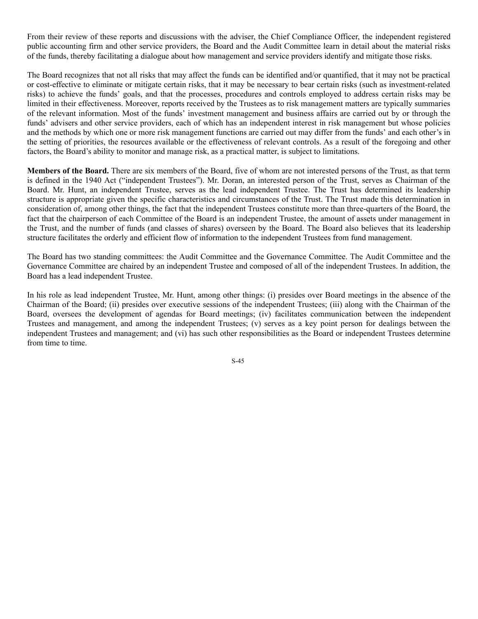From their review of these reports and discussions with the adviser, the Chief Compliance Officer, the independent registered public accounting firm and other service providers, the Board and the Audit Committee learn in detail about the material risks of the funds, thereby facilitating a dialogue about how management and service providers identify and mitigate those risks.

The Board recognizes that not all risks that may affect the funds can be identified and/or quantified, that it may not be practical or cost-effective to eliminate or mitigate certain risks, that it may be necessary to bear certain risks (such as investment-related risks) to achieve the funds' goals, and that the processes, procedures and controls employed to address certain risks may be limited in their effectiveness. Moreover, reports received by the Trustees as to risk management matters are typically summaries of the relevant information. Most of the funds' investment management and business affairs are carried out by or through the funds' advisers and other service providers, each of which has an independent interest in risk management but whose policies and the methods by which one or more risk management functions are carried out may differ from the funds' and each other's in the setting of priorities, the resources available or the effectiveness of relevant controls. As a result of the foregoing and other factors, the Board's ability to monitor and manage risk, as a practical matter, is subject to limitations.

**Members of the Board.** There are six members of the Board, five of whom are not interested persons of the Trust, as that term is defined in the 1940 Act ("independent Trustees"). Mr. Doran, an interested person of the Trust, serves as Chairman of the Board. Mr. Hunt, an independent Trustee, serves as the lead independent Trustee. The Trust has determined its leadership structure is appropriate given the specific characteristics and circumstances of the Trust. The Trust made this determination in consideration of, among other things, the fact that the independent Trustees constitute more than three-quarters of the Board, the fact that the chairperson of each Committee of the Board is an independent Trustee, the amount of assets under management in the Trust, and the number of funds (and classes of shares) overseen by the Board. The Board also believes that its leadership structure facilitates the orderly and efficient flow of information to the independent Trustees from fund management.

The Board has two standing committees: the Audit Committee and the Governance Committee. The Audit Committee and the Governance Committee are chaired by an independent Trustee and composed of all of the independent Trustees. In addition, the Board has a lead independent Trustee.

In his role as lead independent Trustee, Mr. Hunt, among other things: (i) presides over Board meetings in the absence of the Chairman of the Board; (ii) presides over executive sessions of the independent Trustees; (iii) along with the Chairman of the Board, oversees the development of agendas for Board meetings; (iv) facilitates communication between the independent Trustees and management, and among the independent Trustees; (v) serves as a key point person for dealings between the independent Trustees and management; and (vi) has such other responsibilities as the Board or independent Trustees determine from time to time.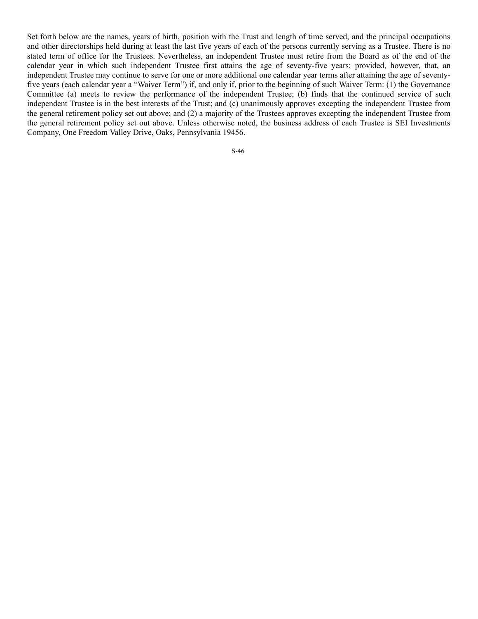Set forth below are the names, years of birth, position with the Trust and length of time served, and the principal occupations and other directorships held during at least the last five years of each of the persons currently serving as a Trustee. There is no stated term of office for the Trustees. Nevertheless, an independent Trustee must retire from the Board as of the end of the calendar year in which such independent Trustee first attains the age of seventy-five years; provided, however, that, an independent Trustee may continue to serve for one or more additional one calendar year terms after attaining the age of seventyfive years (each calendar year a "Waiver Term") if, and only if, prior to the beginning of such Waiver Term: (1) the Governance Committee (a) meets to review the performance of the independent Trustee; (b) finds that the continued service of such independent Trustee is in the best interests of the Trust; and (c) unanimously approves excepting the independent Trustee from the general retirement policy set out above; and (2) a majority of the Trustees approves excepting the independent Trustee from the general retirement policy set out above. Unless otherwise noted, the business address of each Trustee is SEI Investments Company, One Freedom Valley Drive, Oaks, Pennsylvania 19456.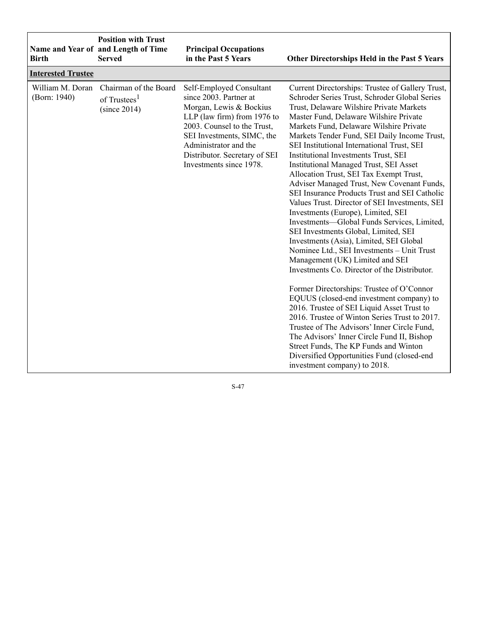| Birth                            | <b>Position with Trust</b><br>Name and Year of and Length of Time<br><b>Served</b> | <b>Principal Occupations</b><br>in the Past 5 Years                                                                                                                                                                                                            | Other Directorships Held in the Past 5 Years                                                                                                                                                                                                                                                                                                                                                                                                                                                                                                                                                                                                                                                                                                                                                                                                                                                                                                                                                                                                                                                                                                                                                                                                                                                                                               |
|----------------------------------|------------------------------------------------------------------------------------|----------------------------------------------------------------------------------------------------------------------------------------------------------------------------------------------------------------------------------------------------------------|--------------------------------------------------------------------------------------------------------------------------------------------------------------------------------------------------------------------------------------------------------------------------------------------------------------------------------------------------------------------------------------------------------------------------------------------------------------------------------------------------------------------------------------------------------------------------------------------------------------------------------------------------------------------------------------------------------------------------------------------------------------------------------------------------------------------------------------------------------------------------------------------------------------------------------------------------------------------------------------------------------------------------------------------------------------------------------------------------------------------------------------------------------------------------------------------------------------------------------------------------------------------------------------------------------------------------------------------|
| <b>Interested Trustee</b>        |                                                                                    |                                                                                                                                                                                                                                                                |                                                                                                                                                                                                                                                                                                                                                                                                                                                                                                                                                                                                                                                                                                                                                                                                                                                                                                                                                                                                                                                                                                                                                                                                                                                                                                                                            |
| William M. Doran<br>(Born: 1940) | Chairman of the Board<br>of Trustees <sup>1</sup><br>(since 2014)                  | Self-Employed Consultant<br>since 2003. Partner at<br>Morgan, Lewis & Bockius<br>LLP (law firm) from 1976 to<br>2003. Counsel to the Trust,<br>SEI Investments, SIMC, the<br>Administrator and the<br>Distributor. Secretary of SEI<br>Investments since 1978. | Current Directorships: Trustee of Gallery Trust,<br>Schroder Series Trust, Schroder Global Series<br>Trust, Delaware Wilshire Private Markets<br>Master Fund, Delaware Wilshire Private<br>Markets Fund, Delaware Wilshire Private<br>Markets Tender Fund, SEI Daily Income Trust,<br>SEI Institutional International Trust, SEI<br>Institutional Investments Trust, SEI<br><b>Institutional Managed Trust, SEI Asset</b><br>Allocation Trust, SEI Tax Exempt Trust,<br>Adviser Managed Trust, New Covenant Funds,<br>SEI Insurance Products Trust and SEI Catholic<br>Values Trust. Director of SEI Investments, SEI<br>Investments (Europe), Limited, SEI<br>Investments-Global Funds Services, Limited,<br>SEI Investments Global, Limited, SEI<br>Investments (Asia), Limited, SEI Global<br>Nominee Ltd., SEI Investments - Unit Trust<br>Management (UK) Limited and SEI<br>Investments Co. Director of the Distributor.<br>Former Directorships: Trustee of O'Connor<br>EQUUS (closed-end investment company) to<br>2016. Trustee of SEI Liquid Asset Trust to<br>2016. Trustee of Winton Series Trust to 2017.<br>Trustee of The Advisors' Inner Circle Fund,<br>The Advisors' Inner Circle Fund II, Bishop<br>Street Funds, The KP Funds and Winton<br>Diversified Opportunities Fund (closed-end<br>investment company) to 2018. |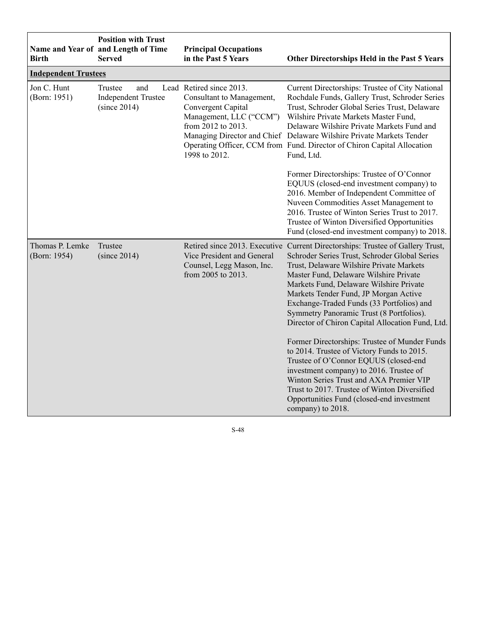| <b>Birth</b>                    | <b>Position with Trust</b><br>Name and Year of and Length of Time<br><b>Served</b> | <b>Principal Occupations</b><br>in the Past 5 Years                                                                                           | Other Directorships Held in the Past 5 Years                                                                                                                                                                                                                                                                                                                                                                                                                                                                                                                                                                                                                                                                                                                                                           |
|---------------------------------|------------------------------------------------------------------------------------|-----------------------------------------------------------------------------------------------------------------------------------------------|--------------------------------------------------------------------------------------------------------------------------------------------------------------------------------------------------------------------------------------------------------------------------------------------------------------------------------------------------------------------------------------------------------------------------------------------------------------------------------------------------------------------------------------------------------------------------------------------------------------------------------------------------------------------------------------------------------------------------------------------------------------------------------------------------------|
| <b>Independent Trustees</b>     |                                                                                    |                                                                                                                                               |                                                                                                                                                                                                                                                                                                                                                                                                                                                                                                                                                                                                                                                                                                                                                                                                        |
| Jon C. Hunt<br>(Born: 1951)     | and<br>Trustee<br><b>Independent Trustee</b><br>(since 2014)                       | Lead Retired since 2013.<br>Consultant to Management,<br>Convergent Capital<br>Management, LLC ("CCM")<br>from 2012 to 2013.<br>1998 to 2012. | Current Directorships: Trustee of City National<br>Rochdale Funds, Gallery Trust, Schroder Series<br>Trust, Schroder Global Series Trust, Delaware<br>Wilshire Private Markets Master Fund,<br>Delaware Wilshire Private Markets Fund and<br>Managing Director and Chief Delaware Wilshire Private Markets Tender<br>Operating Officer, CCM from Fund. Director of Chiron Capital Allocation<br>Fund, Ltd.                                                                                                                                                                                                                                                                                                                                                                                             |
|                                 |                                                                                    |                                                                                                                                               | Former Directorships: Trustee of O'Connor<br>EQUUS (closed-end investment company) to<br>2016. Member of Independent Committee of<br>Nuveen Commodities Asset Management to<br>2016. Trustee of Winton Series Trust to 2017.<br>Trustee of Winton Diversified Opportunities<br>Fund (closed-end investment company) to 2018.                                                                                                                                                                                                                                                                                                                                                                                                                                                                           |
| Thomas P. Lemke<br>(Born: 1954) | Trustee<br>(since 2014)                                                            | Vice President and General<br>Counsel, Legg Mason, Inc.<br>from 2005 to 2013.                                                                 | Retired since 2013. Executive Current Directorships: Trustee of Gallery Trust,<br>Schroder Series Trust, Schroder Global Series<br>Trust, Delaware Wilshire Private Markets<br>Master Fund, Delaware Wilshire Private<br>Markets Fund, Delaware Wilshire Private<br>Markets Tender Fund, JP Morgan Active<br>Exchange-Traded Funds (33 Portfolios) and<br>Symmetry Panoramic Trust (8 Portfolios).<br>Director of Chiron Capital Allocation Fund, Ltd.<br>Former Directorships: Trustee of Munder Funds<br>to 2014. Trustee of Victory Funds to 2015.<br>Trustee of O'Connor EQUUS (closed-end<br>investment company) to 2016. Trustee of<br>Winton Series Trust and AXA Premier VIP<br>Trust to 2017. Trustee of Winton Diversified<br>Opportunities Fund (closed-end investment<br>company) to 2018. |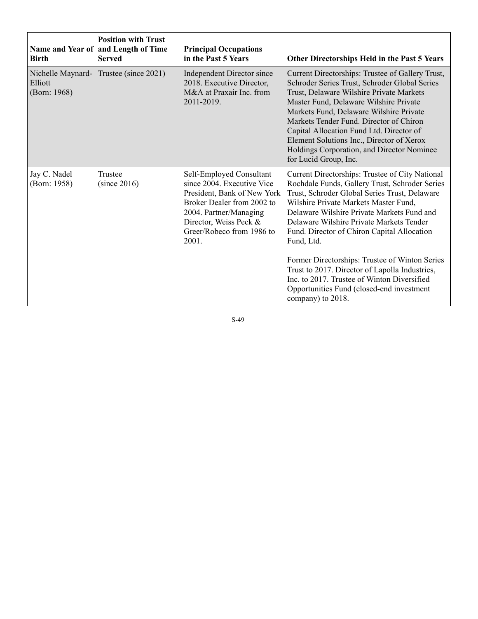| <b>Birth</b>                 | <b>Position with Trust</b><br>Name and Year of and Length of Time<br><b>Served</b> | <b>Principal Occupations</b><br>in the Past 5 Years                                                                                                                                                           | Other Directorships Held in the Past 5 Years                                                                                                                                                                                                                                                                                                                                                                                                                                                                                                                            |
|------------------------------|------------------------------------------------------------------------------------|---------------------------------------------------------------------------------------------------------------------------------------------------------------------------------------------------------------|-------------------------------------------------------------------------------------------------------------------------------------------------------------------------------------------------------------------------------------------------------------------------------------------------------------------------------------------------------------------------------------------------------------------------------------------------------------------------------------------------------------------------------------------------------------------------|
| Elliott<br>(Born: 1968)      | Nichelle Maynard- Trustee (since 2021)                                             | Independent Director since<br>2018. Executive Director,<br>M&A at Praxair Inc. from<br>2011-2019.                                                                                                             | Current Directorships: Trustee of Gallery Trust,<br>Schroder Series Trust, Schroder Global Series<br>Trust, Delaware Wilshire Private Markets<br>Master Fund, Delaware Wilshire Private<br>Markets Fund, Delaware Wilshire Private<br>Markets Tender Fund. Director of Chiron<br>Capital Allocation Fund Ltd. Director of<br>Element Solutions Inc., Director of Xerox<br>Holdings Corporation, and Director Nominee<br>for Lucid Group, Inc.                                                                                                                           |
| Jay C. Nadel<br>(Born: 1958) | Trustee<br>(since 2016)                                                            | Self-Employed Consultant<br>since 2004. Executive Vice<br>President, Bank of New York<br>Broker Dealer from 2002 to<br>2004. Partner/Managing<br>Director, Weiss Peck &<br>Greer/Robeco from 1986 to<br>2001. | Current Directorships: Trustee of City National<br>Rochdale Funds, Gallery Trust, Schroder Series<br>Trust, Schroder Global Series Trust, Delaware<br>Wilshire Private Markets Master Fund,<br>Delaware Wilshire Private Markets Fund and<br>Delaware Wilshire Private Markets Tender<br>Fund. Director of Chiron Capital Allocation<br>Fund, Ltd.<br>Former Directorships: Trustee of Winton Series<br>Trust to 2017. Director of Lapolla Industries,<br>Inc. to 2017. Trustee of Winton Diversified<br>Opportunities Fund (closed-end investment<br>company) to 2018. |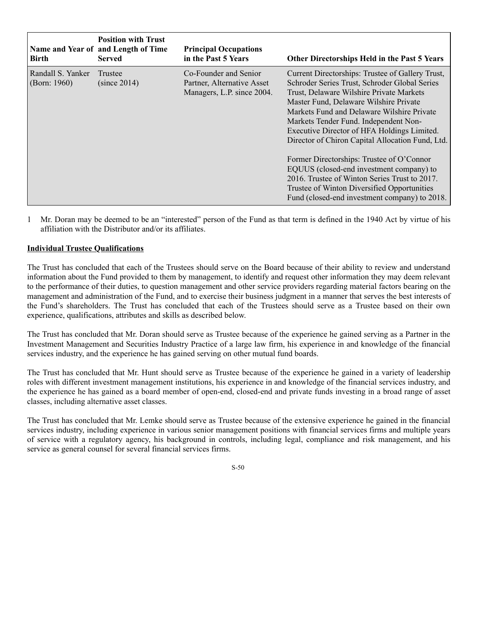| Birth                                | <b>Position with Trust</b><br>Name and Year of and Length of Time<br><b>Served</b> | <b>Principal Occupations</b><br>in the Past 5 Years                               | Other Directorships Held in the Past 5 Years                                                                                                                                                                                                                                                                                                                                      |
|--------------------------------------|------------------------------------------------------------------------------------|-----------------------------------------------------------------------------------|-----------------------------------------------------------------------------------------------------------------------------------------------------------------------------------------------------------------------------------------------------------------------------------------------------------------------------------------------------------------------------------|
| Randall S. Yanker<br>(Born: $1960$ ) | Trustee<br>(since 2014)                                                            | Co-Founder and Senior<br>Partner, Alternative Asset<br>Managers, L.P. since 2004. | Current Directorships: Trustee of Gallery Trust,<br>Schroder Series Trust, Schroder Global Series<br>Trust, Delaware Wilshire Private Markets<br>Master Fund, Delaware Wilshire Private<br>Markets Fund and Delaware Wilshire Private<br>Markets Tender Fund. Independent Non-<br>Executive Director of HFA Holdings Limited.<br>Director of Chiron Capital Allocation Fund, Ltd. |
|                                      |                                                                                    |                                                                                   | Former Directorships: Trustee of O'Connor<br>EQUUS (closed-end investment company) to<br>2016. Trustee of Winton Series Trust to 2017.<br>Trustee of Winton Diversified Opportunities<br>Fund (closed-end investment company) to 2018.                                                                                                                                            |

1 Mr. Doran may be deemed to be an "interested" person of the Fund as that term is defined in the 1940 Act by virtue of his affiliation with the Distributor and/or its affiliates.

# **Individual Trustee Qualifications**

The Trust has concluded that each of the Trustees should serve on the Board because of their ability to review and understand information about the Fund provided to them by management, to identify and request other information they may deem relevant to the performance of their duties, to question management and other service providers regarding material factors bearing on the management and administration of the Fund, and to exercise their business judgment in a manner that serves the best interests of the Fund's shareholders. The Trust has concluded that each of the Trustees should serve as a Trustee based on their own experience, qualifications, attributes and skills as described below.

The Trust has concluded that Mr. Doran should serve as Trustee because of the experience he gained serving as a Partner in the Investment Management and Securities Industry Practice of a large law firm, his experience in and knowledge of the financial services industry, and the experience he has gained serving on other mutual fund boards.

The Trust has concluded that Mr. Hunt should serve as Trustee because of the experience he gained in a variety of leadership roles with different investment management institutions, his experience in and knowledge of the financial services industry, and the experience he has gained as a board member of open-end, closed-end and private funds investing in a broad range of asset classes, including alternative asset classes.

The Trust has concluded that Mr. Lemke should serve as Trustee because of the extensive experience he gained in the financial services industry, including experience in various senior management positions with financial services firms and multiple years of service with a regulatory agency, his background in controls, including legal, compliance and risk management, and his service as general counsel for several financial services firms.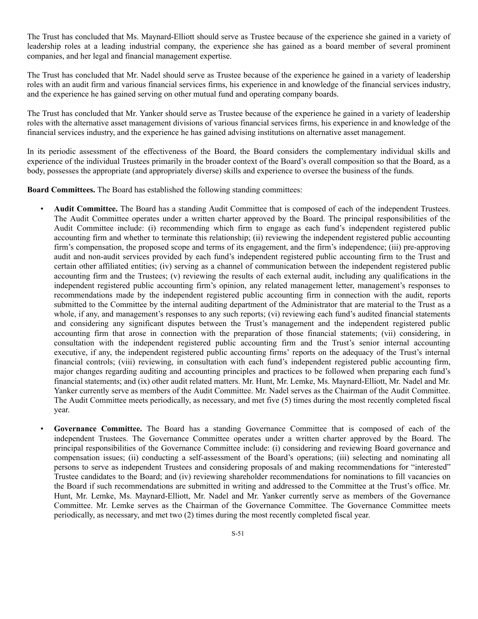The Trust has concluded that Ms. Maynard-Elliott should serve as Trustee because of the experience she gained in a variety of leadership roles at a leading industrial company, the experience she has gained as a board member of several prominent companies, and her legal and financial management expertise.

The Trust has concluded that Mr. Nadel should serve as Trustee because of the experience he gained in a variety of leadership roles with an audit firm and various financial services firms, his experience in and knowledge of the financial services industry, and the experience he has gained serving on other mutual fund and operating company boards.

The Trust has concluded that Mr. Yanker should serve as Trustee because of the experience he gained in a variety of leadership roles with the alternative asset management divisions of various financial services firms, his experience in and knowledge of the financial services industry, and the experience he has gained advising institutions on alternative asset management.

In its periodic assessment of the effectiveness of the Board, the Board considers the complementary individual skills and experience of the individual Trustees primarily in the broader context of the Board's overall composition so that the Board, as a body, possesses the appropriate (and appropriately diverse) skills and experience to oversee the business of the funds.

**Board Committees.** The Board has established the following standing committees:

- **Audit Committee.** The Board has a standing Audit Committee that is composed of each of the independent Trustees. The Audit Committee operates under a written charter approved by the Board. The principal responsibilities of the Audit Committee include: (i) recommending which firm to engage as each fund's independent registered public accounting firm and whether to terminate this relationship; (ii) reviewing the independent registered public accounting firm's compensation, the proposed scope and terms of its engagement, and the firm's independence; (iii) pre-approving audit and non-audit services provided by each fund's independent registered public accounting firm to the Trust and certain other affiliated entities; (iv) serving as a channel of communication between the independent registered public accounting firm and the Trustees; (v) reviewing the results of each external audit, including any qualifications in the independent registered public accounting firm's opinion, any related management letter, management's responses to recommendations made by the independent registered public accounting firm in connection with the audit, reports submitted to the Committee by the internal auditing department of the Administrator that are material to the Trust as a whole, if any, and management's responses to any such reports; (vi) reviewing each fund's audited financial statements and considering any significant disputes between the Trust's management and the independent registered public accounting firm that arose in connection with the preparation of those financial statements; (vii) considering, in consultation with the independent registered public accounting firm and the Trust's senior internal accounting executive, if any, the independent registered public accounting firms' reports on the adequacy of the Trust's internal financial controls; (viii) reviewing, in consultation with each fund's independent registered public accounting firm, major changes regarding auditing and accounting principles and practices to be followed when preparing each fund's financial statements; and (ix) other audit related matters. Mr. Hunt, Mr. Lemke, Ms. Maynard-Elliott, Mr. Nadel and Mr. Yanker currently serve as members of the Audit Committee. Mr. Nadel serves as the Chairman of the Audit Committee. The Audit Committee meets periodically, as necessary, and met five (5) times during the most recently completed fiscal year.
- **Governance Committee.** The Board has a standing Governance Committee that is composed of each of the independent Trustees. The Governance Committee operates under a written charter approved by the Board. The principal responsibilities of the Governance Committee include: (i) considering and reviewing Board governance and compensation issues; (ii) conducting a self-assessment of the Board's operations; (iii) selecting and nominating all persons to serve as independent Trustees and considering proposals of and making recommendations for "interested" Trustee candidates to the Board; and (iv) reviewing shareholder recommendations for nominations to fill vacancies on the Board if such recommendations are submitted in writing and addressed to the Committee at the Trust's office. Mr. Hunt, Mr. Lemke, Ms. Maynard-Elliott, Mr. Nadel and Mr. Yanker currently serve as members of the Governance Committee. Mr. Lemke serves as the Chairman of the Governance Committee. The Governance Committee meets periodically, as necessary, and met two (2) times during the most recently completed fiscal year.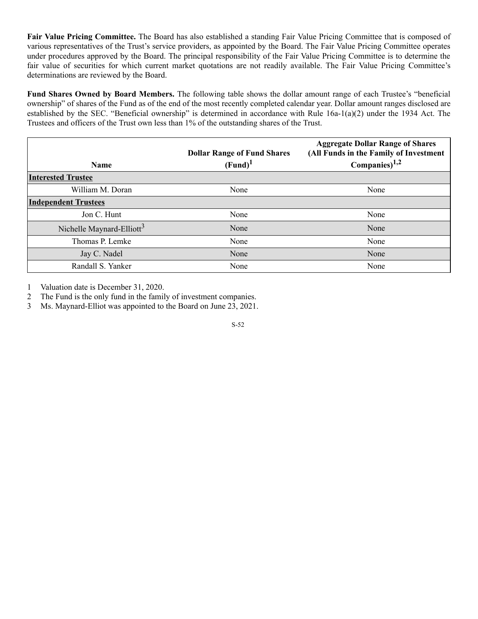**Fair Value Pricing Committee.** The Board has also established a standing Fair Value Pricing Committee that is composed of various representatives of the Trust's service providers, as appointed by the Board. The Fair Value Pricing Committee operates under procedures approved by the Board. The principal responsibility of the Fair Value Pricing Committee is to determine the fair value of securities for which current market quotations are not readily available. The Fair Value Pricing Committee's determinations are reviewed by the Board.

**Fund Shares Owned by Board Members.** The following table shows the dollar amount range of each Trustee's "beneficial ownership" of shares of the Fund as of the end of the most recently completed calendar year. Dollar amount ranges disclosed are established by the SEC. "Beneficial ownership" is determined in accordance with Rule 16a-1(a)(2) under the 1934 Act. The Trustees and officers of the Trust own less than 1% of the outstanding shares of the Trust.

| <b>Name</b>                           | <b>Dollar Range of Fund Shares</b><br>(Fund) <sup>1</sup> | <b>Aggregate Dollar Range of Shares</b><br>(All Funds in the Family of Investment<br>Companies) $1,2$ |
|---------------------------------------|-----------------------------------------------------------|-------------------------------------------------------------------------------------------------------|
| <b>Interested Trustee</b>             |                                                           |                                                                                                       |
| William M. Doran                      | None                                                      | None                                                                                                  |
| <b>Independent Trustees</b>           |                                                           |                                                                                                       |
| Jon C. Hunt                           | None                                                      | None                                                                                                  |
| Nichelle Maynard-Elliott <sup>3</sup> | None                                                      | None                                                                                                  |
| Thomas P. Lemke                       | None                                                      | None                                                                                                  |
| Jay C. Nadel                          | None                                                      | None                                                                                                  |
| Randall S. Yanker                     | None                                                      | None                                                                                                  |

1 Valuation date is December 31, 2020.

2 The Fund is the only fund in the family of investment companies.

3 Ms. Maynard-Elliot was appointed to the Board on June 23, 2021.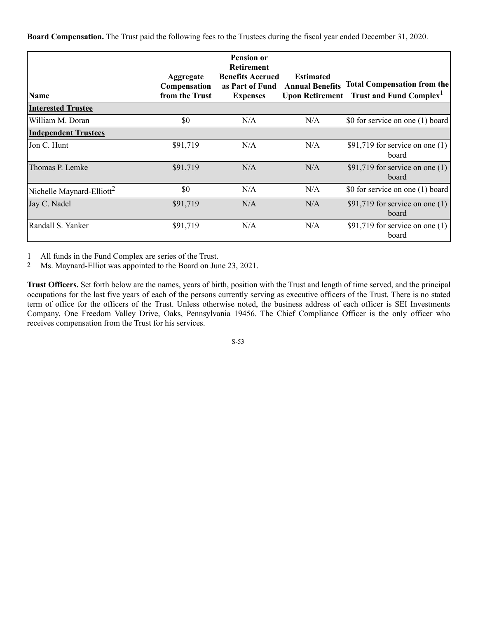**Board Compensation.** The Trust paid the following fees to the Trustees during the fiscal year ended December 31, 2020.

| Name                                  | Aggregate<br>Compensation<br>from the Trust | <b>Pension or</b><br><b>Retirement</b><br><b>Benefits Accrued</b><br>as Part of Fund | <b>Estimated</b><br><b>Annual Benefits</b><br><b>Upon Retirement</b> | <b>Total Compensation from the</b><br><b>Trust and Fund Complex</b> |
|---------------------------------------|---------------------------------------------|--------------------------------------------------------------------------------------|----------------------------------------------------------------------|---------------------------------------------------------------------|
|                                       |                                             | <b>Expenses</b>                                                                      |                                                                      |                                                                     |
| <b>Interested Trustee</b>             |                                             |                                                                                      |                                                                      |                                                                     |
| William M. Doran                      | \$0                                         | N/A                                                                                  | N/A                                                                  | \$0 for service on one (1) board                                    |
| <b>Independent Trustees</b>           |                                             |                                                                                      |                                                                      |                                                                     |
| Jon C. Hunt                           | \$91,719                                    | N/A                                                                                  | N/A                                                                  | \$91,719 for service on one $(1)$<br>board                          |
| Thomas P. Lemke                       | \$91,719                                    | N/A                                                                                  | N/A                                                                  | \$91,719 for service on one $(1)$<br>board                          |
| Nichelle Maynard-Elliott <sup>2</sup> | \$0                                         | N/A                                                                                  | N/A                                                                  | \$0 for service on one (1) board                                    |
| Jay C. Nadel                          | \$91,719                                    | N/A                                                                                  | N/A                                                                  | \$91,719 for service on one $(1)$<br>board                          |
| Randall S. Yanker                     | \$91,719                                    | N/A                                                                                  | N/A                                                                  | \$91,719 for service on one $(1)$<br>board                          |

1 All funds in the Fund Complex are series of the Trust.

2 Ms. Maynard-Elliot was appointed to the Board on June 23, 2021.

**Trust Officers.** Set forth below are the names, years of birth, position with the Trust and length of time served, and the principal occupations for the last five years of each of the persons currently serving as executive officers of the Trust. There is no stated term of office for the officers of the Trust. Unless otherwise noted, the business address of each officer is SEI Investments Company, One Freedom Valley Drive, Oaks, Pennsylvania 19456. The Chief Compliance Officer is the only officer who receives compensation from the Trust for his services.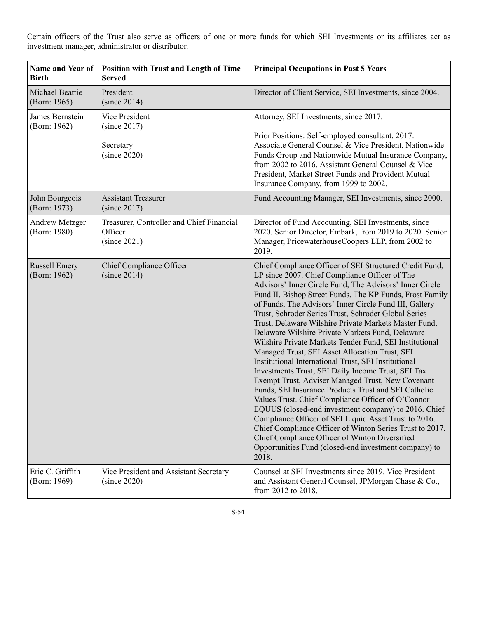**Name and Year of Birth Position with Trust and Length of Time Served Principal Occupations in Past 5 Years** Michael Beattie (Born: 1965) President (since 2014) Director of Client Service, SEI Investments, since 2004. James Bernstein (Born: 1962) Vice President (since 2017) **Secretary** (since 2020) Attorney, SEI Investments, since 2017. Prior Positions: Self-employed consultant, 2017. Associate General Counsel & Vice President, Nationwide Funds Group and Nationwide Mutual Insurance Company, from 2002 to 2016. Assistant General Counsel & Vice President, Market Street Funds and Provident Mutual Insurance Company, from 1999 to 2002. John Bourgeois (Born: 1973) Assistant Treasurer (since 2017) Fund Accounting Manager, SEI Investments, since 2000. Andrew Metzger (Born: 1980) Treasurer, Controller and Chief Financial **Officer** (since 2021) Director of Fund Accounting, SEI Investments, since 2020. Senior Director, Embark, from 2019 to 2020. Senior Manager, PricewaterhouseCoopers LLP, from 2002 to 2019. Russell Emery (Born: 1962) Chief Compliance Officer (since 2014) Chief Compliance Officer of SEI Structured Credit Fund, LP since 2007. Chief Compliance Officer of The Advisors' Inner Circle Fund, The Advisors' Inner Circle Fund II, Bishop Street Funds, The KP Funds, Frost Family of Funds, The Advisors' Inner Circle Fund III, Gallery Trust, Schroder Series Trust, Schroder Global Series Trust, Delaware Wilshire Private Markets Master Fund, Delaware Wilshire Private Markets Fund, Delaware Wilshire Private Markets Tender Fund, SEI Institutional Managed Trust, SEI Asset Allocation Trust, SEI Institutional International Trust, SEI Institutional Investments Trust, SEI Daily Income Trust, SEI Tax Exempt Trust, Adviser Managed Trust, New Covenant Funds, SEI Insurance Products Trust and SEI Catholic Values Trust. Chief Compliance Officer of O'Connor EQUUS (closed-end investment company) to 2016. Chief Compliance Officer of SEI Liquid Asset Trust to 2016. Chief Compliance Officer of Winton Series Trust to 2017. Chief Compliance Officer of Winton Diversified Opportunities Fund (closed-end investment company) to 2018. Eric C. Griffith (Born: 1969) Vice President and Assistant Secretary (since 2020) Counsel at SEI Investments since 2019. Vice President and Assistant General Counsel, JPMorgan Chase & Co., from 2012 to 2018.

Certain officers of the Trust also serve as officers of one or more funds for which SEI Investments or its affiliates act as investment manager, administrator or distributor.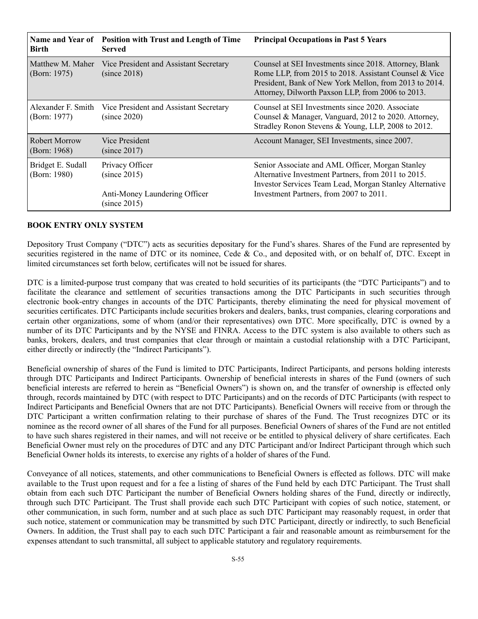| <b>Position with Trust and Length of Time</b><br>Served          | <b>Principal Occupations in Past 5 Years</b>                                                                                                                                                                                   |
|------------------------------------------------------------------|--------------------------------------------------------------------------------------------------------------------------------------------------------------------------------------------------------------------------------|
| Vice President and Assistant Secretary<br>(since 2018)           | Counsel at SEI Investments since 2018. Attorney, Blank<br>Rome LLP, from 2015 to 2018. Assistant Counsel & Vice<br>President, Bank of New York Mellon, from 2013 to 2014.<br>Attorney, Dilworth Paxson LLP, from 2006 to 2013. |
| Vice President and Assistant Secretary<br>(since 2020)           | Counsel at SEI Investments since 2020. Associate<br>Counsel & Manager, Vanguard, 2012 to 2020. Attorney,<br>Stradley Ronon Stevens & Young, LLP, 2008 to 2012.                                                                 |
| Vice President<br>(since 2017)                                   | Account Manager, SEI Investments, since 2007.                                                                                                                                                                                  |
| Privacy Officer<br>(since 2015)<br>Anti-Money Laundering Officer | Senior Associate and AML Officer, Morgan Stanley<br>Alternative Investment Partners, from 2011 to 2015.<br>Investor Services Team Lead, Morgan Stanley Alternative<br>Investment Partners, from 2007 to 2011.                  |
|                                                                  | (since 2015)                                                                                                                                                                                                                   |

#### **BOOK ENTRY ONLY SYSTEM**

Depository Trust Company ("DTC") acts as securities depositary for the Fund's shares. Shares of the Fund are represented by securities registered in the name of DTC or its nominee, Cede & Co., and deposited with, or on behalf of, DTC. Except in limited circumstances set forth below, certificates will not be issued for shares.

DTC is a limited-purpose trust company that was created to hold securities of its participants (the "DTC Participants") and to facilitate the clearance and settlement of securities transactions among the DTC Participants in such securities through electronic book-entry changes in accounts of the DTC Participants, thereby eliminating the need for physical movement of securities certificates. DTC Participants include securities brokers and dealers, banks, trust companies, clearing corporations and certain other organizations, some of whom (and/or their representatives) own DTC. More specifically, DTC is owned by a number of its DTC Participants and by the NYSE and FINRA. Access to the DTC system is also available to others such as banks, brokers, dealers, and trust companies that clear through or maintain a custodial relationship with a DTC Participant, either directly or indirectly (the "Indirect Participants").

Beneficial ownership of shares of the Fund is limited to DTC Participants, Indirect Participants, and persons holding interests through DTC Participants and Indirect Participants. Ownership of beneficial interests in shares of the Fund (owners of such beneficial interests are referred to herein as "Beneficial Owners") is shown on, and the transfer of ownership is effected only through, records maintained by DTC (with respect to DTC Participants) and on the records of DTC Participants (with respect to Indirect Participants and Beneficial Owners that are not DTC Participants). Beneficial Owners will receive from or through the DTC Participant a written confirmation relating to their purchase of shares of the Fund. The Trust recognizes DTC or its nominee as the record owner of all shares of the Fund for all purposes. Beneficial Owners of shares of the Fund are not entitled to have such shares registered in their names, and will not receive or be entitled to physical delivery of share certificates. Each Beneficial Owner must rely on the procedures of DTC and any DTC Participant and/or Indirect Participant through which such Beneficial Owner holds its interests, to exercise any rights of a holder of shares of the Fund.

Conveyance of all notices, statements, and other communications to Beneficial Owners is effected as follows. DTC will make available to the Trust upon request and for a fee a listing of shares of the Fund held by each DTC Participant. The Trust shall obtain from each such DTC Participant the number of Beneficial Owners holding shares of the Fund, directly or indirectly, through such DTC Participant. The Trust shall provide each such DTC Participant with copies of such notice, statement, or other communication, in such form, number and at such place as such DTC Participant may reasonably request, in order that such notice, statement or communication may be transmitted by such DTC Participant, directly or indirectly, to such Beneficial Owners. In addition, the Trust shall pay to each such DTC Participant a fair and reasonable amount as reimbursement for the expenses attendant to such transmittal, all subject to applicable statutory and regulatory requirements.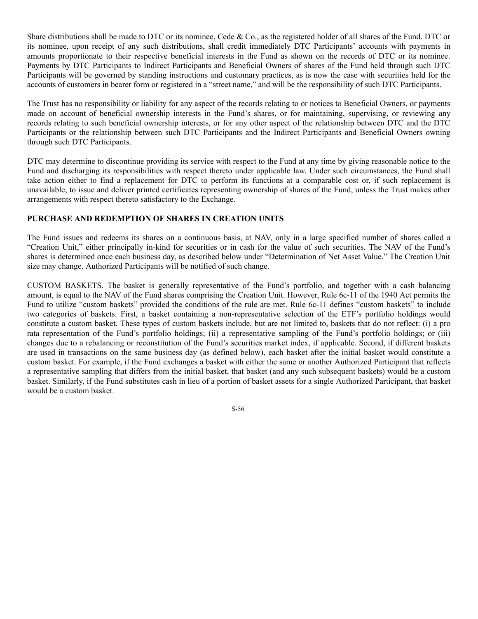Share distributions shall be made to DTC or its nominee, Cede & Co., as the registered holder of all shares of the Fund. DTC or its nominee, upon receipt of any such distributions, shall credit immediately DTC Participants' accounts with payments in amounts proportionate to their respective beneficial interests in the Fund as shown on the records of DTC or its nominee. Payments by DTC Participants to Indirect Participants and Beneficial Owners of shares of the Fund held through such DTC Participants will be governed by standing instructions and customary practices, as is now the case with securities held for the accounts of customers in bearer form or registered in a "street name," and will be the responsibility of such DTC Participants.

The Trust has no responsibility or liability for any aspect of the records relating to or notices to Beneficial Owners, or payments made on account of beneficial ownership interests in the Fund's shares, or for maintaining, supervising, or reviewing any records relating to such beneficial ownership interests, or for any other aspect of the relationship between DTC and the DTC Participants or the relationship between such DTC Participants and the Indirect Participants and Beneficial Owners owning through such DTC Participants.

DTC may determine to discontinue providing its service with respect to the Fund at any time by giving reasonable notice to the Fund and discharging its responsibilities with respect thereto under applicable law. Under such circumstances, the Fund shall take action either to find a replacement for DTC to perform its functions at a comparable cost or, if such replacement is unavailable, to issue and deliver printed certificates representing ownership of shares of the Fund, unless the Trust makes other arrangements with respect thereto satisfactory to the Exchange.

# **PURCHASE AND REDEMPTION OF SHARES IN CREATION UNITS**

The Fund issues and redeems its shares on a continuous basis, at NAV, only in a large specified number of shares called a "Creation Unit," either principally in-kind for securities or in cash for the value of such securities. The NAV of the Fund's shares is determined once each business day, as described below under "Determination of Net Asset Value." The Creation Unit size may change. Authorized Participants will be notified of such change.

CUSTOM BASKETS. The basket is generally representative of the Fund's portfolio, and together with a cash balancing amount, is equal to the NAV of the Fund shares comprising the Creation Unit. However, Rule 6c-11 of the 1940 Act permits the Fund to utilize "custom baskets" provided the conditions of the rule are met. Rule 6c-11 defines "custom baskets" to include two categories of baskets. First, a basket containing a non-representative selection of the ETF's portfolio holdings would constitute a custom basket. These types of custom baskets include, but are not limited to, baskets that do not reflect: (i) a pro rata representation of the Fund's portfolio holdings; (ii) a representative sampling of the Fund's portfolio holdings; or (iii) changes due to a rebalancing or reconstitution of the Fund's securities market index, if applicable. Second, if different baskets are used in transactions on the same business day (as defined below), each basket after the initial basket would constitute a custom basket. For example, if the Fund exchanges a basket with either the same or another Authorized Participant that reflects a representative sampling that differs from the initial basket, that basket (and any such subsequent baskets) would be a custom basket. Similarly, if the Fund substitutes cash in lieu of a portion of basket assets for a single Authorized Participant, that basket would be a custom basket.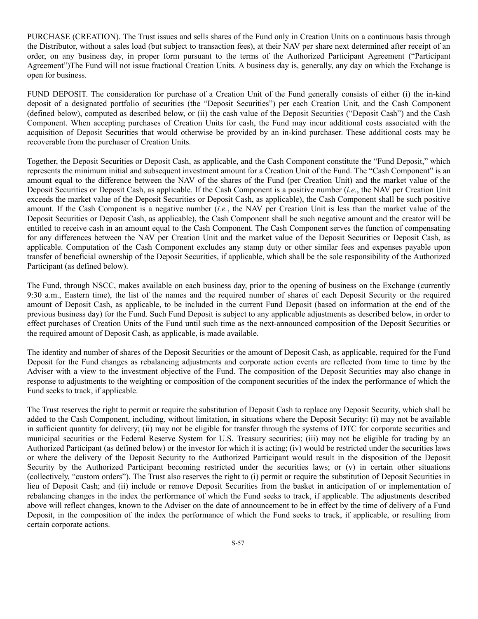PURCHASE (CREATION). The Trust issues and sells shares of the Fund only in Creation Units on a continuous basis through the Distributor, without a sales load (but subject to transaction fees), at their NAV per share next determined after receipt of an order, on any business day, in proper form pursuant to the terms of the Authorized Participant Agreement ("Participant Agreement")The Fund will not issue fractional Creation Units. A business day is, generally, any day on which the Exchange is open for business.

FUND DEPOSIT. The consideration for purchase of a Creation Unit of the Fund generally consists of either (i) the in-kind deposit of a designated portfolio of securities (the "Deposit Securities") per each Creation Unit, and the Cash Component (defined below), computed as described below, or (ii) the cash value of the Deposit Securities ("Deposit Cash") and the Cash Component. When accepting purchases of Creation Units for cash, the Fund may incur additional costs associated with the acquisition of Deposit Securities that would otherwise be provided by an in-kind purchaser. These additional costs may be recoverable from the purchaser of Creation Units.

Together, the Deposit Securities or Deposit Cash, as applicable, and the Cash Component constitute the "Fund Deposit," which represents the minimum initial and subsequent investment amount for a Creation Unit of the Fund. The "Cash Component" is an amount equal to the difference between the NAV of the shares of the Fund (per Creation Unit) and the market value of the Deposit Securities or Deposit Cash, as applicable. If the Cash Component is a positive number (*i.e.*, the NAV per Creation Unit exceeds the market value of the Deposit Securities or Deposit Cash, as applicable), the Cash Component shall be such positive amount. If the Cash Component is a negative number (*i.e.*, the NAV per Creation Unit is less than the market value of the Deposit Securities or Deposit Cash, as applicable), the Cash Component shall be such negative amount and the creator will be entitled to receive cash in an amount equal to the Cash Component. The Cash Component serves the function of compensating for any differences between the NAV per Creation Unit and the market value of the Deposit Securities or Deposit Cash, as applicable. Computation of the Cash Component excludes any stamp duty or other similar fees and expenses payable upon transfer of beneficial ownership of the Deposit Securities, if applicable, which shall be the sole responsibility of the Authorized Participant (as defined below).

The Fund, through NSCC, makes available on each business day, prior to the opening of business on the Exchange (currently 9:30 a.m., Eastern time), the list of the names and the required number of shares of each Deposit Security or the required amount of Deposit Cash, as applicable, to be included in the current Fund Deposit (based on information at the end of the previous business day) for the Fund. Such Fund Deposit is subject to any applicable adjustments as described below, in order to effect purchases of Creation Units of the Fund until such time as the next-announced composition of the Deposit Securities or the required amount of Deposit Cash, as applicable, is made available.

The identity and number of shares of the Deposit Securities or the amount of Deposit Cash, as applicable, required for the Fund Deposit for the Fund changes as rebalancing adjustments and corporate action events are reflected from time to time by the Adviser with a view to the investment objective of the Fund. The composition of the Deposit Securities may also change in response to adjustments to the weighting or composition of the component securities of the index the performance of which the Fund seeks to track, if applicable.

The Trust reserves the right to permit or require the substitution of Deposit Cash to replace any Deposit Security, which shall be added to the Cash Component, including, without limitation, in situations where the Deposit Security: (i) may not be available in sufficient quantity for delivery; (ii) may not be eligible for transfer through the systems of DTC for corporate securities and municipal securities or the Federal Reserve System for U.S. Treasury securities; (iii) may not be eligible for trading by an Authorized Participant (as defined below) or the investor for which it is acting; (iv) would be restricted under the securities laws or where the delivery of the Deposit Security to the Authorized Participant would result in the disposition of the Deposit Security by the Authorized Participant becoming restricted under the securities laws; or (v) in certain other situations (collectively, "custom orders"). The Trust also reserves the right to (i) permit or require the substitution of Deposit Securities in lieu of Deposit Cash; and (ii) include or remove Deposit Securities from the basket in anticipation of or implementation of rebalancing changes in the index the performance of which the Fund seeks to track, if applicable. The adjustments described above will reflect changes, known to the Adviser on the date of announcement to be in effect by the time of delivery of a Fund Deposit, in the composition of the index the performance of which the Fund seeks to track, if applicable, or resulting from certain corporate actions.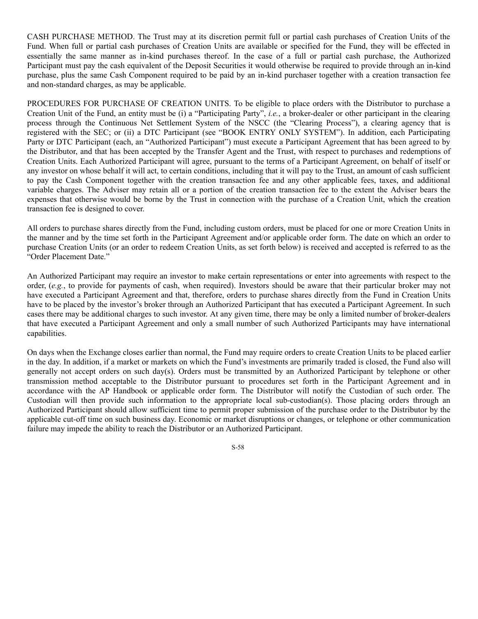CASH PURCHASE METHOD. The Trust may at its discretion permit full or partial cash purchases of Creation Units of the Fund. When full or partial cash purchases of Creation Units are available or specified for the Fund, they will be effected in essentially the same manner as in-kind purchases thereof. In the case of a full or partial cash purchase, the Authorized Participant must pay the cash equivalent of the Deposit Securities it would otherwise be required to provide through an in-kind purchase, plus the same Cash Component required to be paid by an in-kind purchaser together with a creation transaction fee and non-standard charges, as may be applicable.

PROCEDURES FOR PURCHASE OF CREATION UNITS. To be eligible to place orders with the Distributor to purchase a Creation Unit of the Fund, an entity must be (i) a "Participating Party", *i.e.*, a broker-dealer or other participant in the clearing process through the Continuous Net Settlement System of the NSCC (the "Clearing Process"), a clearing agency that is registered with the SEC; or (ii) a DTC Participant (see "BOOK ENTRY ONLY SYSTEM"). In addition, each Participating Party or DTC Participant (each, an "Authorized Participant") must execute a Participant Agreement that has been agreed to by the Distributor, and that has been accepted by the Transfer Agent and the Trust, with respect to purchases and redemptions of Creation Units. Each Authorized Participant will agree, pursuant to the terms of a Participant Agreement, on behalf of itself or any investor on whose behalf it will act, to certain conditions, including that it will pay to the Trust, an amount of cash sufficient to pay the Cash Component together with the creation transaction fee and any other applicable fees, taxes, and additional variable charges. The Adviser may retain all or a portion of the creation transaction fee to the extent the Adviser bears the expenses that otherwise would be borne by the Trust in connection with the purchase of a Creation Unit, which the creation transaction fee is designed to cover.

All orders to purchase shares directly from the Fund, including custom orders, must be placed for one or more Creation Units in the manner and by the time set forth in the Participant Agreement and/or applicable order form. The date on which an order to purchase Creation Units (or an order to redeem Creation Units, as set forth below) is received and accepted is referred to as the "Order Placement Date."

An Authorized Participant may require an investor to make certain representations or enter into agreements with respect to the order, (*e.g.*, to provide for payments of cash, when required). Investors should be aware that their particular broker may not have executed a Participant Agreement and that, therefore, orders to purchase shares directly from the Fund in Creation Units have to be placed by the investor's broker through an Authorized Participant that has executed a Participant Agreement. In such cases there may be additional charges to such investor. At any given time, there may be only a limited number of broker-dealers that have executed a Participant Agreement and only a small number of such Authorized Participants may have international capabilities.

On days when the Exchange closes earlier than normal, the Fund may require orders to create Creation Units to be placed earlier in the day. In addition, if a market or markets on which the Fund's investments are primarily traded is closed, the Fund also will generally not accept orders on such day(s). Orders must be transmitted by an Authorized Participant by telephone or other transmission method acceptable to the Distributor pursuant to procedures set forth in the Participant Agreement and in accordance with the AP Handbook or applicable order form. The Distributor will notify the Custodian of such order. The Custodian will then provide such information to the appropriate local sub-custodian(s). Those placing orders through an Authorized Participant should allow sufficient time to permit proper submission of the purchase order to the Distributor by the applicable cut-off time on such business day. Economic or market disruptions or changes, or telephone or other communication failure may impede the ability to reach the Distributor or an Authorized Participant.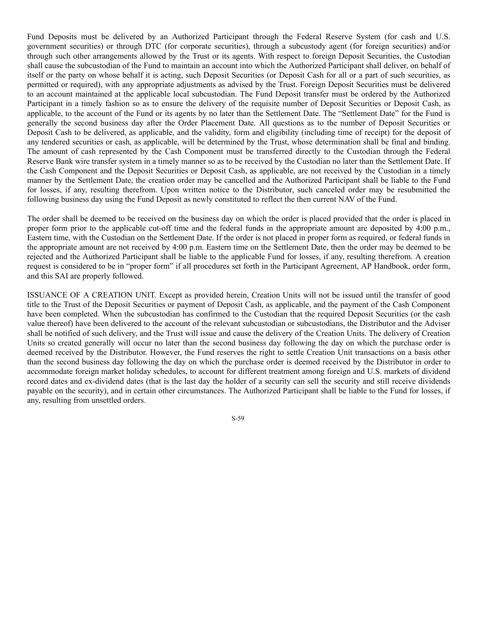Fund Deposits must be delivered by an Authorized Participant through the Federal Reserve System (for cash and U.S. government securities) or through DTC (for corporate securities), through a subcustody agent (for foreign securities) and/or through such other arrangements allowed by the Trust or its agents. With respect to foreign Deposit Securities, the Custodian shall cause the subcustodian of the Fund to maintain an account into which the Authorized Participant shall deliver, on behalf of itself or the party on whose behalf it is acting, such Deposit Securities (or Deposit Cash for all or a part of such securities, as permitted or required), with any appropriate adjustments as advised by the Trust. Foreign Deposit Securities must be delivered to an account maintained at the applicable local subcustodian. The Fund Deposit transfer must be ordered by the Authorized Participant in a timely fashion so as to ensure the delivery of the requisite number of Deposit Securities or Deposit Cash, as applicable, to the account of the Fund or its agents by no later than the Settlement Date. The "Settlement Date" for the Fund is generally the second business day after the Order Placement Date. All questions as to the number of Deposit Securities or Deposit Cash to be delivered, as applicable, and the validity, form and eligibility (including time of receipt) for the deposit of any tendered securities or cash, as applicable, will be determined by the Trust, whose determination shall be final and binding. The amount of cash represented by the Cash Component must be transferred directly to the Custodian through the Federal Reserve Bank wire transfer system in a timely manner so as to be received by the Custodian no later than the Settlement Date. If the Cash Component and the Deposit Securities or Deposit Cash, as applicable, are not received by the Custodian in a timely manner by the Settlement Date, the creation order may be cancelled and the Authorized Participant shall be liable to the Fund for losses, if any, resulting therefrom. Upon written notice to the Distributor, such canceled order may be resubmitted the following business day using the Fund Deposit as newly constituted to reflect the then current NAV of the Fund.

The order shall be deemed to be received on the business day on which the order is placed provided that the order is placed in proper form prior to the applicable cut-off time and the federal funds in the appropriate amount are deposited by 4:00 p.m., Eastern time, with the Custodian on the Settlement Date. If the order is not placed in proper form as required, or federal funds in the appropriate amount are not received by 4:00 p.m. Eastern time on the Settlement Date, then the order may be deemed to be rejected and the Authorized Participant shall be liable to the applicable Fund for losses, if any, resulting therefrom. A creation request is considered to be in "proper form" if all procedures set forth in the Participant Agreement, AP Handbook, order form, and this SAI are properly followed.

ISSUANCE OF A CREATION UNIT. Except as provided herein, Creation Units will not be issued until the transfer of good title to the Trust of the Deposit Securities or payment of Deposit Cash, as applicable, and the payment of the Cash Component have been completed. When the subcustodian has confirmed to the Custodian that the required Deposit Securities (or the cash value thereof) have been delivered to the account of the relevant subcustodian or subcustodians, the Distributor and the Adviser shall be notified of such delivery, and the Trust will issue and cause the delivery of the Creation Units. The delivery of Creation Units so created generally will occur no later than the second business day following the day on which the purchase order is deemed received by the Distributor. However, the Fund reserves the right to settle Creation Unit transactions on a basis other than the second business day following the day on which the purchase order is deemed received by the Distributor in order to accommodate foreign market holiday schedules, to account for different treatment among foreign and U.S. markets of dividend record dates and ex-dividend dates (that is the last day the holder of a security can sell the security and still receive dividends payable on the security), and in certain other circumstances. The Authorized Participant shall be liable to the Fund for losses, if any, resulting from unsettled orders.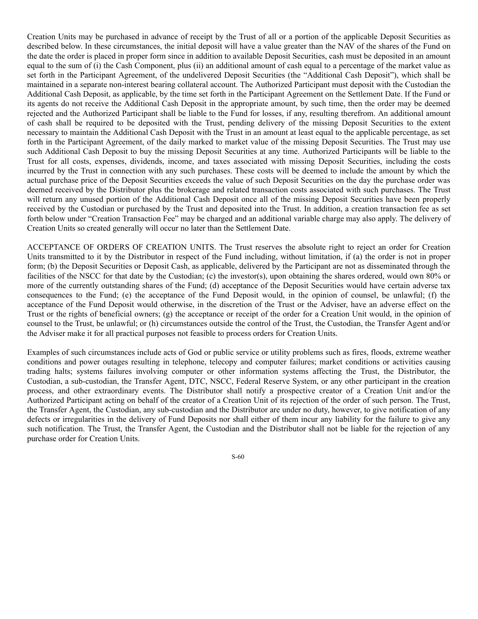Creation Units may be purchased in advance of receipt by the Trust of all or a portion of the applicable Deposit Securities as described below. In these circumstances, the initial deposit will have a value greater than the NAV of the shares of the Fund on the date the order is placed in proper form since in addition to available Deposit Securities, cash must be deposited in an amount equal to the sum of (i) the Cash Component, plus (ii) an additional amount of cash equal to a percentage of the market value as set forth in the Participant Agreement, of the undelivered Deposit Securities (the "Additional Cash Deposit"), which shall be maintained in a separate non-interest bearing collateral account. The Authorized Participant must deposit with the Custodian the Additional Cash Deposit, as applicable, by the time set forth in the Participant Agreement on the Settlement Date. If the Fund or its agents do not receive the Additional Cash Deposit in the appropriate amount, by such time, then the order may be deemed rejected and the Authorized Participant shall be liable to the Fund for losses, if any, resulting therefrom. An additional amount of cash shall be required to be deposited with the Trust, pending delivery of the missing Deposit Securities to the extent necessary to maintain the Additional Cash Deposit with the Trust in an amount at least equal to the applicable percentage, as set forth in the Participant Agreement, of the daily marked to market value of the missing Deposit Securities. The Trust may use such Additional Cash Deposit to buy the missing Deposit Securities at any time. Authorized Participants will be liable to the Trust for all costs, expenses, dividends, income, and taxes associated with missing Deposit Securities, including the costs incurred by the Trust in connection with any such purchases. These costs will be deemed to include the amount by which the actual purchase price of the Deposit Securities exceeds the value of such Deposit Securities on the day the purchase order was deemed received by the Distributor plus the brokerage and related transaction costs associated with such purchases. The Trust will return any unused portion of the Additional Cash Deposit once all of the missing Deposit Securities have been properly received by the Custodian or purchased by the Trust and deposited into the Trust. In addition, a creation transaction fee as set forth below under "Creation Transaction Fee" may be charged and an additional variable charge may also apply. The delivery of Creation Units so created generally will occur no later than the Settlement Date.

ACCEPTANCE OF ORDERS OF CREATION UNITS. The Trust reserves the absolute right to reject an order for Creation Units transmitted to it by the Distributor in respect of the Fund including, without limitation, if (a) the order is not in proper form; (b) the Deposit Securities or Deposit Cash, as applicable, delivered by the Participant are not as disseminated through the facilities of the NSCC for that date by the Custodian; (c) the investor(s), upon obtaining the shares ordered, would own 80% or more of the currently outstanding shares of the Fund; (d) acceptance of the Deposit Securities would have certain adverse tax consequences to the Fund; (e) the acceptance of the Fund Deposit would, in the opinion of counsel, be unlawful; (f) the acceptance of the Fund Deposit would otherwise, in the discretion of the Trust or the Adviser, have an adverse effect on the Trust or the rights of beneficial owners; (g) the acceptance or receipt of the order for a Creation Unit would, in the opinion of counsel to the Trust, be unlawful; or (h) circumstances outside the control of the Trust, the Custodian, the Transfer Agent and/or the Adviser make it for all practical purposes not feasible to process orders for Creation Units.

Examples of such circumstances include acts of God or public service or utility problems such as fires, floods, extreme weather conditions and power outages resulting in telephone, telecopy and computer failures; market conditions or activities causing trading halts; systems failures involving computer or other information systems affecting the Trust, the Distributor, the Custodian, a sub-custodian, the Transfer Agent, DTC, NSCC, Federal Reserve System, or any other participant in the creation process, and other extraordinary events. The Distributor shall notify a prospective creator of a Creation Unit and/or the Authorized Participant acting on behalf of the creator of a Creation Unit of its rejection of the order of such person. The Trust, the Transfer Agent, the Custodian, any sub-custodian and the Distributor are under no duty, however, to give notification of any defects or irregularities in the delivery of Fund Deposits nor shall either of them incur any liability for the failure to give any such notification. The Trust, the Transfer Agent, the Custodian and the Distributor shall not be liable for the rejection of any purchase order for Creation Units.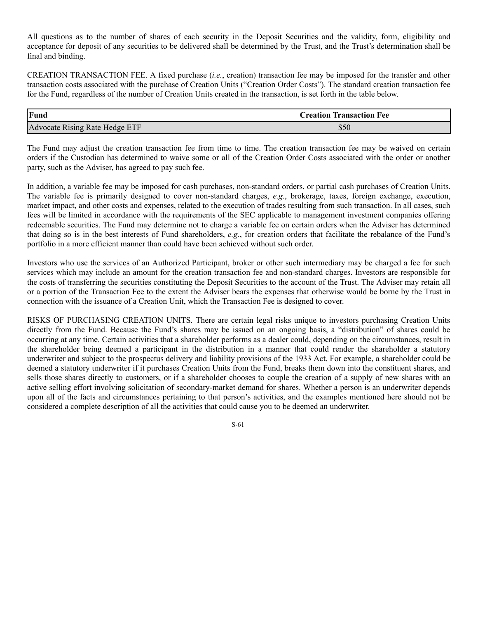All questions as to the number of shares of each security in the Deposit Securities and the validity, form, eligibility and acceptance for deposit of any securities to be delivered shall be determined by the Trust, and the Trust's determination shall be final and binding.

CREATION TRANSACTION FEE. A fixed purchase (*i.e.*, creation) transaction fee may be imposed for the transfer and other transaction costs associated with the purchase of Creation Units ("Creation Order Costs"). The standard creation transaction fee for the Fund, regardless of the number of Creation Units created in the transaction, is set forth in the table below.

| Fund                           | <b>Creation Transaction Fee</b> |
|--------------------------------|---------------------------------|
| Advocate Rising Rate Hedge ETF | ასს                             |

The Fund may adjust the creation transaction fee from time to time. The creation transaction fee may be waived on certain orders if the Custodian has determined to waive some or all of the Creation Order Costs associated with the order or another party, such as the Adviser, has agreed to pay such fee.

In addition, a variable fee may be imposed for cash purchases, non-standard orders, or partial cash purchases of Creation Units. The variable fee is primarily designed to cover non-standard charges, *e.g.*, brokerage, taxes, foreign exchange, execution, market impact, and other costs and expenses, related to the execution of trades resulting from such transaction. In all cases, such fees will be limited in accordance with the requirements of the SEC applicable to management investment companies offering redeemable securities. The Fund may determine not to charge a variable fee on certain orders when the Adviser has determined that doing so is in the best interests of Fund shareholders, *e.g.*, for creation orders that facilitate the rebalance of the Fund's portfolio in a more efficient manner than could have been achieved without such order.

Investors who use the services of an Authorized Participant, broker or other such intermediary may be charged a fee for such services which may include an amount for the creation transaction fee and non-standard charges. Investors are responsible for the costs of transferring the securities constituting the Deposit Securities to the account of the Trust. The Adviser may retain all or a portion of the Transaction Fee to the extent the Adviser bears the expenses that otherwise would be borne by the Trust in connection with the issuance of a Creation Unit, which the Transaction Fee is designed to cover.

RISKS OF PURCHASING CREATION UNITS. There are certain legal risks unique to investors purchasing Creation Units directly from the Fund. Because the Fund's shares may be issued on an ongoing basis, a "distribution" of shares could be occurring at any time. Certain activities that a shareholder performs as a dealer could, depending on the circumstances, result in the shareholder being deemed a participant in the distribution in a manner that could render the shareholder a statutory underwriter and subject to the prospectus delivery and liability provisions of the 1933 Act. For example, a shareholder could be deemed a statutory underwriter if it purchases Creation Units from the Fund, breaks them down into the constituent shares, and sells those shares directly to customers, or if a shareholder chooses to couple the creation of a supply of new shares with an active selling effort involving solicitation of secondary-market demand for shares. Whether a person is an underwriter depends upon all of the facts and circumstances pertaining to that person's activities, and the examples mentioned here should not be considered a complete description of all the activities that could cause you to be deemed an underwriter.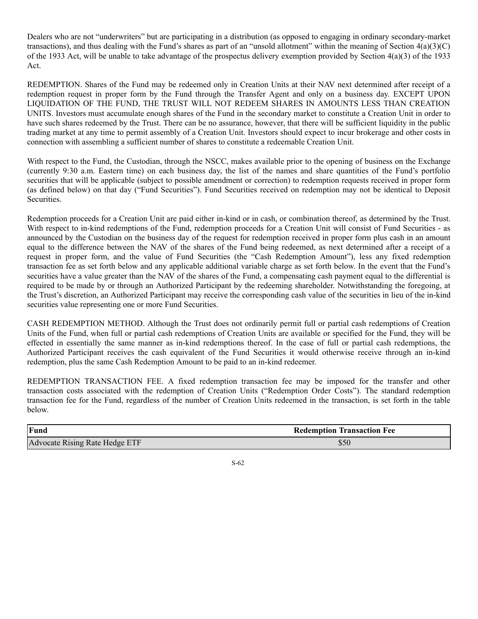Dealers who are not "underwriters" but are participating in a distribution (as opposed to engaging in ordinary secondary-market transactions), and thus dealing with the Fund's shares as part of an "unsold allotment" within the meaning of Section  $4(a)(3)(C)$ of the 1933 Act, will be unable to take advantage of the prospectus delivery exemption provided by Section  $4(a)(3)$  of the 1933 Act.

REDEMPTION. Shares of the Fund may be redeemed only in Creation Units at their NAV next determined after receipt of a redemption request in proper form by the Fund through the Transfer Agent and only on a business day. EXCEPT UPON LIQUIDATION OF THE FUND, THE TRUST WILL NOT REDEEM SHARES IN AMOUNTS LESS THAN CREATION UNITS. Investors must accumulate enough shares of the Fund in the secondary market to constitute a Creation Unit in order to have such shares redeemed by the Trust. There can be no assurance, however, that there will be sufficient liquidity in the public trading market at any time to permit assembly of a Creation Unit. Investors should expect to incur brokerage and other costs in connection with assembling a sufficient number of shares to constitute a redeemable Creation Unit.

With respect to the Fund, the Custodian, through the NSCC, makes available prior to the opening of business on the Exchange (currently 9:30 a.m. Eastern time) on each business day, the list of the names and share quantities of the Fund's portfolio securities that will be applicable (subject to possible amendment or correction) to redemption requests received in proper form (as defined below) on that day ("Fund Securities"). Fund Securities received on redemption may not be identical to Deposit Securities.

Redemption proceeds for a Creation Unit are paid either in-kind or in cash, or combination thereof, as determined by the Trust. With respect to in-kind redemptions of the Fund, redemption proceeds for a Creation Unit will consist of Fund Securities - as announced by the Custodian on the business day of the request for redemption received in proper form plus cash in an amount equal to the difference between the NAV of the shares of the Fund being redeemed, as next determined after a receipt of a request in proper form, and the value of Fund Securities (the "Cash Redemption Amount"), less any fixed redemption transaction fee as set forth below and any applicable additional variable charge as set forth below. In the event that the Fund's securities have a value greater than the NAV of the shares of the Fund, a compensating cash payment equal to the differential is required to be made by or through an Authorized Participant by the redeeming shareholder. Notwithstanding the foregoing, at the Trust's discretion, an Authorized Participant may receive the corresponding cash value of the securities in lieu of the in-kind securities value representing one or more Fund Securities.

CASH REDEMPTION METHOD. Although the Trust does not ordinarily permit full or partial cash redemptions of Creation Units of the Fund, when full or partial cash redemptions of Creation Units are available or specified for the Fund, they will be effected in essentially the same manner as in-kind redemptions thereof. In the case of full or partial cash redemptions, the Authorized Participant receives the cash equivalent of the Fund Securities it would otherwise receive through an in-kind redemption, plus the same Cash Redemption Amount to be paid to an in-kind redeemer.

REDEMPTION TRANSACTION FEE. A fixed redemption transaction fee may be imposed for the transfer and other transaction costs associated with the redemption of Creation Units ("Redemption Order Costs"). The standard redemption transaction fee for the Fund, regardless of the number of Creation Units redeemed in the transaction, is set forth in the table below.

| Fund                           | <b>Redemption Transaction Fee</b> |
|--------------------------------|-----------------------------------|
| Advocate Rising Rate Hedge ETF | \$50                              |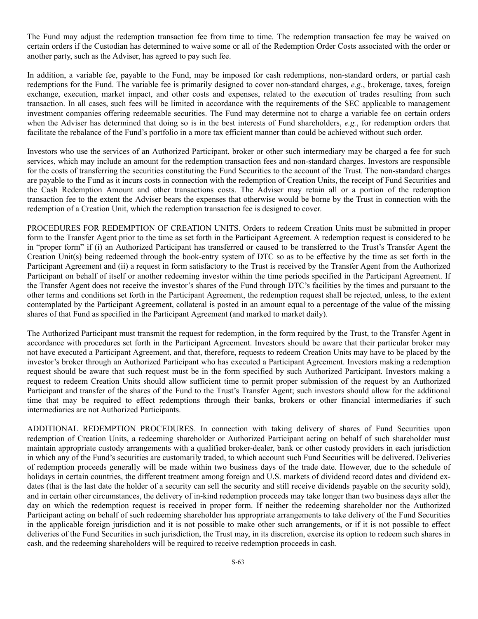The Fund may adjust the redemption transaction fee from time to time. The redemption transaction fee may be waived on certain orders if the Custodian has determined to waive some or all of the Redemption Order Costs associated with the order or another party, such as the Adviser, has agreed to pay such fee.

In addition, a variable fee, payable to the Fund, may be imposed for cash redemptions, non-standard orders, or partial cash redemptions for the Fund. The variable fee is primarily designed to cover non-standard charges, *e.g.*, brokerage, taxes, foreign exchange, execution, market impact, and other costs and expenses, related to the execution of trades resulting from such transaction. In all cases, such fees will be limited in accordance with the requirements of the SEC applicable to management investment companies offering redeemable securities. The Fund may determine not to charge a variable fee on certain orders when the Adviser has determined that doing so is in the best interests of Fund shareholders, *e.g.*, for redemption orders that facilitate the rebalance of the Fund's portfolio in a more tax efficient manner than could be achieved without such order.

Investors who use the services of an Authorized Participant, broker or other such intermediary may be charged a fee for such services, which may include an amount for the redemption transaction fees and non-standard charges. Investors are responsible for the costs of transferring the securities constituting the Fund Securities to the account of the Trust. The non-standard charges are payable to the Fund as it incurs costs in connection with the redemption of Creation Units, the receipt of Fund Securities and the Cash Redemption Amount and other transactions costs. The Adviser may retain all or a portion of the redemption transaction fee to the extent the Adviser bears the expenses that otherwise would be borne by the Trust in connection with the redemption of a Creation Unit, which the redemption transaction fee is designed to cover.

PROCEDURES FOR REDEMPTION OF CREATION UNITS. Orders to redeem Creation Units must be submitted in proper form to the Transfer Agent prior to the time as set forth in the Participant Agreement. A redemption request is considered to be in "proper form" if (i) an Authorized Participant has transferred or caused to be transferred to the Trust's Transfer Agent the Creation Unit(s) being redeemed through the book-entry system of DTC so as to be effective by the time as set forth in the Participant Agreement and (ii) a request in form satisfactory to the Trust is received by the Transfer Agent from the Authorized Participant on behalf of itself or another redeeming investor within the time periods specified in the Participant Agreement. If the Transfer Agent does not receive the investor's shares of the Fund through DTC's facilities by the times and pursuant to the other terms and conditions set forth in the Participant Agreement, the redemption request shall be rejected, unless, to the extent contemplated by the Participant Agreement, collateral is posted in an amount equal to a percentage of the value of the missing shares of that Fund as specified in the Participant Agreement (and marked to market daily).

The Authorized Participant must transmit the request for redemption, in the form required by the Trust, to the Transfer Agent in accordance with procedures set forth in the Participant Agreement. Investors should be aware that their particular broker may not have executed a Participant Agreement, and that, therefore, requests to redeem Creation Units may have to be placed by the investor's broker through an Authorized Participant who has executed a Participant Agreement. Investors making a redemption request should be aware that such request must be in the form specified by such Authorized Participant. Investors making a request to redeem Creation Units should allow sufficient time to permit proper submission of the request by an Authorized Participant and transfer of the shares of the Fund to the Trust's Transfer Agent; such investors should allow for the additional time that may be required to effect redemptions through their banks, brokers or other financial intermediaries if such intermediaries are not Authorized Participants.

ADDITIONAL REDEMPTION PROCEDURES. In connection with taking delivery of shares of Fund Securities upon redemption of Creation Units, a redeeming shareholder or Authorized Participant acting on behalf of such shareholder must maintain appropriate custody arrangements with a qualified broker-dealer, bank or other custody providers in each jurisdiction in which any of the Fund's securities are customarily traded, to which account such Fund Securities will be delivered. Deliveries of redemption proceeds generally will be made within two business days of the trade date. However, due to the schedule of holidays in certain countries, the different treatment among foreign and U.S. markets of dividend record dates and dividend exdates (that is the last date the holder of a security can sell the security and still receive dividends payable on the security sold), and in certain other circumstances, the delivery of in-kind redemption proceeds may take longer than two business days after the day on which the redemption request is received in proper form. If neither the redeeming shareholder nor the Authorized Participant acting on behalf of such redeeming shareholder has appropriate arrangements to take delivery of the Fund Securities in the applicable foreign jurisdiction and it is not possible to make other such arrangements, or if it is not possible to effect deliveries of the Fund Securities in such jurisdiction, the Trust may, in its discretion, exercise its option to redeem such shares in cash, and the redeeming shareholders will be required to receive redemption proceeds in cash.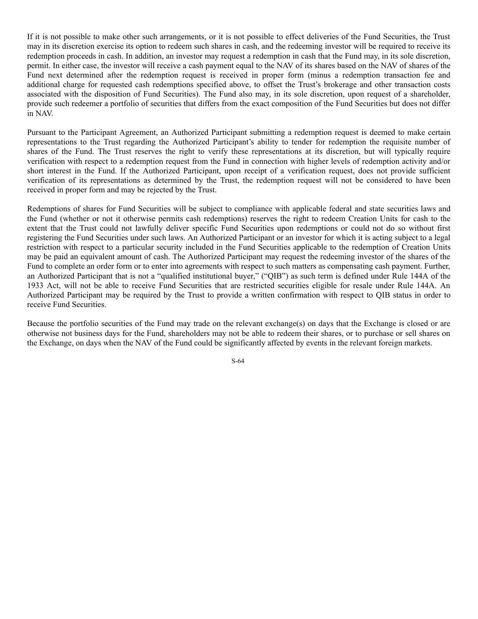If it is not possible to make other such arrangements, or it is not possible to effect deliveries of the Fund Securities, the Trust may in its discretion exercise its option to redeem such shares in cash, and the redeeming investor will be required to receive its redemption proceeds in cash. In addition, an investor may request a redemption in cash that the Fund may, in its sole discretion, permit. In either case, the investor will receive a cash payment equal to the NAV of its shares based on the NAV of shares of the Fund next determined after the redemption request is received in proper form (minus a redemption transaction fee and additional charge for requested cash redemptions specified above, to offset the Trust's brokerage and other transaction costs associated with the disposition of Fund Securities). The Fund also may, in its sole discretion, upon request of a shareholder, provide such redeemer a portfolio of securities that differs from the exact composition of the Fund Securities but does not differ in NAV.

Pursuant to the Participant Agreement, an Authorized Participant submitting a redemption request is deemed to make certain representations to the Trust regarding the Authorized Participant's ability to tender for redemption the requisite number of shares of the Fund. The Trust reserves the right to verify these representations at its discretion, but will typically require verification with respect to a redemption request from the Fund in connection with higher levels of redemption activity and/or short interest in the Fund. If the Authorized Participant, upon receipt of a verification request, does not provide sufficient verification of its representations as determined by the Trust, the redemption request will not be considered to have been received in proper form and may be rejected by the Trust.

Redemptions of shares for Fund Securities will be subject to compliance with applicable federal and state securities laws and the Fund (whether or not it otherwise permits cash redemptions) reserves the right to redeem Creation Units for cash to the extent that the Trust could not lawfully deliver specific Fund Securities upon redemptions or could not do so without first registering the Fund Securities under such laws. An Authorized Participant or an investor for which it is acting subject to a legal restriction with respect to a particular security included in the Fund Securities applicable to the redemption of Creation Units may be paid an equivalent amount of cash. The Authorized Participant may request the redeeming investor of the shares of the Fund to complete an order form or to enter into agreements with respect to such matters as compensating cash payment. Further, an Authorized Participant that is not a "qualified institutional buyer," ("QIB") as such term is defined under Rule 144A of the 1933 Act, will not be able to receive Fund Securities that are restricted securities eligible for resale under Rule 144A. An Authorized Participant may be required by the Trust to provide a written confirmation with respect to QIB status in order to receive Fund Securities.

Because the portfolio securities of the Fund may trade on the relevant exchange(s) on days that the Exchange is closed or are otherwise not business days for the Fund, shareholders may not be able to redeem their shares, or to purchase or sell shares on the Exchange, on days when the NAV of the Fund could be significantly affected by events in the relevant foreign markets.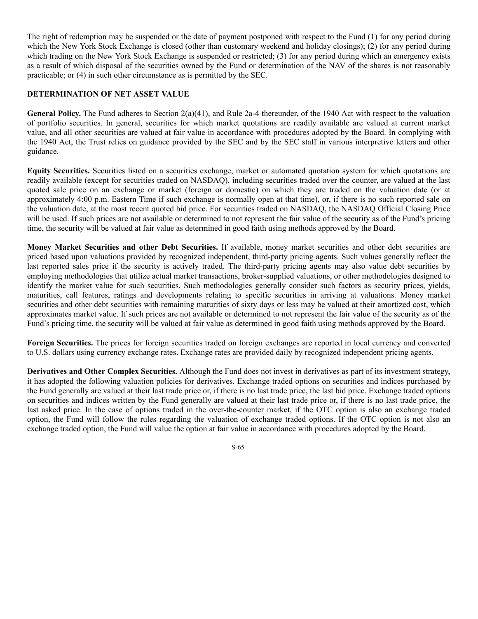The right of redemption may be suspended or the date of payment postponed with respect to the Fund (1) for any period during which the New York Stock Exchange is closed (other than customary weekend and holiday closings); (2) for any period during which trading on the New York Stock Exchange is suspended or restricted; (3) for any period during which an emergency exists as a result of which disposal of the securities owned by the Fund or determination of the NAV of the shares is not reasonably practicable; or (4) in such other circumstance as is permitted by the SEC.

## **DETERMINATION OF NET ASSET VALUE**

**General Policy.** The Fund adheres to Section 2(a)(41), and Rule 2a-4 thereunder, of the 1940 Act with respect to the valuation of portfolio securities. In general, securities for which market quotations are readily available are valued at current market value, and all other securities are valued at fair value in accordance with procedures adopted by the Board. In complying with the 1940 Act, the Trust relies on guidance provided by the SEC and by the SEC staff in various interpretive letters and other guidance.

**Equity Securities.** Securities listed on a securities exchange, market or automated quotation system for which quotations are readily available (except for securities traded on NASDAQ), including securities traded over the counter, are valued at the last quoted sale price on an exchange or market (foreign or domestic) on which they are traded on the valuation date (or at approximately 4:00 p.m. Eastern Time if such exchange is normally open at that time), or, if there is no such reported sale on the valuation date, at the most recent quoted bid price. For securities traded on NASDAQ, the NASDAQ Official Closing Price will be used. If such prices are not available or determined to not represent the fair value of the security as of the Fund's pricing time, the security will be valued at fair value as determined in good faith using methods approved by the Board.

**Money Market Securities and other Debt Securities.** If available, money market securities and other debt securities are priced based upon valuations provided by recognized independent, third-party pricing agents. Such values generally reflect the last reported sales price if the security is actively traded. The third-party pricing agents may also value debt securities by employing methodologies that utilize actual market transactions, broker-supplied valuations, or other methodologies designed to identify the market value for such securities. Such methodologies generally consider such factors as security prices, yields, maturities, call features, ratings and developments relating to specific securities in arriving at valuations. Money market securities and other debt securities with remaining maturities of sixty days or less may be valued at their amortized cost, which approximates market value. If such prices are not available or determined to not represent the fair value of the security as of the Fund's pricing time, the security will be valued at fair value as determined in good faith using methods approved by the Board.

**Foreign Securities.** The prices for foreign securities traded on foreign exchanges are reported in local currency and converted to U.S. dollars using currency exchange rates. Exchange rates are provided daily by recognized independent pricing agents.

**Derivatives and Other Complex Securities.** Although the Fund does not invest in derivatives as part of its investment strategy, it has adopted the following valuation policies for derivatives. Exchange traded options on securities and indices purchased by the Fund generally are valued at their last trade price or, if there is no last trade price, the last bid price. Exchange traded options on securities and indices written by the Fund generally are valued at their last trade price or, if there is no last trade price, the last asked price. In the case of options traded in the over-the-counter market, if the OTC option is also an exchange traded option, the Fund will follow the rules regarding the valuation of exchange traded options. If the OTC option is not also an exchange traded option, the Fund will value the option at fair value in accordance with procedures adopted by the Board.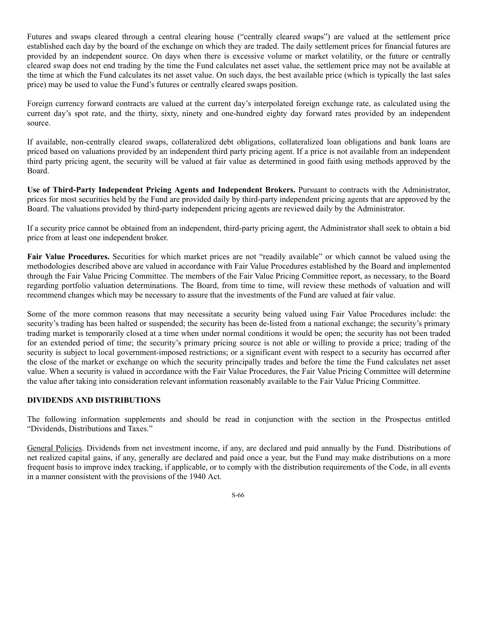Futures and swaps cleared through a central clearing house ("centrally cleared swaps") are valued at the settlement price established each day by the board of the exchange on which they are traded. The daily settlement prices for financial futures are provided by an independent source. On days when there is excessive volume or market volatility, or the future or centrally cleared swap does not end trading by the time the Fund calculates net asset value, the settlement price may not be available at the time at which the Fund calculates its net asset value. On such days, the best available price (which is typically the last sales price) may be used to value the Fund's futures or centrally cleared swaps position.

Foreign currency forward contracts are valued at the current day's interpolated foreign exchange rate, as calculated using the current day's spot rate, and the thirty, sixty, ninety and one-hundred eighty day forward rates provided by an independent source.

If available, non-centrally cleared swaps, collateralized debt obligations, collateralized loan obligations and bank loans are priced based on valuations provided by an independent third party pricing agent. If a price is not available from an independent third party pricing agent, the security will be valued at fair value as determined in good faith using methods approved by the Board.

**Use of Third-Party Independent Pricing Agents and Independent Brokers.** Pursuant to contracts with the Administrator, prices for most securities held by the Fund are provided daily by third-party independent pricing agents that are approved by the Board. The valuations provided by third-party independent pricing agents are reviewed daily by the Administrator.

If a security price cannot be obtained from an independent, third-party pricing agent, the Administrator shall seek to obtain a bid price from at least one independent broker.

**Fair Value Procedures.** Securities for which market prices are not "readily available" or which cannot be valued using the methodologies described above are valued in accordance with Fair Value Procedures established by the Board and implemented through the Fair Value Pricing Committee. The members of the Fair Value Pricing Committee report, as necessary, to the Board regarding portfolio valuation determinations. The Board, from time to time, will review these methods of valuation and will recommend changes which may be necessary to assure that the investments of the Fund are valued at fair value.

Some of the more common reasons that may necessitate a security being valued using Fair Value Procedures include: the security's trading has been halted or suspended; the security has been de-listed from a national exchange; the security's primary trading market is temporarily closed at a time when under normal conditions it would be open; the security has not been traded for an extended period of time; the security's primary pricing source is not able or willing to provide a price; trading of the security is subject to local government-imposed restrictions; or a significant event with respect to a security has occurred after the close of the market or exchange on which the security principally trades and before the time the Fund calculates net asset value. When a security is valued in accordance with the Fair Value Procedures, the Fair Value Pricing Committee will determine the value after taking into consideration relevant information reasonably available to the Fair Value Pricing Committee.

# **DIVIDENDS AND DISTRIBUTIONS**

The following information supplements and should be read in conjunction with the section in the Prospectus entitled "Dividends, Distributions and Taxes."

General Policies. Dividends from net investment income, if any, are declared and paid annually by the Fund. Distributions of net realized capital gains, if any, generally are declared and paid once a year, but the Fund may make distributions on a more frequent basis to improve index tracking, if applicable, or to comply with the distribution requirements of the Code, in all events in a manner consistent with the provisions of the 1940 Act.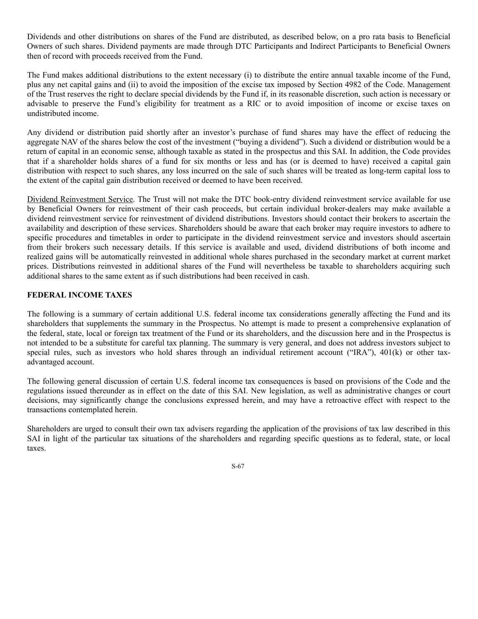Dividends and other distributions on shares of the Fund are distributed, as described below, on a pro rata basis to Beneficial Owners of such shares. Dividend payments are made through DTC Participants and Indirect Participants to Beneficial Owners then of record with proceeds received from the Fund.

The Fund makes additional distributions to the extent necessary (i) to distribute the entire annual taxable income of the Fund, plus any net capital gains and (ii) to avoid the imposition of the excise tax imposed by Section 4982 of the Code. Management of the Trust reserves the right to declare special dividends by the Fund if, in its reasonable discretion, such action is necessary or advisable to preserve the Fund's eligibility for treatment as a RIC or to avoid imposition of income or excise taxes on undistributed income.

Any dividend or distribution paid shortly after an investor's purchase of fund shares may have the effect of reducing the aggregate NAV of the shares below the cost of the investment ("buying a dividend"). Such a dividend or distribution would be a return of capital in an economic sense, although taxable as stated in the prospectus and this SAI. In addition, the Code provides that if a shareholder holds shares of a fund for six months or less and has (or is deemed to have) received a capital gain distribution with respect to such shares, any loss incurred on the sale of such shares will be treated as long-term capital loss to the extent of the capital gain distribution received or deemed to have been received.

Dividend Reinvestment Service. The Trust will not make the DTC book-entry dividend reinvestment service available for use by Beneficial Owners for reinvestment of their cash proceeds, but certain individual broker-dealers may make available a dividend reinvestment service for reinvestment of dividend distributions. Investors should contact their brokers to ascertain the availability and description of these services. Shareholders should be aware that each broker may require investors to adhere to specific procedures and timetables in order to participate in the dividend reinvestment service and investors should ascertain from their brokers such necessary details. If this service is available and used, dividend distributions of both income and realized gains will be automatically reinvested in additional whole shares purchased in the secondary market at current market prices. Distributions reinvested in additional shares of the Fund will nevertheless be taxable to shareholders acquiring such additional shares to the same extent as if such distributions had been received in cash.

# **FEDERAL INCOME TAXES**

The following is a summary of certain additional U.S. federal income tax considerations generally affecting the Fund and its shareholders that supplements the summary in the Prospectus. No attempt is made to present a comprehensive explanation of the federal, state, local or foreign tax treatment of the Fund or its shareholders, and the discussion here and in the Prospectus is not intended to be a substitute for careful tax planning. The summary is very general, and does not address investors subject to special rules, such as investors who hold shares through an individual retirement account ("IRA"), 401(k) or other taxadvantaged account.

The following general discussion of certain U.S. federal income tax consequences is based on provisions of the Code and the regulations issued thereunder as in effect on the date of this SAI. New legislation, as well as administrative changes or court decisions, may significantly change the conclusions expressed herein, and may have a retroactive effect with respect to the transactions contemplated herein.

Shareholders are urged to consult their own tax advisers regarding the application of the provisions of tax law described in this SAI in light of the particular tax situations of the shareholders and regarding specific questions as to federal, state, or local taxes.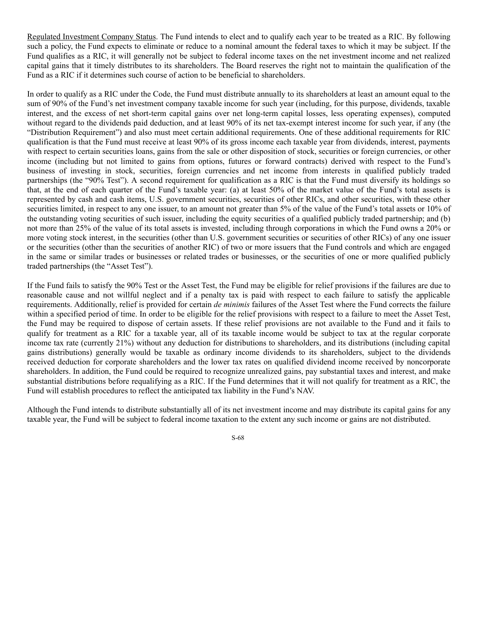Regulated Investment Company Status. The Fund intends to elect and to qualify each year to be treated as a RIC. By following such a policy, the Fund expects to eliminate or reduce to a nominal amount the federal taxes to which it may be subject. If the Fund qualifies as a RIC, it will generally not be subject to federal income taxes on the net investment income and net realized capital gains that it timely distributes to its shareholders. The Board reserves the right not to maintain the qualification of the Fund as a RIC if it determines such course of action to be beneficial to shareholders.

In order to qualify as a RIC under the Code, the Fund must distribute annually to its shareholders at least an amount equal to the sum of 90% of the Fund's net investment company taxable income for such year (including, for this purpose, dividends, taxable interest, and the excess of net short-term capital gains over net long-term capital losses, less operating expenses), computed without regard to the dividends paid deduction, and at least 90% of its net tax-exempt interest income for such year, if any (the "Distribution Requirement") and also must meet certain additional requirements. One of these additional requirements for RIC qualification is that the Fund must receive at least 90% of its gross income each taxable year from dividends, interest, payments with respect to certain securities loans, gains from the sale or other disposition of stock, securities or foreign currencies, or other income (including but not limited to gains from options, futures or forward contracts) derived with respect to the Fund's business of investing in stock, securities, foreign currencies and net income from interests in qualified publicly traded partnerships (the "90% Test"). A second requirement for qualification as a RIC is that the Fund must diversify its holdings so that, at the end of each quarter of the Fund's taxable year: (a) at least 50% of the market value of the Fund's total assets is represented by cash and cash items, U.S. government securities, securities of other RICs, and other securities, with these other securities limited, in respect to any one issuer, to an amount not greater than 5% of the value of the Fund's total assets or 10% of the outstanding voting securities of such issuer, including the equity securities of a qualified publicly traded partnership; and (b) not more than 25% of the value of its total assets is invested, including through corporations in which the Fund owns a 20% or more voting stock interest, in the securities (other than U.S. government securities or securities of other RICs) of any one issuer or the securities (other than the securities of another RIC) of two or more issuers that the Fund controls and which are engaged in the same or similar trades or businesses or related trades or businesses, or the securities of one or more qualified publicly traded partnerships (the "Asset Test").

If the Fund fails to satisfy the 90% Test or the Asset Test, the Fund may be eligible for relief provisions if the failures are due to reasonable cause and not willful neglect and if a penalty tax is paid with respect to each failure to satisfy the applicable requirements. Additionally, relief is provided for certain *de minimis* failures of the Asset Test where the Fund corrects the failure within a specified period of time. In order to be eligible for the relief provisions with respect to a failure to meet the Asset Test, the Fund may be required to dispose of certain assets. If these relief provisions are not available to the Fund and it fails to qualify for treatment as a RIC for a taxable year, all of its taxable income would be subject to tax at the regular corporate income tax rate (currently 21%) without any deduction for distributions to shareholders, and its distributions (including capital gains distributions) generally would be taxable as ordinary income dividends to its shareholders, subject to the dividends received deduction for corporate shareholders and the lower tax rates on qualified dividend income received by noncorporate shareholders. In addition, the Fund could be required to recognize unrealized gains, pay substantial taxes and interest, and make substantial distributions before requalifying as a RIC. If the Fund determines that it will not qualify for treatment as a RIC, the Fund will establish procedures to reflect the anticipated tax liability in the Fund's NAV.

Although the Fund intends to distribute substantially all of its net investment income and may distribute its capital gains for any taxable year, the Fund will be subject to federal income taxation to the extent any such income or gains are not distributed.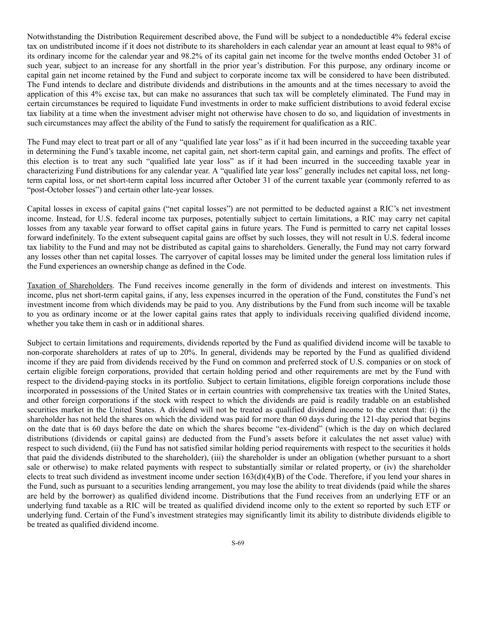Notwithstanding the Distribution Requirement described above, the Fund will be subject to a nondeductible 4% federal excise tax on undistributed income if it does not distribute to its shareholders in each calendar year an amount at least equal to 98% of its ordinary income for the calendar year and 98.2% of its capital gain net income for the twelve months ended October 31 of such year, subject to an increase for any shortfall in the prior year's distribution. For this purpose, any ordinary income or capital gain net income retained by the Fund and subject to corporate income tax will be considered to have been distributed. The Fund intends to declare and distribute dividends and distributions in the amounts and at the times necessary to avoid the application of this 4% excise tax, but can make no assurances that such tax will be completely eliminated. The Fund may in certain circumstances be required to liquidate Fund investments in order to make sufficient distributions to avoid federal excise tax liability at a time when the investment adviser might not otherwise have chosen to do so, and liquidation of investments in such circumstances may affect the ability of the Fund to satisfy the requirement for qualification as a RIC.

The Fund may elect to treat part or all of any "qualified late year loss" as if it had been incurred in the succeeding taxable year in determining the Fund's taxable income, net capital gain, net short-term capital gain, and earnings and profits. The effect of this election is to treat any such "qualified late year loss" as if it had been incurred in the succeeding taxable year in characterizing Fund distributions for any calendar year. A "qualified late year loss" generally includes net capital loss, net longterm capital loss, or net short-term capital loss incurred after October 31 of the current taxable year (commonly referred to as "post-October losses") and certain other late-year losses.

Capital losses in excess of capital gains ("net capital losses") are not permitted to be deducted against a RIC's net investment income. Instead, for U.S. federal income tax purposes, potentially subject to certain limitations, a RIC may carry net capital losses from any taxable year forward to offset capital gains in future years. The Fund is permitted to carry net capital losses forward indefinitely. To the extent subsequent capital gains are offset by such losses, they will not result in U.S. federal income tax liability to the Fund and may not be distributed as capital gains to shareholders. Generally, the Fund may not carry forward any losses other than net capital losses. The carryover of capital losses may be limited under the general loss limitation rules if the Fund experiences an ownership change as defined in the Code.

Taxation of Shareholders. The Fund receives income generally in the form of dividends and interest on investments. This income, plus net short-term capital gains, if any, less expenses incurred in the operation of the Fund, constitutes the Fund's net investment income from which dividends may be paid to you. Any distributions by the Fund from such income will be taxable to you as ordinary income or at the lower capital gains rates that apply to individuals receiving qualified dividend income, whether you take them in cash or in additional shares.

Subject to certain limitations and requirements, dividends reported by the Fund as qualified dividend income will be taxable to non-corporate shareholders at rates of up to 20%. In general, dividends may be reported by the Fund as qualified dividend income if they are paid from dividends received by the Fund on common and preferred stock of U.S. companies or on stock of certain eligible foreign corporations, provided that certain holding period and other requirements are met by the Fund with respect to the dividend-paying stocks in its portfolio. Subject to certain limitations, eligible foreign corporations include those incorporated in possessions of the United States or in certain countries with comprehensive tax treaties with the United States, and other foreign corporations if the stock with respect to which the dividends are paid is readily tradable on an established securities market in the United States. A dividend will not be treated as qualified dividend income to the extent that: (i) the shareholder has not held the shares on which the dividend was paid for more than 60 days during the 121-day period that begins on the date that is 60 days before the date on which the shares become "ex-dividend" (which is the day on which declared distributions (dividends or capital gains) are deducted from the Fund's assets before it calculates the net asset value) with respect to such dividend, (ii) the Fund has not satisfied similar holding period requirements with respect to the securities it holds that paid the dividends distributed to the shareholder), (iii) the shareholder is under an obligation (whether pursuant to a short sale or otherwise) to make related payments with respect to substantially similar or related property, or (iv) the shareholder elects to treat such dividend as investment income under section 163(d)(4)(B) of the Code. Therefore, if you lend your shares in the Fund, such as pursuant to a securities lending arrangement, you may lose the ability to treat dividends (paid while the shares are held by the borrower) as qualified dividend income. Distributions that the Fund receives from an underlying ETF or an underlying fund taxable as a RIC will be treated as qualified dividend income only to the extent so reported by such ETF or underlying fund. Certain of the Fund's investment strategies may significantly limit its ability to distribute dividends eligible to be treated as qualified dividend income.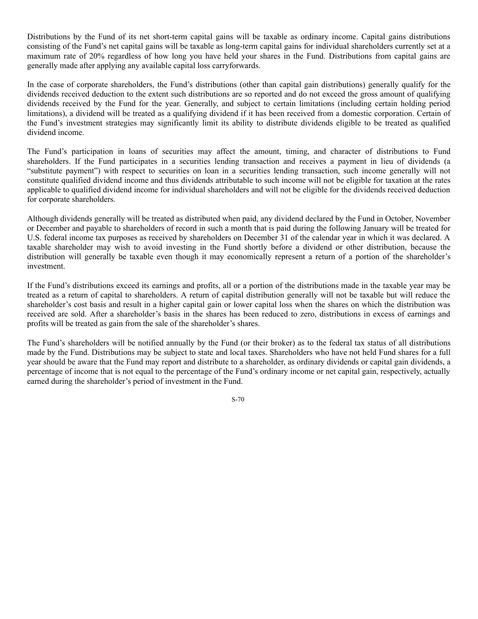Distributions by the Fund of its net short-term capital gains will be taxable as ordinary income. Capital gains distributions consisting of the Fund's net capital gains will be taxable as long-term capital gains for individual shareholders currently set at a maximum rate of 20% regardless of how long you have held your shares in the Fund. Distributions from capital gains are generally made after applying any available capital loss carryforwards.

In the case of corporate shareholders, the Fund's distributions (other than capital gain distributions) generally qualify for the dividends received deduction to the extent such distributions are so reported and do not exceed the gross amount of qualifying dividends received by the Fund for the year. Generally, and subject to certain limitations (including certain holding period limitations), a dividend will be treated as a qualifying dividend if it has been received from a domestic corporation. Certain of the Fund's investment strategies may significantly limit its ability to distribute dividends eligible to be treated as qualified dividend income.

The Fund's participation in loans of securities may affect the amount, timing, and character of distributions to Fund shareholders. If the Fund participates in a securities lending transaction and receives a payment in lieu of dividends (a "substitute payment") with respect to securities on loan in a securities lending transaction, such income generally will not constitute qualified dividend income and thus dividends attributable to such income will not be eligible for taxation at the rates applicable to qualified dividend income for individual shareholders and will not be eligible for the dividends received deduction for corporate shareholders.

Although dividends generally will be treated as distributed when paid, any dividend declared by the Fund in October, November or December and payable to shareholders of record in such a month that is paid during the following January will be treated for U.S. federal income tax purposes as received by shareholders on December 31 of the calendar year in which it was declared. A taxable shareholder may wish to avoid investing in the Fund shortly before a dividend or other distribution, because the distribution will generally be taxable even though it may economically represent a return of a portion of the shareholder's investment.

If the Fund's distributions exceed its earnings and profits, all or a portion of the distributions made in the taxable year may be treated as a return of capital to shareholders. A return of capital distribution generally will not be taxable but will reduce the shareholder's cost basis and result in a higher capital gain or lower capital loss when the shares on which the distribution was received are sold. After a shareholder's basis in the shares has been reduced to zero, distributions in excess of earnings and profits will be treated as gain from the sale of the shareholder's shares.

The Fund's shareholders will be notified annually by the Fund (or their broker) as to the federal tax status of all distributions made by the Fund. Distributions may be subject to state and local taxes. Shareholders who have not held Fund shares for a full year should be aware that the Fund may report and distribute to a shareholder, as ordinary dividends or capital gain dividends, a percentage of income that is not equal to the percentage of the Fund's ordinary income or net capital gain, respectively, actually earned during the shareholder's period of investment in the Fund.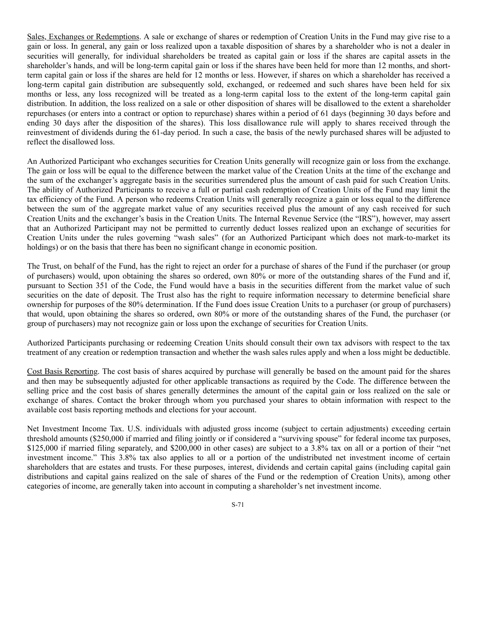Sales, Exchanges or Redemptions. A sale or exchange of shares or redemption of Creation Units in the Fund may give rise to a gain or loss. In general, any gain or loss realized upon a taxable disposition of shares by a shareholder who is not a dealer in securities will generally, for individual shareholders be treated as capital gain or loss if the shares are capital assets in the shareholder's hands, and will be long-term capital gain or loss if the shares have been held for more than 12 months, and shortterm capital gain or loss if the shares are held for 12 months or less. However, if shares on which a shareholder has received a long-term capital gain distribution are subsequently sold, exchanged, or redeemed and such shares have been held for six months or less, any loss recognized will be treated as a long-term capital loss to the extent of the long-term capital gain distribution. In addition, the loss realized on a sale or other disposition of shares will be disallowed to the extent a shareholder repurchases (or enters into a contract or option to repurchase) shares within a period of 61 days (beginning 30 days before and ending 30 days after the disposition of the shares). This loss disallowance rule will apply to shares received through the reinvestment of dividends during the 61-day period. In such a case, the basis of the newly purchased shares will be adjusted to reflect the disallowed loss.

An Authorized Participant who exchanges securities for Creation Units generally will recognize gain or loss from the exchange. The gain or loss will be equal to the difference between the market value of the Creation Units at the time of the exchange and the sum of the exchanger's aggregate basis in the securities surrendered plus the amount of cash paid for such Creation Units. The ability of Authorized Participants to receive a full or partial cash redemption of Creation Units of the Fund may limit the tax efficiency of the Fund. A person who redeems Creation Units will generally recognize a gain or loss equal to the difference between the sum of the aggregate market value of any securities received plus the amount of any cash received for such Creation Units and the exchanger's basis in the Creation Units. The Internal Revenue Service (the "IRS"), however, may assert that an Authorized Participant may not be permitted to currently deduct losses realized upon an exchange of securities for Creation Units under the rules governing "wash sales" (for an Authorized Participant which does not mark-to-market its holdings) or on the basis that there has been no significant change in economic position.

The Trust, on behalf of the Fund, has the right to reject an order for a purchase of shares of the Fund if the purchaser (or group of purchasers) would, upon obtaining the shares so ordered, own 80% or more of the outstanding shares of the Fund and if, pursuant to Section 351 of the Code, the Fund would have a basis in the securities different from the market value of such securities on the date of deposit. The Trust also has the right to require information necessary to determine beneficial share ownership for purposes of the 80% determination. If the Fund does issue Creation Units to a purchaser (or group of purchasers) that would, upon obtaining the shares so ordered, own 80% or more of the outstanding shares of the Fund, the purchaser (or group of purchasers) may not recognize gain or loss upon the exchange of securities for Creation Units.

Authorized Participants purchasing or redeeming Creation Units should consult their own tax advisors with respect to the tax treatment of any creation or redemption transaction and whether the wash sales rules apply and when a loss might be deductible.

Cost Basis Reporting. The cost basis of shares acquired by purchase will generally be based on the amount paid for the shares and then may be subsequently adjusted for other applicable transactions as required by the Code. The difference between the selling price and the cost basis of shares generally determines the amount of the capital gain or loss realized on the sale or exchange of shares. Contact the broker through whom you purchased your shares to obtain information with respect to the available cost basis reporting methods and elections for your account.

Net Investment Income Tax. U.S. individuals with adjusted gross income (subject to certain adjustments) exceeding certain threshold amounts (\$250,000 if married and filing jointly or if considered a "surviving spouse" for federal income tax purposes, \$125,000 if married filing separately, and \$200,000 in other cases) are subject to a 3.8% tax on all or a portion of their "net investment income." This 3.8% tax also applies to all or a portion of the undistributed net investment income of certain shareholders that are estates and trusts. For these purposes, interest, dividends and certain capital gains (including capital gain distributions and capital gains realized on the sale of shares of the Fund or the redemption of Creation Units), among other categories of income, are generally taken into account in computing a shareholder's net investment income.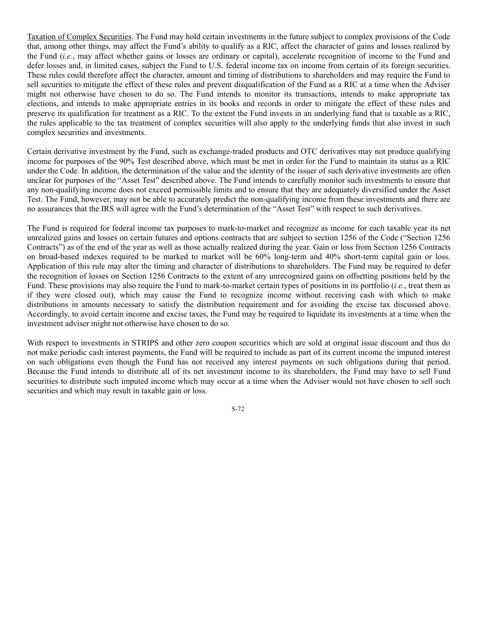Taxation of Complex Securities. The Fund may hold certain investments in the future subject to complex provisions of the Code that, among other things, may affect the Fund's ability to qualify as a RIC, affect the character of gains and losses realized by the Fund (*i.e.*, may affect whether gains or losses are ordinary or capital), accelerate recognition of income to the Fund and defer losses and, in limited cases, subject the Fund to U.S. federal income tax on income from certain of its foreign securities. These rules could therefore affect the character, amount and timing of distributions to shareholders and may require the Fund to sell securities to mitigate the effect of these rules and prevent disqualification of the Fund as a RIC at a time when the Adviser might not otherwise have chosen to do so. The Fund intends to monitor its transactions, intends to make appropriate tax elections, and intends to make appropriate entries in its books and records in order to mitigate the effect of these rules and preserve its qualification for treatment as a RIC. To the extent the Fund invests in an underlying fund that is taxable as a RIC, the rules applicable to the tax treatment of complex securities will also apply to the underlying funds that also invest in such complex securities and investments.

Certain derivative investment by the Fund, such as exchange-traded products and OTC derivatives may not produce qualifying income for purposes of the 90% Test described above, which must be met in order for the Fund to maintain its status as a RIC under the Code. In addition, the determination of the value and the identity of the issuer of such derivative investments are often unclear for purposes of the "Asset Test" described above. The Fund intends to carefully monitor such investments to ensure that any non-qualifying income does not exceed permissible limits and to ensure that they are adequately diversified under the Asset Test. The Fund, however, may not be able to accurately predict the non-qualifying income from these investments and there are no assurances that the IRS will agree with the Fund's determination of the "Asset Test" with respect to such derivatives.

The Fund is required for federal income tax purposes to mark-to-market and recognize as income for each taxable year its net unrealized gains and losses on certain futures and options contracts that are subject to section 1256 of the Code ("Section 1256 Contracts") as of the end of the year as well as those actually realized during the year. Gain or loss from Section 1256 Contracts on broad-based indexes required to be marked to market will be 60% long-term and 40% short-term capital gain or loss. Application of this rule may alter the timing and character of distributions to shareholders. The Fund may be required to defer the recognition of losses on Section 1256 Contracts to the extent of any unrecognized gains on offsetting positions held by the Fund. These provisions may also require the Fund to mark-to-market certain types of positions in its portfolio (*i.e.*, treat them as if they were closed out), which may cause the Fund to recognize income without receiving cash with which to make distributions in amounts necessary to satisfy the distribution requirement and for avoiding the excise tax discussed above. Accordingly, to avoid certain income and excise taxes, the Fund may be required to liquidate its investments at a time when the investment adviser might not otherwise have chosen to do so.

With respect to investments in STRIPS and other zero coupon securities which are sold at original issue discount and thus do not make periodic cash interest payments, the Fund will be required to include as part of its current income the imputed interest on such obligations even though the Fund has not received any interest payments on such obligations during that period. Because the Fund intends to distribute all of its net investment income to its shareholders, the Fund may have to sell Fund securities to distribute such imputed income which may occur at a time when the Adviser would not have chosen to sell such securities and which may result in taxable gain or loss.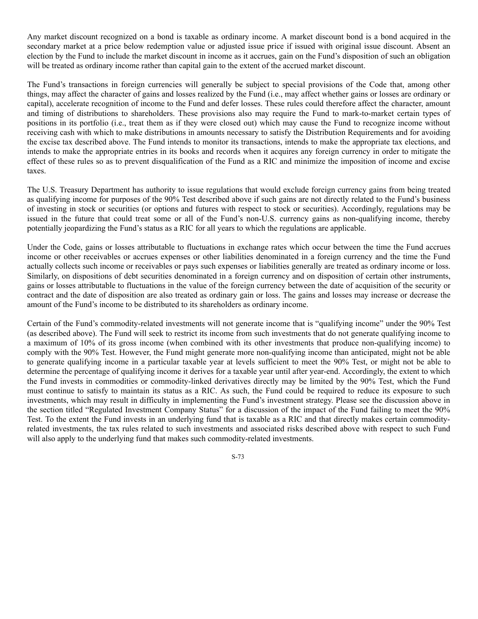Any market discount recognized on a bond is taxable as ordinary income. A market discount bond is a bond acquired in the secondary market at a price below redemption value or adjusted issue price if issued with original issue discount. Absent an election by the Fund to include the market discount in income as it accrues, gain on the Fund's disposition of such an obligation will be treated as ordinary income rather than capital gain to the extent of the accrued market discount.

The Fund's transactions in foreign currencies will generally be subject to special provisions of the Code that, among other things, may affect the character of gains and losses realized by the Fund (i.e., may affect whether gains or losses are ordinary or capital), accelerate recognition of income to the Fund and defer losses. These rules could therefore affect the character, amount and timing of distributions to shareholders. These provisions also may require the Fund to mark-to-market certain types of positions in its portfolio (i.e., treat them as if they were closed out) which may cause the Fund to recognize income without receiving cash with which to make distributions in amounts necessary to satisfy the Distribution Requirements and for avoiding the excise tax described above. The Fund intends to monitor its transactions, intends to make the appropriate tax elections, and intends to make the appropriate entries in its books and records when it acquires any foreign currency in order to mitigate the effect of these rules so as to prevent disqualification of the Fund as a RIC and minimize the imposition of income and excise taxes.

The U.S. Treasury Department has authority to issue regulations that would exclude foreign currency gains from being treated as qualifying income for purposes of the 90% Test described above if such gains are not directly related to the Fund's business of investing in stock or securities (or options and futures with respect to stock or securities). Accordingly, regulations may be issued in the future that could treat some or all of the Fund's non-U.S. currency gains as non-qualifying income, thereby potentially jeopardizing the Fund's status as a RIC for all years to which the regulations are applicable.

Under the Code, gains or losses attributable to fluctuations in exchange rates which occur between the time the Fund accrues income or other receivables or accrues expenses or other liabilities denominated in a foreign currency and the time the Fund actually collects such income or receivables or pays such expenses or liabilities generally are treated as ordinary income or loss. Similarly, on dispositions of debt securities denominated in a foreign currency and on disposition of certain other instruments, gains or losses attributable to fluctuations in the value of the foreign currency between the date of acquisition of the security or contract and the date of disposition are also treated as ordinary gain or loss. The gains and losses may increase or decrease the amount of the Fund's income to be distributed to its shareholders as ordinary income.

Certain of the Fund's commodity-related investments will not generate income that is "qualifying income" under the 90% Test (as described above). The Fund will seek to restrict its income from such investments that do not generate qualifying income to a maximum of 10% of its gross income (when combined with its other investments that produce non-qualifying income) to comply with the 90% Test. However, the Fund might generate more non-qualifying income than anticipated, might not be able to generate qualifying income in a particular taxable year at levels sufficient to meet the 90% Test, or might not be able to determine the percentage of qualifying income it derives for a taxable year until after year-end. Accordingly, the extent to which the Fund invests in commodities or commodity-linked derivatives directly may be limited by the 90% Test, which the Fund must continue to satisfy to maintain its status as a RIC. As such, the Fund could be required to reduce its exposure to such investments, which may result in difficulty in implementing the Fund's investment strategy. Please see the discussion above in the section titled "Regulated Investment Company Status" for a discussion of the impact of the Fund failing to meet the 90% Test. To the extent the Fund invests in an underlying fund that is taxable as a RIC and that directly makes certain commodityrelated investments, the tax rules related to such investments and associated risks described above with respect to such Fund will also apply to the underlying fund that makes such commodity-related investments.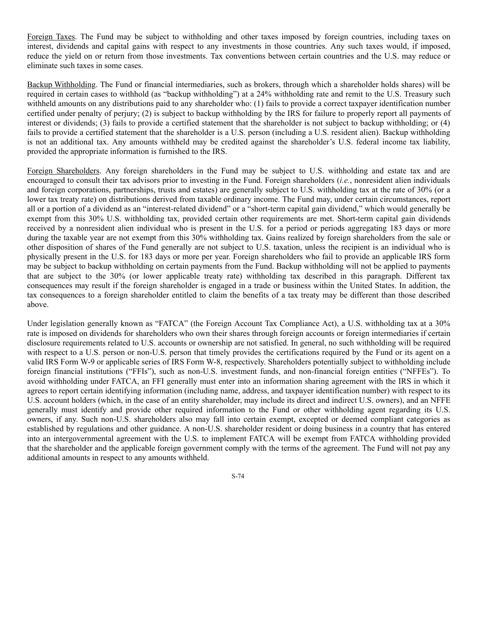Foreign Taxes. The Fund may be subject to withholding and other taxes imposed by foreign countries, including taxes on interest, dividends and capital gains with respect to any investments in those countries. Any such taxes would, if imposed, reduce the yield on or return from those investments. Tax conventions between certain countries and the U.S. may reduce or eliminate such taxes in some cases.

Backup Withholding. The Fund or financial intermediaries, such as brokers, through which a shareholder holds shares) will be required in certain cases to withhold (as "backup withholding") at a 24% withholding rate and remit to the U.S. Treasury such withheld amounts on any distributions paid to any shareholder who: (1) fails to provide a correct taxpayer identification number certified under penalty of perjury; (2) is subject to backup withholding by the IRS for failure to properly report all payments of interest or dividends; (3) fails to provide a certified statement that the shareholder is not subject to backup withholding; or (4) fails to provide a certified statement that the shareholder is a U.S. person (including a U.S. resident alien). Backup withholding is not an additional tax. Any amounts withheld may be credited against the shareholder's U.S. federal income tax liability, provided the appropriate information is furnished to the IRS.

Foreign Shareholders. Any foreign shareholders in the Fund may be subject to U.S. withholding and estate tax and are encouraged to consult their tax advisors prior to investing in the Fund. Foreign shareholders (*i.e.*, nonresident alien individuals and foreign corporations, partnerships, trusts and estates) are generally subject to U.S. withholding tax at the rate of 30% (or a lower tax treaty rate) on distributions derived from taxable ordinary income. The Fund may, under certain circumstances, report all or a portion of a dividend as an "interest-related dividend" or a "short-term capital gain dividend," which would generally be exempt from this 30% U.S. withholding tax, provided certain other requirements are met. Short-term capital gain dividends received by a nonresident alien individual who is present in the U.S. for a period or periods aggregating 183 days or more during the taxable year are not exempt from this 30% withholding tax. Gains realized by foreign shareholders from the sale or other disposition of shares of the Fund generally are not subject to U.S. taxation, unless the recipient is an individual who is physically present in the U.S. for 183 days or more per year. Foreign shareholders who fail to provide an applicable IRS form may be subject to backup withholding on certain payments from the Fund. Backup withholding will not be applied to payments that are subject to the 30% (or lower applicable treaty rate) withholding tax described in this paragraph. Different tax consequences may result if the foreign shareholder is engaged in a trade or business within the United States. In addition, the tax consequences to a foreign shareholder entitled to claim the benefits of a tax treaty may be different than those described above.

Under legislation generally known as "FATCA" (the Foreign Account Tax Compliance Act), a U.S. withholding tax at a 30% rate is imposed on dividends for shareholders who own their shares through foreign accounts or foreign intermediaries if certain disclosure requirements related to U.S. accounts or ownership are not satisfied. In general, no such withholding will be required with respect to a U.S. person or non-U.S. person that timely provides the certifications required by the Fund or its agent on a valid IRS Form W-9 or applicable series of IRS Form W-8, respectively. Shareholders potentially subject to withholding include foreign financial institutions ("FFIs"), such as non-U.S. investment funds, and non-financial foreign entities ("NFFEs"). To avoid withholding under FATCA, an FFI generally must enter into an information sharing agreement with the IRS in which it agrees to report certain identifying information (including name, address, and taxpayer identification number) with respect to its U.S. account holders (which, in the case of an entity shareholder, may include its direct and indirect U.S. owners), and an NFFE generally must identify and provide other required information to the Fund or other withholding agent regarding its U.S. owners, if any. Such non-U.S. shareholders also may fall into certain exempt, excepted or deemed compliant categories as established by regulations and other guidance. A non-U.S. shareholder resident or doing business in a country that has entered into an intergovernmental agreement with the U.S. to implement FATCA will be exempt from FATCA withholding provided that the shareholder and the applicable foreign government comply with the terms of the agreement. The Fund will not pay any additional amounts in respect to any amounts withheld.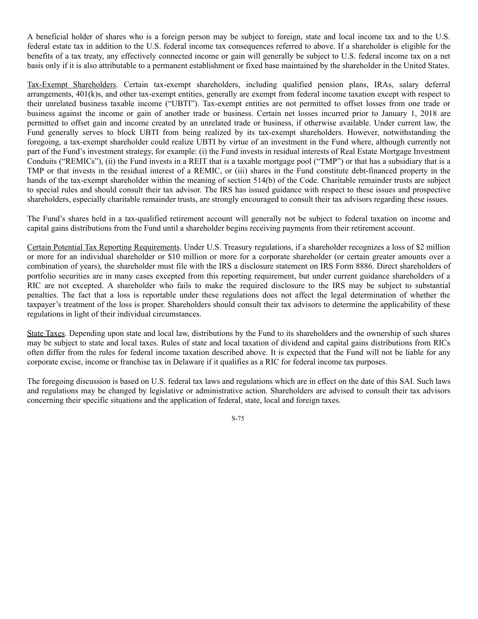A beneficial holder of shares who is a foreign person may be subject to foreign, state and local income tax and to the U.S. federal estate tax in addition to the U.S. federal income tax consequences referred to above. If a shareholder is eligible for the benefits of a tax treaty, any effectively connected income or gain will generally be subject to U.S. federal income tax on a net basis only if it is also attributable to a permanent establishment or fixed base maintained by the shareholder in the United States.

Tax-Exempt Shareholders. Certain tax-exempt shareholders, including qualified pension plans, IRAs, salary deferral arrangements, 401(k)s, and other tax-exempt entities, generally are exempt from federal income taxation except with respect to their unrelated business taxable income ("UBTI"). Tax-exempt entities are not permitted to offset losses from one trade or business against the income or gain of another trade or business. Certain net losses incurred prior to January 1, 2018 are permitted to offset gain and income created by an unrelated trade or business, if otherwise available. Under current law, the Fund generally serves to block UBTI from being realized by its tax-exempt shareholders. However, notwithstanding the foregoing, a tax-exempt shareholder could realize UBTI by virtue of an investment in the Fund where, although currently not part of the Fund's investment strategy, for example: (i) the Fund invests in residual interests of Real Estate Mortgage Investment Conduits ("REMICs"), (ii) the Fund invests in a REIT that is a taxable mortgage pool ("TMP") or that has a subsidiary that is a TMP or that invests in the residual interest of a REMIC, or (iii) shares in the Fund constitute debt-financed property in the hands of the tax-exempt shareholder within the meaning of section 514(b) of the Code. Charitable remainder trusts are subject to special rules and should consult their tax advisor. The IRS has issued guidance with respect to these issues and prospective shareholders, especially charitable remainder trusts, are strongly encouraged to consult their tax advisors regarding these issues.

The Fund's shares held in a tax-qualified retirement account will generally not be subject to federal taxation on income and capital gains distributions from the Fund until a shareholder begins receiving payments from their retirement account.

Certain Potential Tax Reporting Requirements. Under U.S. Treasury regulations, if a shareholder recognizes a loss of \$2 million or more for an individual shareholder or \$10 million or more for a corporate shareholder (or certain greater amounts over a combination of years), the shareholder must file with the IRS a disclosure statement on IRS Form 8886. Direct shareholders of portfolio securities are in many cases excepted from this reporting requirement, but under current guidance shareholders of a RIC are not excepted. A shareholder who fails to make the required disclosure to the IRS may be subject to substantial penalties. The fact that a loss is reportable under these regulations does not affect the legal determination of whether the taxpayer's treatment of the loss is proper. Shareholders should consult their tax advisors to determine the applicability of these regulations in light of their individual circumstances.

State Taxes. Depending upon state and local law, distributions by the Fund to its shareholders and the ownership of such shares may be subject to state and local taxes. Rules of state and local taxation of dividend and capital gains distributions from RICs often differ from the rules for federal income taxation described above. It is expected that the Fund will not be liable for any corporate excise, income or franchise tax in Delaware if it qualifies as a RIC for federal income tax purposes.

The foregoing discussion is based on U.S. federal tax laws and regulations which are in effect on the date of this SAI. Such laws and regulations may be changed by legislative or administrative action. Shareholders are advised to consult their tax advisors concerning their specific situations and the application of federal, state, local and foreign taxes.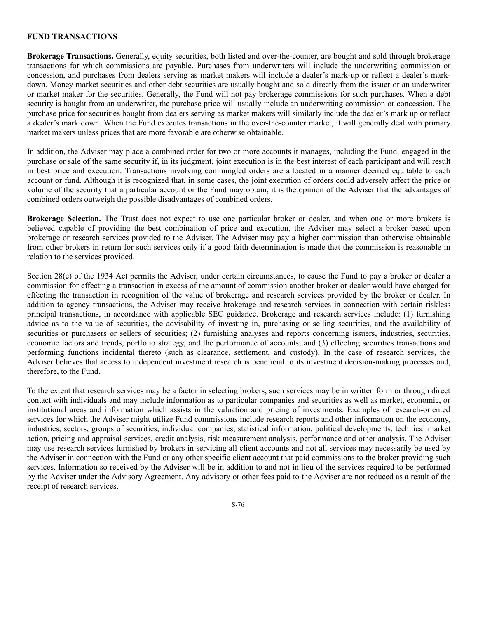#### **FUND TRANSACTIONS**

**Brokerage Transactions.** Generally, equity securities, both listed and over-the-counter, are bought and sold through brokerage transactions for which commissions are payable. Purchases from underwriters will include the underwriting commission or concession, and purchases from dealers serving as market makers will include a dealer's mark-up or reflect a dealer's markdown. Money market securities and other debt securities are usually bought and sold directly from the issuer or an underwriter or market maker for the securities. Generally, the Fund will not pay brokerage commissions for such purchases. When a debt security is bought from an underwriter, the purchase price will usually include an underwriting commission or concession. The purchase price for securities bought from dealers serving as market makers will similarly include the dealer's mark up or reflect a dealer's mark down. When the Fund executes transactions in the over-the-counter market, it will generally deal with primary market makers unless prices that are more favorable are otherwise obtainable.

In addition, the Adviser may place a combined order for two or more accounts it manages, including the Fund, engaged in the purchase or sale of the same security if, in its judgment, joint execution is in the best interest of each participant and will result in best price and execution. Transactions involving commingled orders are allocated in a manner deemed equitable to each account or fund. Although it is recognized that, in some cases, the joint execution of orders could adversely affect the price or volume of the security that a particular account or the Fund may obtain, it is the opinion of the Adviser that the advantages of combined orders outweigh the possible disadvantages of combined orders.

**Brokerage Selection.** The Trust does not expect to use one particular broker or dealer, and when one or more brokers is believed capable of providing the best combination of price and execution, the Adviser may select a broker based upon brokerage or research services provided to the Adviser. The Adviser may pay a higher commission than otherwise obtainable from other brokers in return for such services only if a good faith determination is made that the commission is reasonable in relation to the services provided.

Section 28(e) of the 1934 Act permits the Adviser, under certain circumstances, to cause the Fund to pay a broker or dealer a commission for effecting a transaction in excess of the amount of commission another broker or dealer would have charged for effecting the transaction in recognition of the value of brokerage and research services provided by the broker or dealer. In addition to agency transactions, the Adviser may receive brokerage and research services in connection with certain riskless principal transactions, in accordance with applicable SEC guidance. Brokerage and research services include: (1) furnishing advice as to the value of securities, the advisability of investing in, purchasing or selling securities, and the availability of securities or purchasers or sellers of securities; (2) furnishing analyses and reports concerning issuers, industries, securities, economic factors and trends, portfolio strategy, and the performance of accounts; and (3) effecting securities transactions and performing functions incidental thereto (such as clearance, settlement, and custody). In the case of research services, the Adviser believes that access to independent investment research is beneficial to its investment decision-making processes and, therefore, to the Fund.

To the extent that research services may be a factor in selecting brokers, such services may be in written form or through direct contact with individuals and may include information as to particular companies and securities as well as market, economic, or institutional areas and information which assists in the valuation and pricing of investments. Examples of research-oriented services for which the Adviser might utilize Fund commissions include research reports and other information on the economy, industries, sectors, groups of securities, individual companies, statistical information, political developments, technical market action, pricing and appraisal services, credit analysis, risk measurement analysis, performance and other analysis. The Adviser may use research services furnished by brokers in servicing all client accounts and not all services may necessarily be used by the Adviser in connection with the Fund or any other specific client account that paid commissions to the broker providing such services. Information so received by the Adviser will be in addition to and not in lieu of the services required to be performed by the Adviser under the Advisory Agreement. Any advisory or other fees paid to the Adviser are not reduced as a result of the receipt of research services.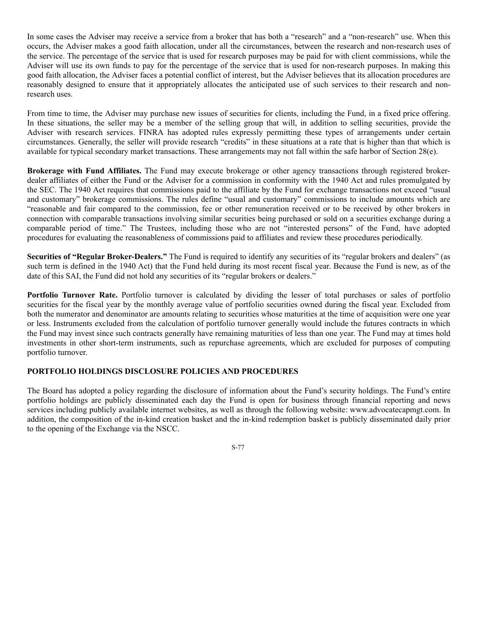In some cases the Adviser may receive a service from a broker that has both a "research" and a "non-research" use. When this occurs, the Adviser makes a good faith allocation, under all the circumstances, between the research and non-research uses of the service. The percentage of the service that is used for research purposes may be paid for with client commissions, while the Adviser will use its own funds to pay for the percentage of the service that is used for non-research purposes. In making this good faith allocation, the Adviser faces a potential conflict of interest, but the Adviser believes that its allocation procedures are reasonably designed to ensure that it appropriately allocates the anticipated use of such services to their research and nonresearch uses.

From time to time, the Adviser may purchase new issues of securities for clients, including the Fund, in a fixed price offering. In these situations, the seller may be a member of the selling group that will, in addition to selling securities, provide the Adviser with research services. FINRA has adopted rules expressly permitting these types of arrangements under certain circumstances. Generally, the seller will provide research "credits" in these situations at a rate that is higher than that which is available for typical secondary market transactions. These arrangements may not fall within the safe harbor of Section 28(e).

**Brokerage with Fund Affiliates.** The Fund may execute brokerage or other agency transactions through registered brokerdealer affiliates of either the Fund or the Adviser for a commission in conformity with the 1940 Act and rules promulgated by the SEC. The 1940 Act requires that commissions paid to the affiliate by the Fund for exchange transactions not exceed "usual and customary" brokerage commissions. The rules define "usual and customary" commissions to include amounts which are "reasonable and fair compared to the commission, fee or other remuneration received or to be received by other brokers in connection with comparable transactions involving similar securities being purchased or sold on a securities exchange during a comparable period of time." The Trustees, including those who are not "interested persons" of the Fund, have adopted procedures for evaluating the reasonableness of commissions paid to affiliates and review these procedures periodically.

**Securities of "Regular Broker-Dealers."** The Fund is required to identify any securities of its "regular brokers and dealers" (as such term is defined in the 1940 Act) that the Fund held during its most recent fiscal year. Because the Fund is new, as of the date of this SAI, the Fund did not hold any securities of its "regular brokers or dealers."

**Portfolio Turnover Rate.** Portfolio turnover is calculated by dividing the lesser of total purchases or sales of portfolio securities for the fiscal year by the monthly average value of portfolio securities owned during the fiscal year. Excluded from both the numerator and denominator are amounts relating to securities whose maturities at the time of acquisition were one year or less. Instruments excluded from the calculation of portfolio turnover generally would include the futures contracts in which the Fund may invest since such contracts generally have remaining maturities of less than one year. The Fund may at times hold investments in other short-term instruments, such as repurchase agreements, which are excluded for purposes of computing portfolio turnover.

# **PORTFOLIO HOLDINGS DISCLOSURE POLICIES AND PROCEDURES**

The Board has adopted a policy regarding the disclosure of information about the Fund's security holdings. The Fund's entire portfolio holdings are publicly disseminated each day the Fund is open for business through financial reporting and news services including publicly available internet websites, as well as through the following website: www.advocatecapmgt.com. In addition, the composition of the in-kind creation basket and the in-kind redemption basket is publicly disseminated daily prior to the opening of the Exchange via the NSCC.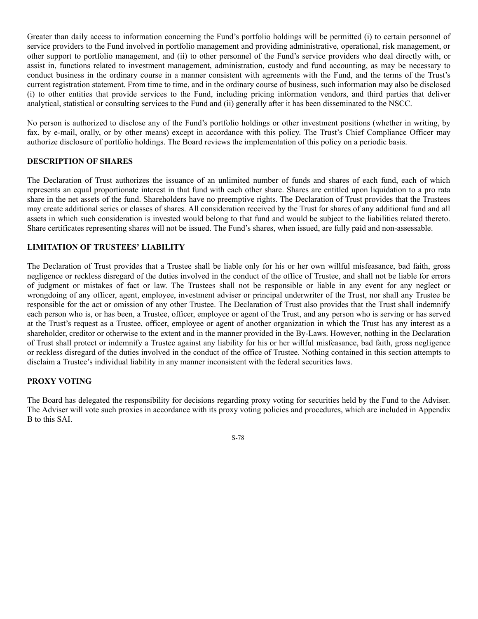Greater than daily access to information concerning the Fund's portfolio holdings will be permitted (i) to certain personnel of service providers to the Fund involved in portfolio management and providing administrative, operational, risk management, or other support to portfolio management, and (ii) to other personnel of the Fund's service providers who deal directly with, or assist in, functions related to investment management, administration, custody and fund accounting, as may be necessary to conduct business in the ordinary course in a manner consistent with agreements with the Fund, and the terms of the Trust's current registration statement. From time to time, and in the ordinary course of business, such information may also be disclosed (i) to other entities that provide services to the Fund, including pricing information vendors, and third parties that deliver analytical, statistical or consulting services to the Fund and (ii) generally after it has been disseminated to the NSCC.

No person is authorized to disclose any of the Fund's portfolio holdings or other investment positions (whether in writing, by fax, by e-mail, orally, or by other means) except in accordance with this policy. The Trust's Chief Compliance Officer may authorize disclosure of portfolio holdings. The Board reviews the implementation of this policy on a periodic basis.

#### **DESCRIPTION OF SHARES**

The Declaration of Trust authorizes the issuance of an unlimited number of funds and shares of each fund, each of which represents an equal proportionate interest in that fund with each other share. Shares are entitled upon liquidation to a pro rata share in the net assets of the fund. Shareholders have no preemptive rights. The Declaration of Trust provides that the Trustees may create additional series or classes of shares. All consideration received by the Trust for shares of any additional fund and all assets in which such consideration is invested would belong to that fund and would be subject to the liabilities related thereto. Share certificates representing shares will not be issued. The Fund's shares, when issued, are fully paid and non-assessable.

# **LIMITATION OF TRUSTEES' LIABILITY**

The Declaration of Trust provides that a Trustee shall be liable only for his or her own willful misfeasance, bad faith, gross negligence or reckless disregard of the duties involved in the conduct of the office of Trustee, and shall not be liable for errors of judgment or mistakes of fact or law. The Trustees shall not be responsible or liable in any event for any neglect or wrongdoing of any officer, agent, employee, investment adviser or principal underwriter of the Trust, nor shall any Trustee be responsible for the act or omission of any other Trustee. The Declaration of Trust also provides that the Trust shall indemnify each person who is, or has been, a Trustee, officer, employee or agent of the Trust, and any person who is serving or has served at the Trust's request as a Trustee, officer, employee or agent of another organization in which the Trust has any interest as a shareholder, creditor or otherwise to the extent and in the manner provided in the By-Laws. However, nothing in the Declaration of Trust shall protect or indemnify a Trustee against any liability for his or her willful misfeasance, bad faith, gross negligence or reckless disregard of the duties involved in the conduct of the office of Trustee. Nothing contained in this section attempts to disclaim a Trustee's individual liability in any manner inconsistent with the federal securities laws.

# **PROXY VOTING**

The Board has delegated the responsibility for decisions regarding proxy voting for securities held by the Fund to the Adviser. The Adviser will vote such proxies in accordance with its proxy voting policies and procedures, which are included in Appendix B to this SAI.